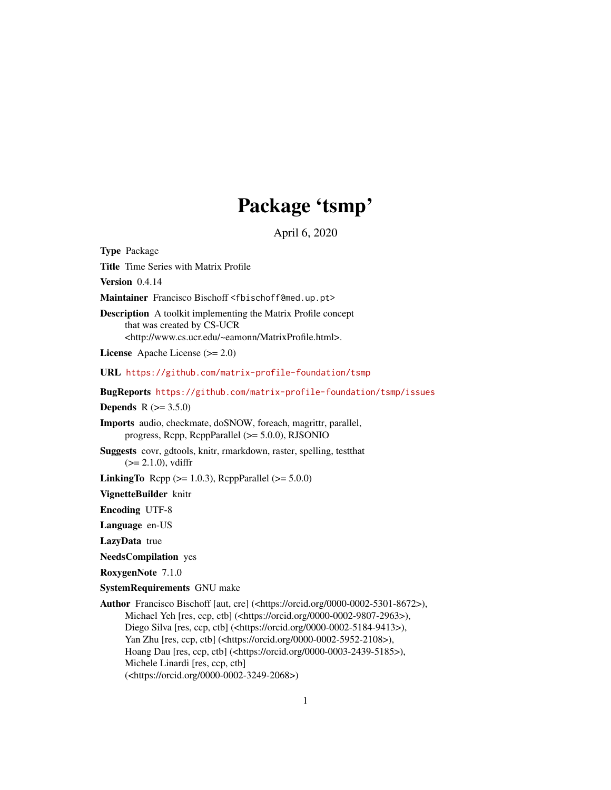## Package 'tsmp'

April 6, 2020

Title Time Series with Matrix Profile Version 0.4.14 Maintainer Francisco Bischoff <fbischoff@med.up.pt> Description A toolkit implementing the Matrix Profile concept that was created by CS-UCR <http://www.cs.ucr.edu/~eamonn/MatrixProfile.html>. License Apache License (>= 2.0) URL <https://github.com/matrix-profile-foundation/tsmp> BugReports <https://github.com/matrix-profile-foundation/tsmp/issues> **Depends**  $R (= 3.5.0)$ 

<span id="page-0-0"></span>Type Package

Imports audio, checkmate, doSNOW, foreach, magrittr, parallel, progress, Rcpp, RcppParallel (>= 5.0.0), RJSONIO

Suggests covr, gdtools, knitr, rmarkdown, raster, spelling, testthat  $(>= 2.1.0)$ , vdiffr

**LinkingTo** Rcpp ( $>= 1.0.3$ ), RcppParallel ( $>= 5.0.0$ )

VignetteBuilder knitr

Encoding UTF-8

Language en-US

LazyData true

NeedsCompilation yes

RoxygenNote 7.1.0

SystemRequirements GNU make

Author Francisco Bischoff [aut, cre] (<https://orcid.org/0000-0002-5301-8672>), Michael Yeh [res, ccp, ctb] (<https://orcid.org/0000-0002-9807-2963>), Diego Silva [res, ccp, ctb] (<https://orcid.org/0000-0002-5184-9413>), Yan Zhu [res, ccp, ctb] (<https://orcid.org/0000-0002-5952-2108>), Hoang Dau [res, ccp, ctb] (<https://orcid.org/0000-0003-2439-5185>), Michele Linardi [res, ccp, ctb] (<https://orcid.org/0000-0002-3249-2068>)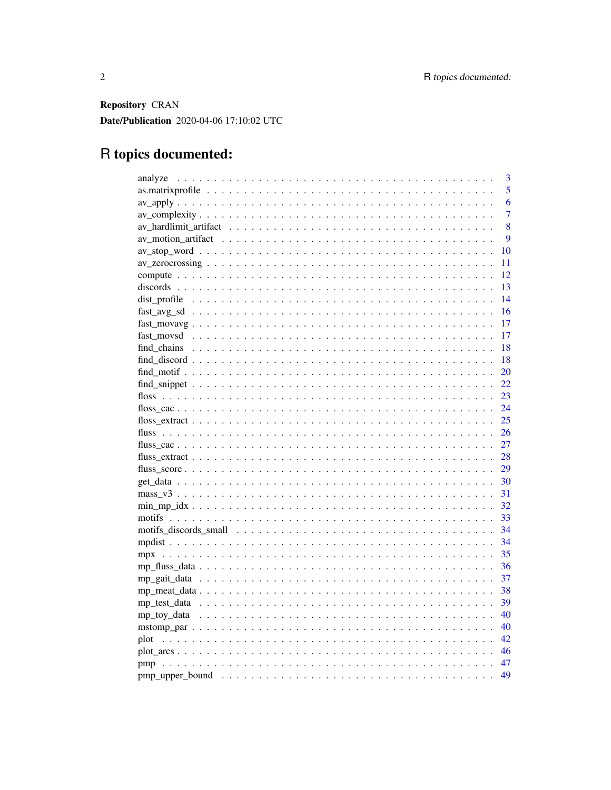Repository CRAN Date/Publication 2020-04-06 17:10:02 UTC

## R topics documented:

| 3              |
|----------------|
| $\overline{5}$ |
| 6              |
| 7              |
| 8              |
| 9              |
| 10             |
| 11             |
| 12             |
| 13             |
| 14             |
| 16             |
| 17             |
| 17             |
| 18             |
| 18             |
| 20             |
| 22             |
| 23             |
| 24             |
| 25             |
| 26             |
| 27             |
| 28             |
| 29             |
| 30             |
| 31             |
| -32            |
| 33             |
| 34             |
| 34             |
| 35             |
| 36             |
| 37             |
| 38             |
| 39             |
| 40             |
| 40             |
| 42             |
| - 46           |
| - 47           |
| 49             |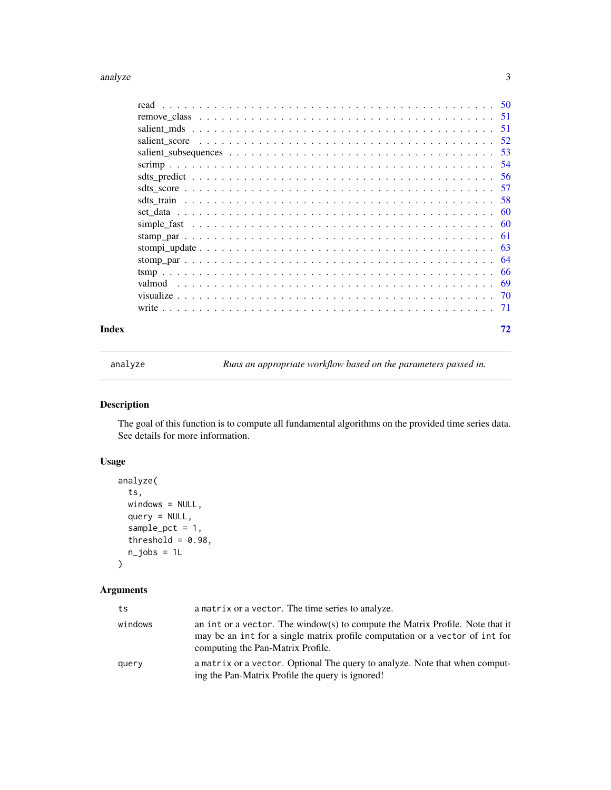#### <span id="page-2-0"></span>analyze 3

| Index | 72 |
|-------|----|

<span id="page-2-1"></span>analyze *Runs an appropriate workflow based on the parameters passed in.*

## Description

The goal of this function is to compute all fundamental algorithms on the provided time series data. See details for more information.

## Usage

```
analyze(
  ts,
 windows = NULL,
  query = NULL,sample\_pot = 1,
  threshold = 0.98,
  n_jobs = 1L)
```
# Arguments

## ts a matrix or a vector. The time series to analyze. windows an int or a vector. The window(s) to compute the Matrix Profile. Note that it may be an int for a single matrix profile computation or a vector of int for computing the Pan-Matrix Profile. query a matrix or a vector. Optional The query to analyze. Note that when computing the Pan-Matrix Profile the query is ignored!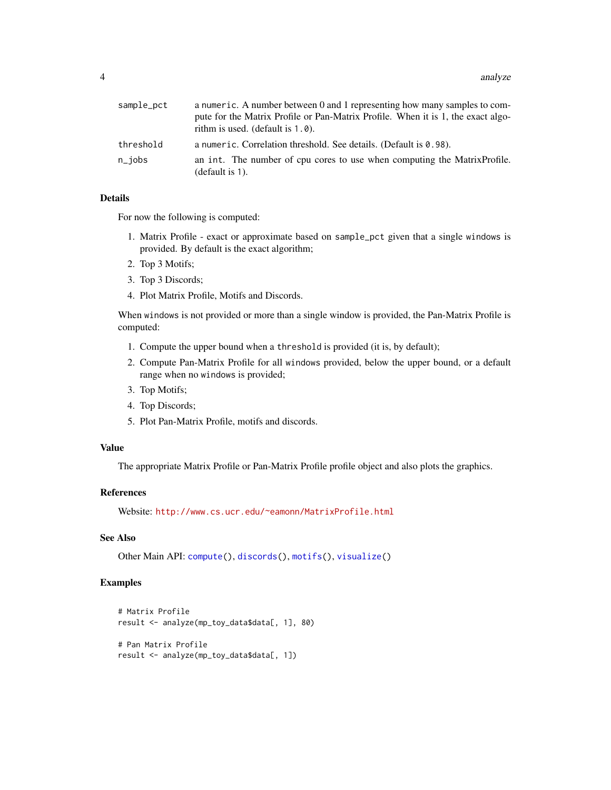| sample_pct | a numeric. A number between 0 and 1 representing how many samples to com-                       |
|------------|-------------------------------------------------------------------------------------------------|
|            | pute for the Matrix Profile or Pan-Matrix Profile. When it is 1, the exact algo-                |
|            | rithm is used. (default is $1.0$ ).                                                             |
| threshold  | a numeric. Correlation threshold. See details. (Default is 0.98).                               |
| n_jobs     | an int. The number of cpu cores to use when computing the Matrix Profile.<br>(default is $1$ ). |

## Details

For now the following is computed:

- 1. Matrix Profile exact or approximate based on sample\_pct given that a single windows is provided. By default is the exact algorithm;
- 2. Top 3 Motifs;
- 3. Top 3 Discords;
- 4. Plot Matrix Profile, Motifs and Discords.

When windows is not provided or more than a single window is provided, the Pan-Matrix Profile is computed:

- 1. Compute the upper bound when a threshold is provided (it is, by default);
- 2. Compute Pan-Matrix Profile for all windows provided, below the upper bound, or a default range when no windows is provided;
- 3. Top Motifs;
- 4. Top Discords;
- 5. Plot Pan-Matrix Profile, motifs and discords.

## Value

The appropriate Matrix Profile or Pan-Matrix Profile profile object and also plots the graphics.

## References

Website: <http://www.cs.ucr.edu/~eamonn/MatrixProfile.html>

## See Also

Other Main API: [compute\(](#page-11-1)), [discords\(](#page-12-1)), [motifs\(](#page-32-1)), [visualize\(](#page-69-1))

## Examples

```
# Matrix Profile
result <- analyze(mp_toy_data$data[, 1], 80)
# Pan Matrix Profile
result <- analyze(mp_toy_data$data[, 1])
```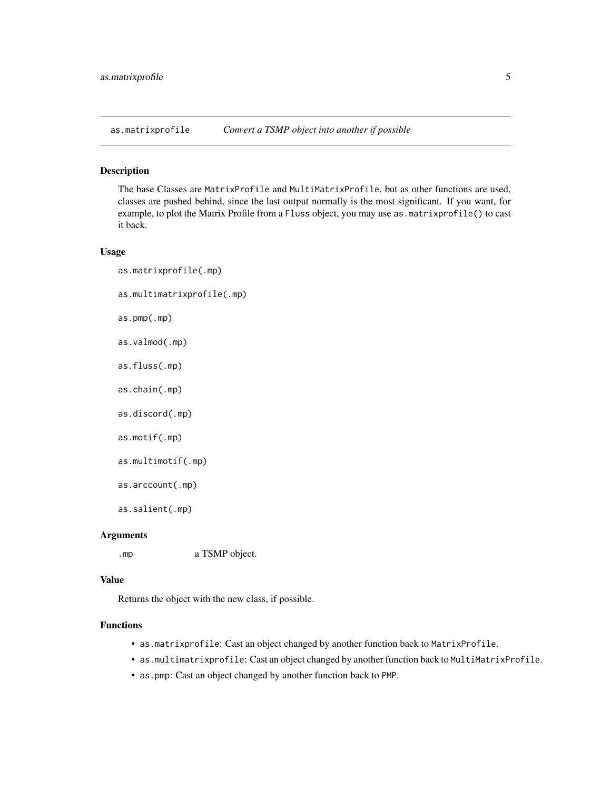<span id="page-4-0"></span>as.matrixprofile *Convert a TSMP object into another if possible*

#### Description

The base Classes are MatrixProfile and MultiMatrixProfile, but as other functions are used, classes are pushed behind, since the last output normally is the most significant. If you want, for example, to plot the Matrix Profile from a Fluss object, you may use as.matrixprofile() to cast it back.

## Usage

as.matrixprofile(.mp) as.multimatrixprofile(.mp) as.pmp(.mp) as.valmod(.mp) as.fluss(.mp) as.chain(.mp) as.discord(.mp) as.motif(.mp)

```
as.multimotif(.mp)
```

```
as.arccount(.mp)
```
as.salient(.mp)

#### Arguments

.mp a TSMP object.

#### Value

Returns the object with the new class, if possible.

#### Functions

- as.matrixprofile: Cast an object changed by another function back to MatrixProfile.
- as.multimatrixprofile: Cast an object changed by another function back to MultiMatrixProfile.
- as.pmp: Cast an object changed by another function back to PMP.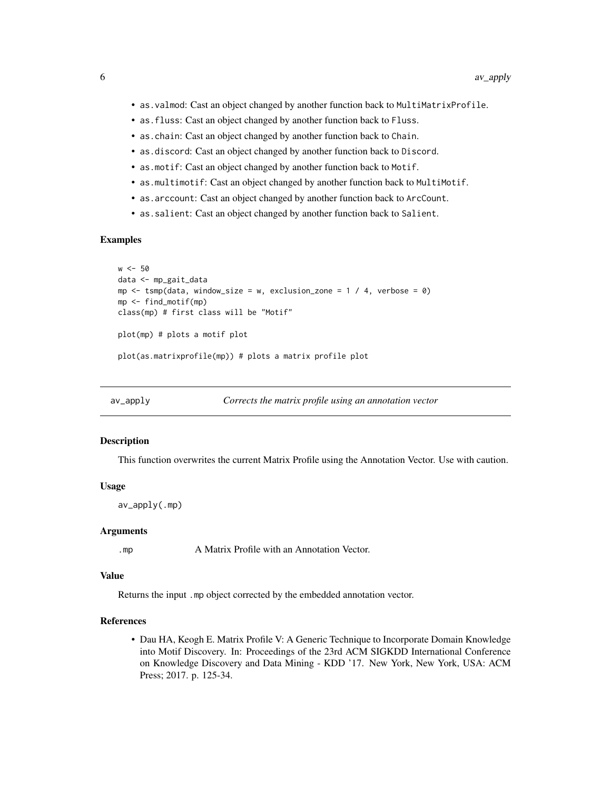- <span id="page-5-0"></span>• as.valmod: Cast an object changed by another function back to MultiMatrixProfile.
- as.fluss: Cast an object changed by another function back to Fluss.
- as.chain: Cast an object changed by another function back to Chain.
- as.discord: Cast an object changed by another function back to Discord.
- as.motif: Cast an object changed by another function back to Motif.
- as.multimotif: Cast an object changed by another function back to MultiMotif.
- as.arccount: Cast an object changed by another function back to ArcCount.
- as.salient: Cast an object changed by another function back to Salient.

#### Examples

```
w < -50data <- mp_gait_data
mp \le -tsmp(data, window_size = w, exclusion_zone = 1 / 4, verbose = 0)
mp <- find_motif(mp)
class(mp) # first class will be "Motif"
plot(mp) # plots a motif plot
plot(as.matrixprofile(mp)) # plots a matrix profile plot
```
<span id="page-5-1"></span>

```
av_apply Corrects the matrix profile using an annotation vector
```
#### Description

This function overwrites the current Matrix Profile using the Annotation Vector. Use with caution.

#### Usage

av\_apply(.mp)

#### Arguments

.mp A Matrix Profile with an Annotation Vector.

## Value

Returns the input .mp object corrected by the embedded annotation vector.

#### References

• Dau HA, Keogh E. Matrix Profile V: A Generic Technique to Incorporate Domain Knowledge into Motif Discovery. In: Proceedings of the 23rd ACM SIGKDD International Conference on Knowledge Discovery and Data Mining - KDD '17. New York, New York, USA: ACM Press; 2017. p. 125-34.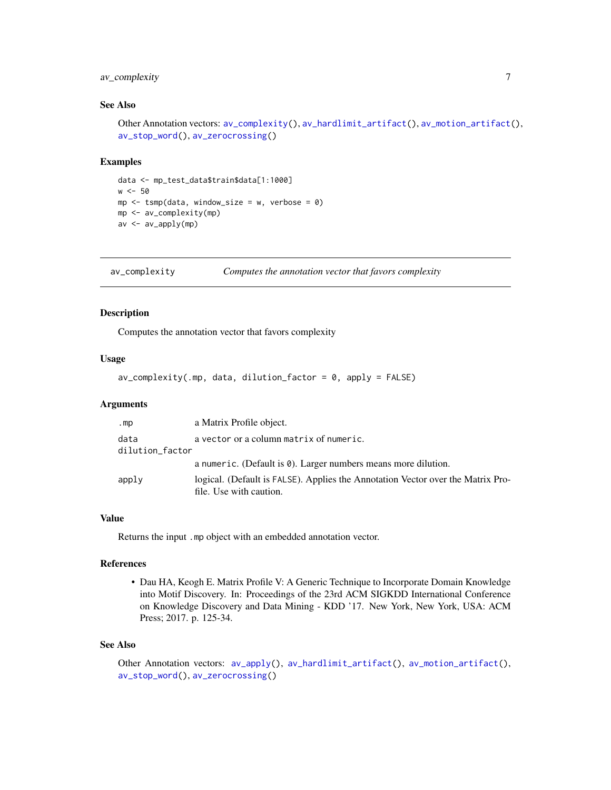## <span id="page-6-0"></span>av\_complexity 7

## See Also

```
Other Annotation vectors: av_complexity(), av_hardlimit_artifact(), av_motion_artifact(),
av_stop_word(), av_zerocrossing()
```
#### Examples

```
data <- mp_test_data$train$data[1:1000]
w < -50mp \le -\t comp(data, window\_size = w, verbose = 0)mp <- av_complexity(mp)
av <- av_apply(mp)
```
<span id="page-6-1"></span>av\_complexity *Computes the annotation vector that favors complexity*

#### Description

Computes the annotation vector that favors complexity

#### Usage

 $av\_complexity( .mp, data, dilution_factor = 0, apply = FALSE)$ 

#### Arguments

| .mp             | a Matrix Profile object.                                                        |
|-----------------|---------------------------------------------------------------------------------|
| data            | a vector or a column matrix of numeric.                                         |
| dilution_factor |                                                                                 |
|                 | a numeric. (Default is 0). Larger numbers means more dilution.                  |
| apply           | logical. (Default is FALSE). Applies the Annotation Vector over the Matrix Pro- |
|                 | file. Use with caution.                                                         |

#### Value

Returns the input .mp object with an embedded annotation vector.

#### References

• Dau HA, Keogh E. Matrix Profile V: A Generic Technique to Incorporate Domain Knowledge into Motif Discovery. In: Proceedings of the 23rd ACM SIGKDD International Conference on Knowledge Discovery and Data Mining - KDD '17. New York, New York, USA: ACM Press; 2017. p. 125-34.

#### See Also

```
Other Annotation vectors: av_apply(), av_hardlimit_artifact(), av_motion_artifact(),
av_stop_word(), av_zerocrossing()
```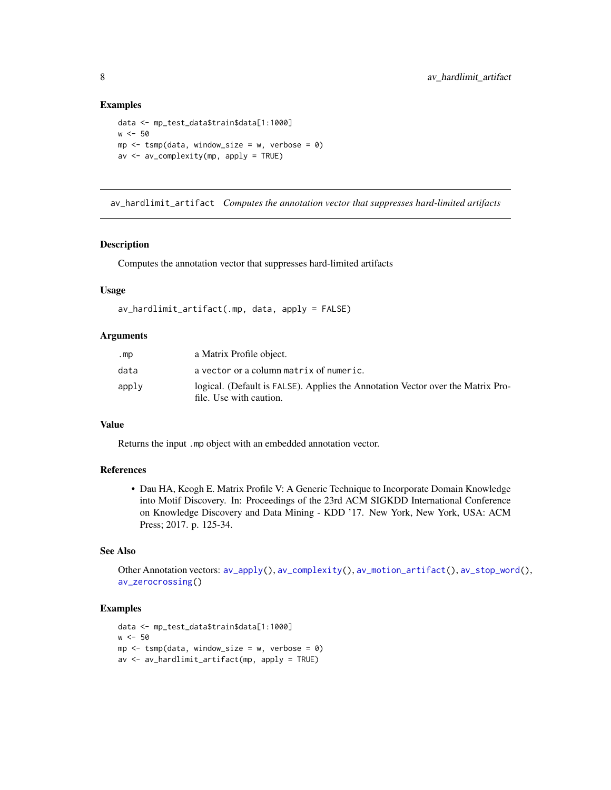#### Examples

```
data <- mp_test_data$train$data[1:1000]
w < -50mp \le - tsmp(data, window_size = w, verbose = 0)
av <- av_complexity(mp, apply = TRUE)
```
<span id="page-7-1"></span>av\_hardlimit\_artifact *Computes the annotation vector that suppresses hard-limited artifacts*

#### Description

Computes the annotation vector that suppresses hard-limited artifacts

#### Usage

```
av_hardlimit_artifact(.mp, data, apply = FALSE)
```
#### Arguments

| .mp   | a Matrix Profile object.                                                                                   |
|-------|------------------------------------------------------------------------------------------------------------|
| data  | a vector or a column matrix of numeric.                                                                    |
| apply | logical. (Default is FALSE). Applies the Annotation Vector over the Matrix Pro-<br>file. Use with caution. |

## Value

Returns the input .mp object with an embedded annotation vector.

## References

• Dau HA, Keogh E. Matrix Profile V: A Generic Technique to Incorporate Domain Knowledge into Motif Discovery. In: Proceedings of the 23rd ACM SIGKDD International Conference on Knowledge Discovery and Data Mining - KDD '17. New York, New York, USA: ACM Press; 2017. p. 125-34.

## See Also

Other Annotation vectors: [av\\_apply\(](#page-5-1)), [av\\_complexity\(](#page-6-1)), [av\\_motion\\_artifact\(](#page-8-1)), [av\\_stop\\_word\(](#page-9-1)), [av\\_zerocrossing\(](#page-10-1))

## Examples

```
data <- mp_test_data$train$data[1:1000]
w < -50mp \le - tsmp(data, window_size = w, verbose = 0)
av <- av_hardlimit_artifact(mp, apply = TRUE)
```
<span id="page-7-0"></span>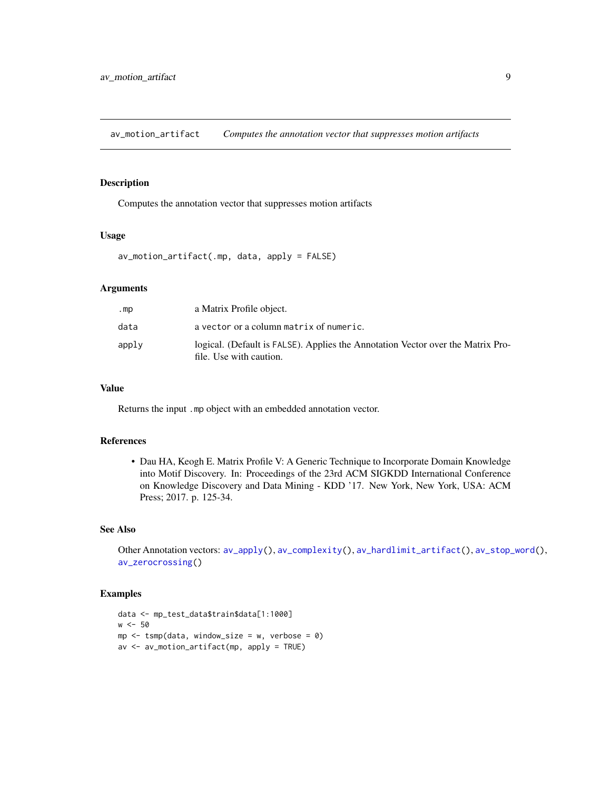<span id="page-8-1"></span><span id="page-8-0"></span>av\_motion\_artifact *Computes the annotation vector that suppresses motion artifacts*

## Description

Computes the annotation vector that suppresses motion artifacts

## Usage

av\_motion\_artifact(.mp, data, apply = FALSE)

#### Arguments

| .mp   | a Matrix Profile object.                                                                                   |
|-------|------------------------------------------------------------------------------------------------------------|
| data  | a vector or a column matrix of numeric.                                                                    |
| apply | logical. (Default is FALSE). Applies the Annotation Vector over the Matrix Pro-<br>file. Use with caution. |

## Value

Returns the input .mp object with an embedded annotation vector.

#### References

• Dau HA, Keogh E. Matrix Profile V: A Generic Technique to Incorporate Domain Knowledge into Motif Discovery. In: Proceedings of the 23rd ACM SIGKDD International Conference on Knowledge Discovery and Data Mining - KDD '17. New York, New York, USA: ACM Press; 2017. p. 125-34.

#### See Also

Other Annotation vectors: [av\\_apply\(](#page-5-1)), [av\\_complexity\(](#page-6-1)), [av\\_hardlimit\\_artifact\(](#page-7-1)), [av\\_stop\\_word\(](#page-9-1)), [av\\_zerocrossing\(](#page-10-1))

## Examples

```
data <- mp_test_data$train$data[1:1000]
w < -50mp \le -\tump(data, window\_size = w, verbose = 0)av <- av_motion_artifact(mp, apply = TRUE)
```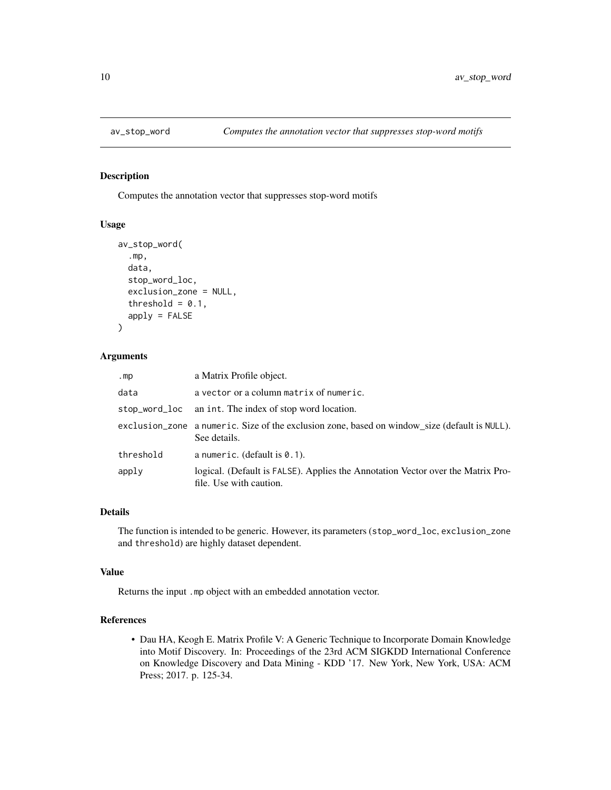<span id="page-9-1"></span><span id="page-9-0"></span>

Computes the annotation vector that suppresses stop-word motifs

#### Usage

```
av_stop_word(
  .mp,
  data,
  stop_word_loc,
  exclusion_zone = NULL,
  threshold = 0.1,
  apply = FALSE
)
```
## Arguments

| .mp           | a Matrix Profile object.                                                                                      |
|---------------|---------------------------------------------------------------------------------------------------------------|
| data          | a vector or a column matrix of numeric.                                                                       |
| stop_word_loc | an int. The index of stop word location.                                                                      |
|               | exclusion_zone a numeric. Size of the exclusion zone, based on window_size (default is NULL).<br>See details. |
| threshold     | a numeric. (default is $0.1$ ).                                                                               |
| apply         | logical. (Default is FALSE). Applies the Annotation Vector over the Matrix Pro-<br>file. Use with caution.    |

## Details

The function is intended to be generic. However, its parameters (stop\_word\_loc, exclusion\_zone and threshold) are highly dataset dependent.

#### Value

Returns the input .mp object with an embedded annotation vector.

## References

• Dau HA, Keogh E. Matrix Profile V: A Generic Technique to Incorporate Domain Knowledge into Motif Discovery. In: Proceedings of the 23rd ACM SIGKDD International Conference on Knowledge Discovery and Data Mining - KDD '17. New York, New York, USA: ACM Press; 2017. p. 125-34.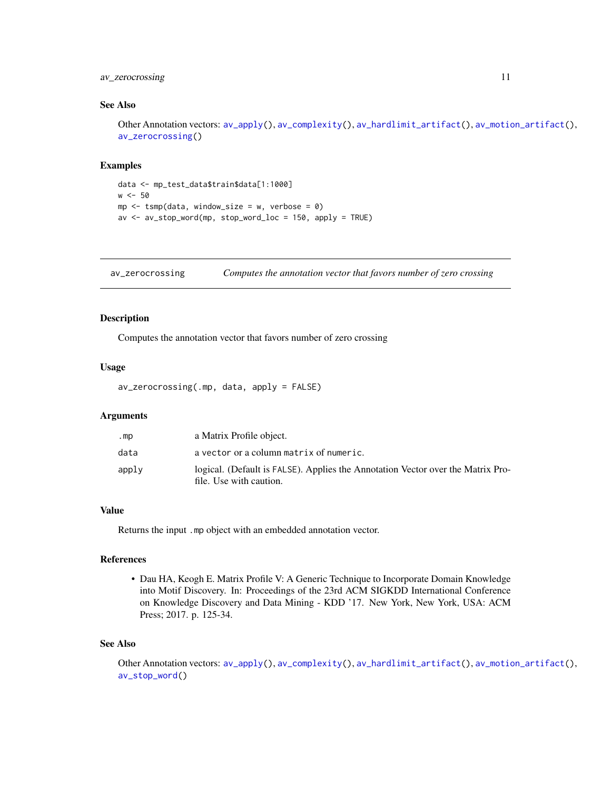## <span id="page-10-0"></span>av<sub>zerocrossing</sub> 11

#### See Also

Other Annotation vectors: [av\\_apply\(](#page-5-1)), [av\\_complexity\(](#page-6-1)), [av\\_hardlimit\\_artifact\(](#page-7-1)), [av\\_motion\\_artifact\(](#page-8-1)), [av\\_zerocrossing\(](#page-10-1))

#### Examples

```
data <- mp_test_data$train$data[1:1000]
w < -50mp \le - tsmp(data, window_size = w, verbose = 0)
av <- av_stop_word(mp, stop_word_loc = 150, apply = TRUE)
```
<span id="page-10-1"></span>av\_zerocrossing *Computes the annotation vector that favors number of zero crossing*

#### Description

Computes the annotation vector that favors number of zero crossing

## Usage

```
av_zerocrossing(.mp, data, apply = FALSE)
```
#### Arguments

| .mp   | a Matrix Profile object.                                                                                   |
|-------|------------------------------------------------------------------------------------------------------------|
| data  | a vector or a column matrix of numeric.                                                                    |
| apply | logical. (Default is FALSE). Applies the Annotation Vector over the Matrix Pro-<br>file. Use with caution. |

## Value

Returns the input .mp object with an embedded annotation vector.

## References

• Dau HA, Keogh E. Matrix Profile V: A Generic Technique to Incorporate Domain Knowledge into Motif Discovery. In: Proceedings of the 23rd ACM SIGKDD International Conference on Knowledge Discovery and Data Mining - KDD '17. New York, New York, USA: ACM Press; 2017. p. 125-34.

#### See Also

Other Annotation vectors: [av\\_apply\(](#page-5-1)), [av\\_complexity\(](#page-6-1)), [av\\_hardlimit\\_artifact\(](#page-7-1)), [av\\_motion\\_artifact\(](#page-8-1)), [av\\_stop\\_word\(](#page-9-1))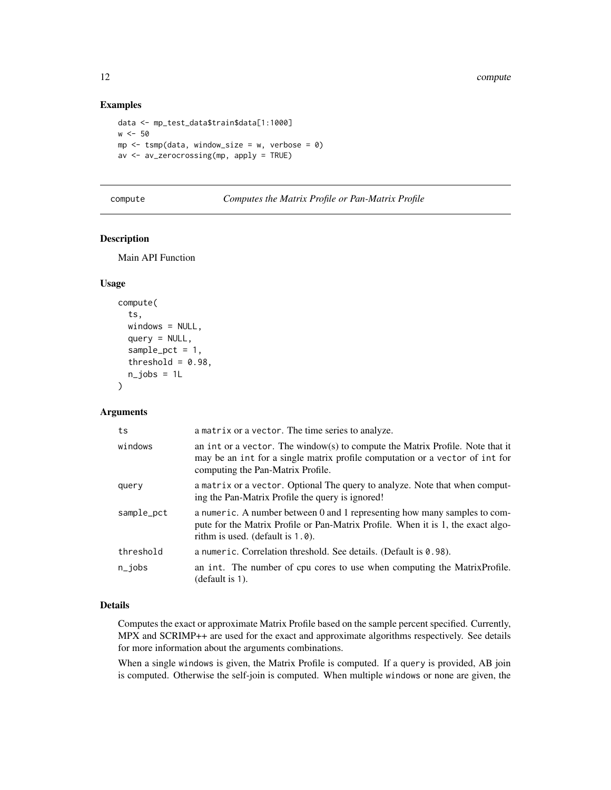## Examples

```
data <- mp_test_data$train$data[1:1000]
w < -50mp \le - tsmp(data, window_size = w, verbose = 0)
av <- av_zerocrossing(mp, apply = TRUE)
```
<span id="page-11-1"></span>

| compute | Computes the Matrix Profile or Pan-Matrix Profile |  |  |
|---------|---------------------------------------------------|--|--|
|         |                                                   |  |  |

## Description

Main API Function

## Usage

```
compute(
  ts,
  windows = NULL,query = NULL,
  sample_pct = 1,
  threshold = 0.98,
  n_jobs = 1L)
```
## Arguments

| ts         | a matrix or a vector. The time series to analyze.                                                                                                                                                    |
|------------|------------------------------------------------------------------------------------------------------------------------------------------------------------------------------------------------------|
| windows    | an int or a vector. The window(s) to compute the Matrix Profile. Note that it<br>may be an int for a single matrix profile computation or a vector of int for<br>computing the Pan-Matrix Profile.   |
| query      | a matrix or a vector. Optional The query to analyze. Note that when comput-<br>ing the Pan-Matrix Profile the query is ignored!                                                                      |
| sample_pct | a numeric. A number between 0 and 1 representing how many samples to com-<br>pute for the Matrix Profile or Pan-Matrix Profile. When it is 1, the exact algo-<br>rithm is used. (default is $1.0$ ). |
| threshold  | a numeric. Correlation threshold. See details. (Default is 0.98).                                                                                                                                    |
| $n$ _jobs  | an int. The number of cpu cores to use when computing the Matrix Profile.<br>(default is 1).                                                                                                         |

#### Details

Computes the exact or approximate Matrix Profile based on the sample percent specified. Currently, MPX and SCRIMP++ are used for the exact and approximate algorithms respectively. See details for more information about the arguments combinations.

When a single windows is given, the Matrix Profile is computed. If a query is provided, AB join is computed. Otherwise the self-join is computed. When multiple windows or none are given, the

<span id="page-11-0"></span>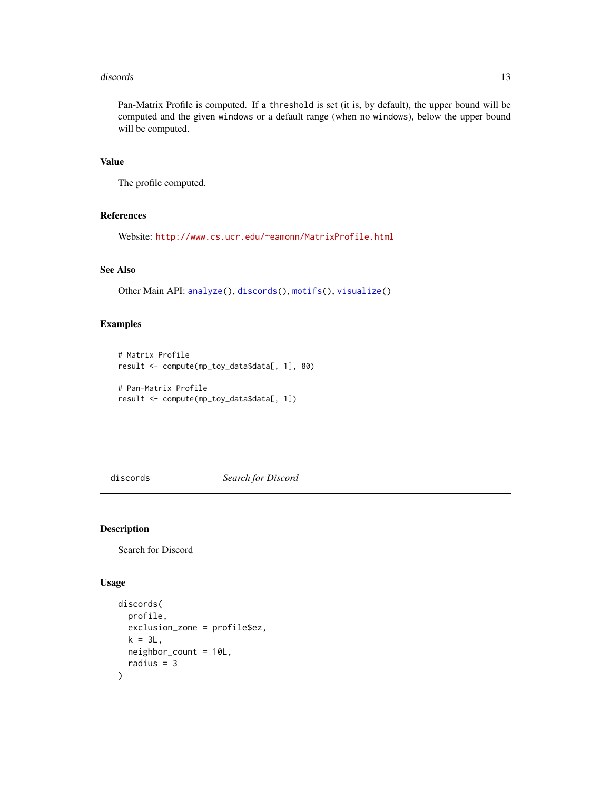#### <span id="page-12-0"></span>discords and the contract of the contract of the contract of the contract of the contract of the contract of the contract of the contract of the contract of the contract of the contract of the contract of the contract of t

Pan-Matrix Profile is computed. If a threshold is set (it is, by default), the upper bound will be computed and the given windows or a default range (when no windows), below the upper bound will be computed.

## Value

The profile computed.

### References

Website: <http://www.cs.ucr.edu/~eamonn/MatrixProfile.html>

## See Also

Other Main API: [analyze\(](#page-2-1)), [discords\(](#page-12-1)), [motifs\(](#page-32-1)), [visualize\(](#page-69-1))

## Examples

```
# Matrix Profile
result <- compute(mp_toy_data$data[, 1], 80)
```

```
# Pan-Matrix Profile
result <- compute(mp_toy_data$data[, 1])
```
<span id="page-12-1"></span>discords *Search for Discord*

#### Description

Search for Discord

## Usage

```
discords(
 profile,
 exclusion_zone = profile$ez,
 k = 3L,
 neighbor_count = 10L,
  radius = 3)
```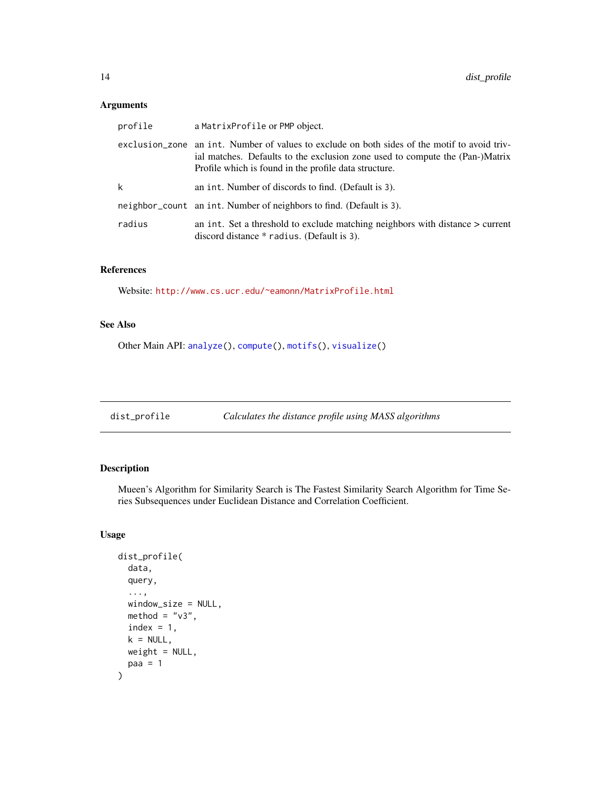## <span id="page-13-0"></span>Arguments

| profile | a MatrixProfile or PMP object.                                                                                                                                                                                                        |
|---------|---------------------------------------------------------------------------------------------------------------------------------------------------------------------------------------------------------------------------------------|
|         | exclusion zone an int. Number of values to exclude on both sides of the motif to avoid triv-<br>ial matches. Defaults to the exclusion zone used to compute the (Pan-)Matrix<br>Profile which is found in the profile data structure. |
| k       | an int. Number of discords to find. (Default is 3).                                                                                                                                                                                   |
|         | neighbor_count an int. Number of neighbors to find. (Default is 3).                                                                                                                                                                   |
| radius  | an int. Set a threshold to exclude matching neighbors with distance $>$ current<br>discord distance * radius. (Default is 3).                                                                                                         |

## References

Website: <http://www.cs.ucr.edu/~eamonn/MatrixProfile.html>

## See Also

Other Main API: [analyze\(](#page-2-1)), [compute\(](#page-11-1)), [motifs\(](#page-32-1)), [visualize\(](#page-69-1))

dist\_profile *Calculates the distance profile using MASS algorithms*

## Description

Mueen's Algorithm for Similarity Search is The Fastest Similarity Search Algorithm for Time Series Subsequences under Euclidean Distance and Correlation Coefficient.

## Usage

```
dist_profile(
  data,
  query,
  ...,
 window_size = NULL,
 method = "v3",index = 1,k = NULL,weight = NULL,paa = 1\mathcal{E}
```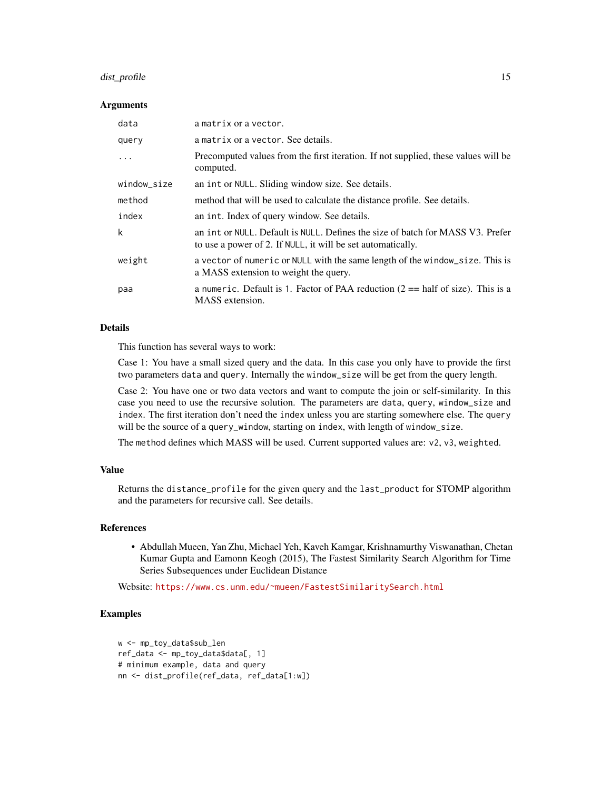## dist\_profile 15

#### Arguments

| data        | a matrix or a vector.                                                                                                                         |
|-------------|-----------------------------------------------------------------------------------------------------------------------------------------------|
| query       | a matrix or a vector. See details.                                                                                                            |
| .           | Precomputed values from the first iteration. If not supplied, these values will be<br>computed.                                               |
| window_size | an int or NULL. Sliding window size. See details.                                                                                             |
| method      | method that will be used to calculate the distance profile. See details.                                                                      |
| index       | an int. Index of query window. See details.                                                                                                   |
| k           | an int or NULL. Default is NULL. Defines the size of batch for MASS V3. Prefer<br>to use a power of 2. If NULL, it will be set automatically. |
| weight      | a vector of numeric or NULL with the same length of the window_size. This is<br>a MASS extension to weight the query.                         |
| paa         | a numeric. Default is 1. Factor of PAA reduction $(2 == \text{half of size})$ . This is a<br>MASS extension.                                  |

#### Details

This function has several ways to work:

Case 1: You have a small sized query and the data. In this case you only have to provide the first two parameters data and query. Internally the window\_size will be get from the query length.

Case 2: You have one or two data vectors and want to compute the join or self-similarity. In this case you need to use the recursive solution. The parameters are data, query, window\_size and index. The first iteration don't need the index unless you are starting somewhere else. The query will be the source of a query\_window, starting on index, with length of window\_size.

The method defines which MASS will be used. Current supported values are: v2, v3, weighted.

## Value

Returns the distance\_profile for the given query and the last\_product for STOMP algorithm and the parameters for recursive call. See details.

#### References

• Abdullah Mueen, Yan Zhu, Michael Yeh, Kaveh Kamgar, Krishnamurthy Viswanathan, Chetan Kumar Gupta and Eamonn Keogh (2015), The Fastest Similarity Search Algorithm for Time Series Subsequences under Euclidean Distance

Website: <https://www.cs.unm.edu/~mueen/FastestSimilaritySearch.html>

## Examples

```
w <- mp_toy_data$sub_len
ref_data <- mp_toy_data$data[, 1]
# minimum example, data and query
nn <- dist_profile(ref_data, ref_data[1:w])
```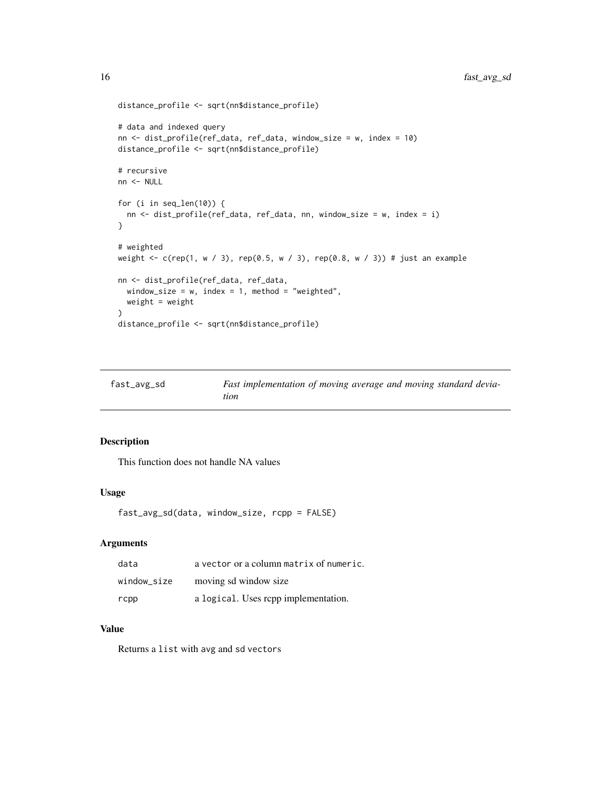```
distance_profile <- sqrt(nn$distance_profile)
# data and indexed query
nn <- dist_profile(ref_data, ref_data, window_size = w, index = 10)
distance_profile <- sqrt(nn$distance_profile)
# recursive
nn <- NULL
for (i in seq_len(10)) {
  nn <- dist_profile(ref_data, ref_data, nn, window_size = w, index = i)
}
# weighted
weight <- c(rep(1, w / 3), rep(0.5, w / 3), rep(0.8, w / 3)) # just an example
nn <- dist_profile(ref_data, ref_data,
  window_size = w, index = 1, method = "weighted",
  weight = weight
)
distance_profile <- sqrt(nn$distance_profile)
```

| fast_avg_sd | Fast implementation of moving average and moving standard devia- |
|-------------|------------------------------------------------------------------|
|             | tion                                                             |

This function does not handle NA values

## Usage

fast\_avg\_sd(data, window\_size, rcpp = FALSE)

## Arguments

| data        | a vector or a column matrix of numeric. |
|-------------|-----------------------------------------|
| window_size | moving sd window size                   |
| rcpp        | a logical. Uses repp implementation.    |

### Value

Returns a list with avg and sd vectors

<span id="page-15-0"></span>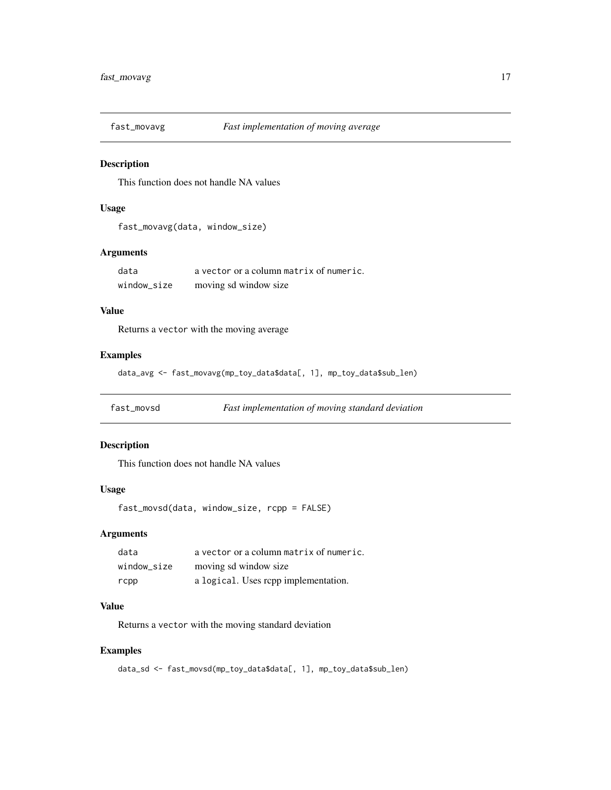<span id="page-16-0"></span>

This function does not handle NA values

## Usage

```
fast_movavg(data, window_size)
```
## Arguments

| data        | a vector or a column matrix of numeric. |
|-------------|-----------------------------------------|
| window size | moving sd window size                   |

#### Value

Returns a vector with the moving average

#### Examples

data\_avg <- fast\_movavg(mp\_toy\_data\$data[, 1], mp\_toy\_data\$sub\_len)

fast\_movsd *Fast implementation of moving standard deviation*

## Description

This function does not handle NA values

## Usage

fast\_movsd(data, window\_size, rcpp = FALSE)

## Arguments

| data        | a vector or a column matrix of numeric. |
|-------------|-----------------------------------------|
| window size | moving sd window size                   |
| rcpp        | a logical. Uses repp implementation.    |

## Value

Returns a vector with the moving standard deviation

#### Examples

data\_sd <- fast\_movsd(mp\_toy\_data\$data[, 1], mp\_toy\_data\$sub\_len)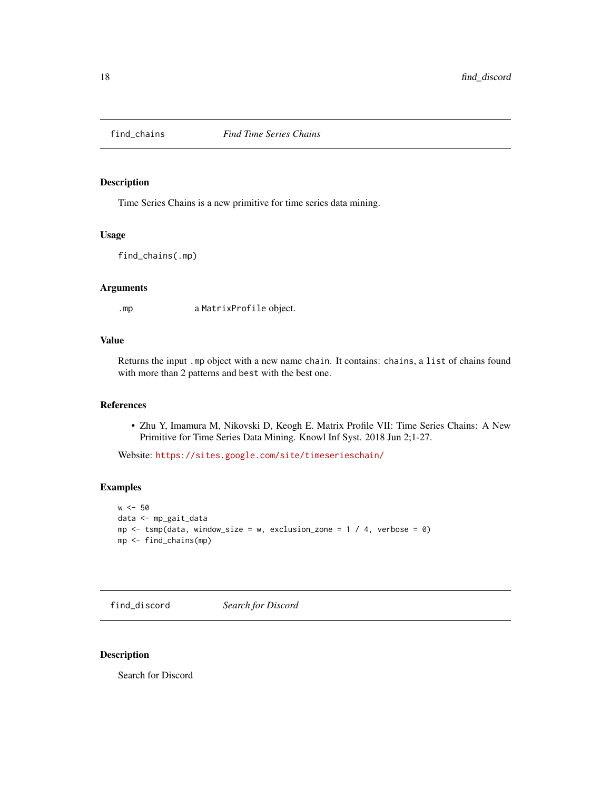<span id="page-17-0"></span>

Time Series Chains is a new primitive for time series data mining.

#### Usage

find\_chains(.mp)

#### Arguments

.mp a MatrixProfile object.

## Value

Returns the input .mp object with a new name chain. It contains: chains, a list of chains found with more than 2 patterns and best with the best one.

## References

• Zhu Y, Imamura M, Nikovski D, Keogh E. Matrix Profile VII: Time Series Chains: A New Primitive for Time Series Data Mining. Knowl Inf Syst. 2018 Jun 2;1-27.

Website: <https://sites.google.com/site/timeserieschain/>

## Examples

```
w < -50data <- mp_gait_data
mp \le - tsmp(data, window_size = w, exclusion_zone = 1 / 4, verbose = 0)
mp <- find_chains(mp)
```
find\_discord *Search for Discord*

## Description

Search for Discord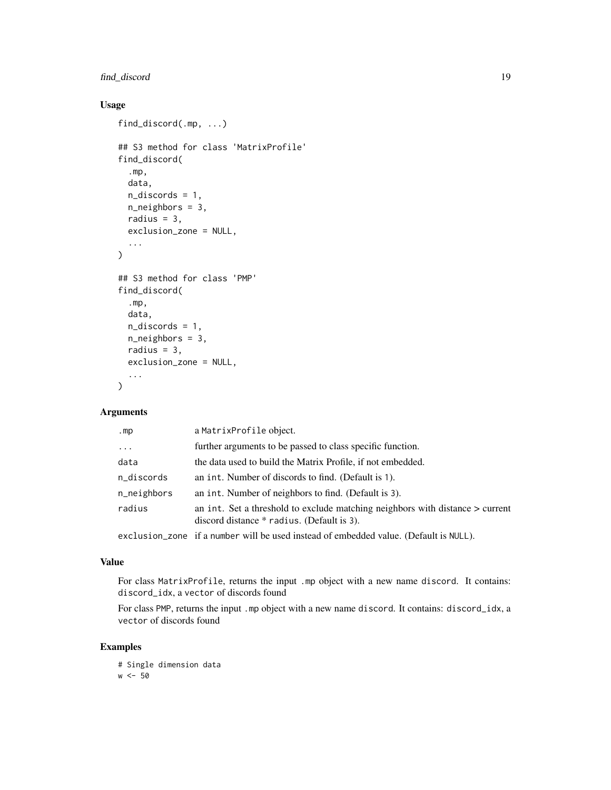## find\_discord 19

## Usage

```
find_discord(.mp, ...)
## S3 method for class 'MatrixProfile'
find_discord(
  .mp,
 data,
 n_discords = 1,
 n_neighbors = 3,
 radius = 3,exclusion_zone = NULL,
  ...
)
## S3 method for class 'PMP'
find_discord(
  .mp,
 data,
 n_discords = 1,
 n_neighbors = 3,
 radius = 3,exclusion_zone = NULL,
  ...
)
```
## Arguments

| .mp         | a MatrixProfile object.                                                                                                       |
|-------------|-------------------------------------------------------------------------------------------------------------------------------|
| $\ddotsc$   | further arguments to be passed to class specific function.                                                                    |
| data        | the data used to build the Matrix Profile, if not embedded.                                                                   |
| n_discords  | an int. Number of discords to find. (Default is 1).                                                                           |
| n_neighbors | an int. Number of neighbors to find. (Default is 3).                                                                          |
| radius      | an int. Set a threshold to exclude matching neighbors with distance $>$ current<br>discord distance * radius. (Default is 3). |
|             | exclusion_zone if a number will be used instead of embedded value. (Default is NULL).                                         |

#### Value

For class MatrixProfile, returns the input .mp object with a new name discord. It contains: discord\_idx, a vector of discords found

For class PMP, returns the input .mp object with a new name discord. It contains: discord\_idx, a vector of discords found

## Examples

```
# Single dimension data
w < -50
```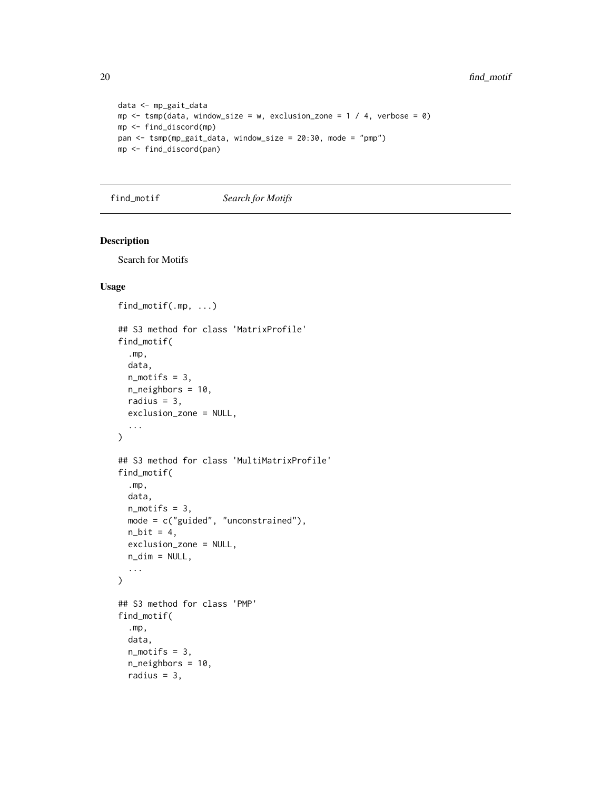```
data <- mp_gait_data
mp \le - \text{tsmp}(data, window\_size = w, exclusion\_zone = 1 / 4, verbose = 0)mp <- find_discord(mp)
pan <- tsmp(mp_gait_data, window_size = 20:30, mode = "pmp")
mp <- find_discord(pan)
```
find\_motif *Search for Motifs*

## Description

Search for Motifs

## Usage

```
find_motif(.mp, ...)
## S3 method for class 'MatrixProfile'
find_motif(
  .mp,
 data,
 n_motifs = 3,
 n_neighbors = 10,
 radius = 3,
 exclusion_zone = NULL,
  ...
\lambda## S3 method for class 'MultiMatrixProfile'
find_motif(
  .mp,
  data,
  n_motifs = 3,
 mode = c("guided", "unconstrained"),
 n\_bit = 4,
 exclusion_zone = NULL,
 n\_dim = NULL,...
\mathcal{L}## S3 method for class 'PMP'
find_motif(
  .mp,
 data,
 n<sup>motifs = 3,</sup>
  n_neighbors = 10,
  radius = 3,
```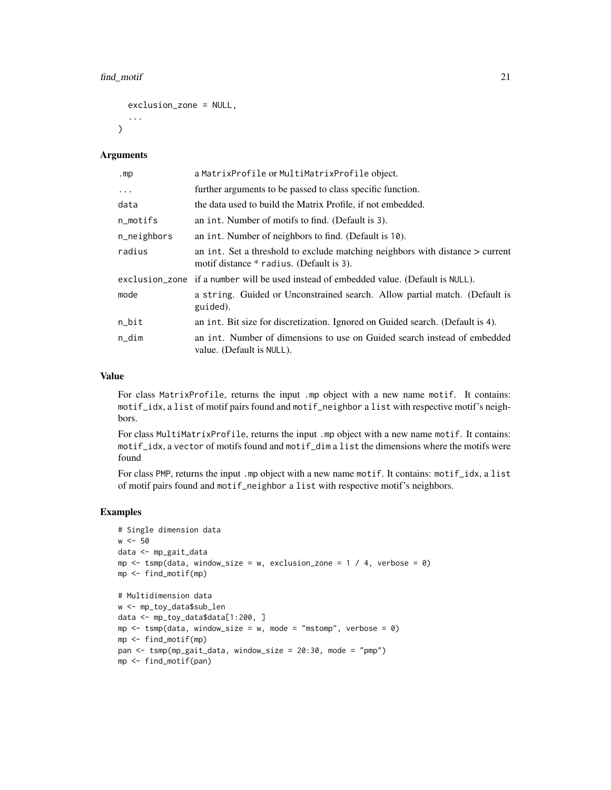```
exclusion_zone = NULL,
...
```
#### **Arguments**

 $\lambda$ 

| mp          | a MatrixProfile or MultiMatrixProfile object.                                                                               |
|-------------|-----------------------------------------------------------------------------------------------------------------------------|
| $\ddots$ .  | further arguments to be passed to class specific function.                                                                  |
| data        | the data used to build the Matrix Profile, if not embedded.                                                                 |
| n_motifs    | an int. Number of motifs to find. (Default is 3).                                                                           |
| n_neighbors | an int. Number of neighbors to find. (Default is 10).                                                                       |
| radius      | an int. Set a threshold to exclude matching neighbors with distance $>$ current<br>motif distance * radius. (Default is 3). |
|             | exclusion_zone if a number will be used instead of embedded value. (Default is NULL).                                       |
| mode        | a string. Guided or Unconstrained search. Allow partial match. (Default is<br>guided).                                      |
| n_bit       | an int. Bit size for discretization. Ignored on Guided search. (Default is 4).                                              |
| n_dim       | an int. Number of dimensions to use on Guided search instead of embedded<br>value. (Default is NULL).                       |

#### Value

For class MatrixProfile, returns the input .mp object with a new name motif. It contains: motif\_idx, a list of motif pairs found and motif\_neighbor a list with respective motif's neighbors.

For class MultiMatrixProfile, returns the input .mp object with a new name motif. It contains: motif\_idx, a vector of motifs found and motif\_dim a list the dimensions where the motifs were found

For class PMP, returns the input .mp object with a new name motif. It contains: motif\_idx, a list of motif pairs found and motif\_neighbor a list with respective motif's neighbors.

## Examples

```
# Single dimension data
w < -50data <- mp_gait_data
mp \le - tsmp(data, window_size = w, exclusion_zone = 1 / 4, verbose = 0)
mp <- find_motif(mp)
# Multidimension data
w <- mp_toy_data$sub_len
data <- mp_toy_data$data[1:200, ]
mp \le - tsmp(data, window_size = w, mode = "mstomp", verbose = 0)
mp <- find_motif(mp)
pan <- tsmp(mp_gait_data, window_size = 20:30, mode = "pmp")
mp <- find_motif(pan)
```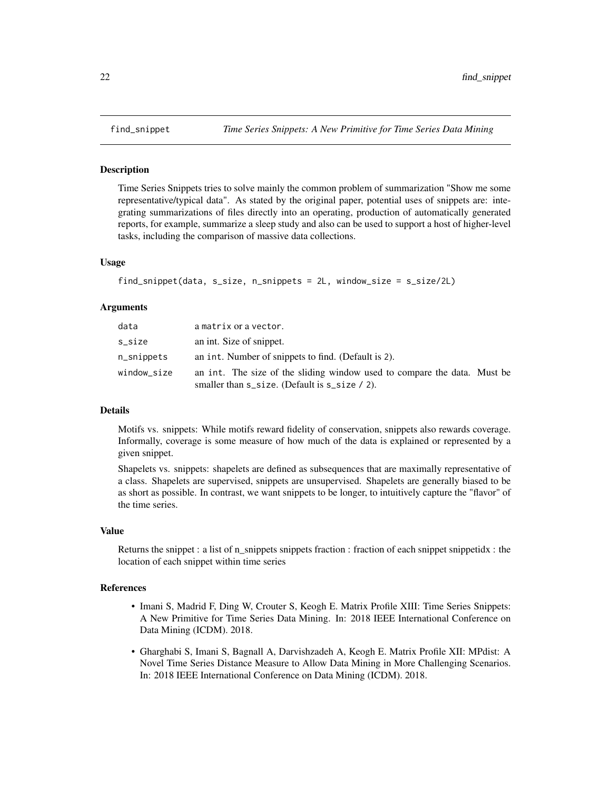Time Series Snippets tries to solve mainly the common problem of summarization "Show me some representative/typical data". As stated by the original paper, potential uses of snippets are: integrating summarizations of files directly into an operating, production of automatically generated reports, for example, summarize a sleep study and also can be used to support a host of higher-level tasks, including the comparison of massive data collections.

## Usage

```
find_snippet(data, s_size, n_snippets = 2L, window_size = s_size/2L)
```
#### Arguments

| data          | a matrix or a vector.                                                                                                           |
|---------------|---------------------------------------------------------------------------------------------------------------------------------|
| s_size        | an int. Size of snippet.                                                                                                        |
| $n$ _snippets | an int. Number of snippets to find. (Default is 2).                                                                             |
| window_size   | an int. The size of the sliding window used to compare the data. Must be<br>smaller than $s$ _size. (Default is $s$ _size / 2). |

#### Details

Motifs vs. snippets: While motifs reward fidelity of conservation, snippets also rewards coverage. Informally, coverage is some measure of how much of the data is explained or represented by a given snippet.

Shapelets vs. snippets: shapelets are defined as subsequences that are maximally representative of a class. Shapelets are supervised, snippets are unsupervised. Shapelets are generally biased to be as short as possible. In contrast, we want snippets to be longer, to intuitively capture the "flavor" of the time series.

#### Value

Returns the snippet : a list of n\_snippets snippets fraction : fraction of each snippet snippetidx : the location of each snippet within time series

## References

- Imani S, Madrid F, Ding W, Crouter S, Keogh E. Matrix Profile XIII: Time Series Snippets: A New Primitive for Time Series Data Mining. In: 2018 IEEE International Conference on Data Mining (ICDM). 2018.
- Gharghabi S, Imani S, Bagnall A, Darvishzadeh A, Keogh E. Matrix Profile XII: MPdist: A Novel Time Series Distance Measure to Allow Data Mining in More Challenging Scenarios. In: 2018 IEEE International Conference on Data Mining (ICDM). 2018.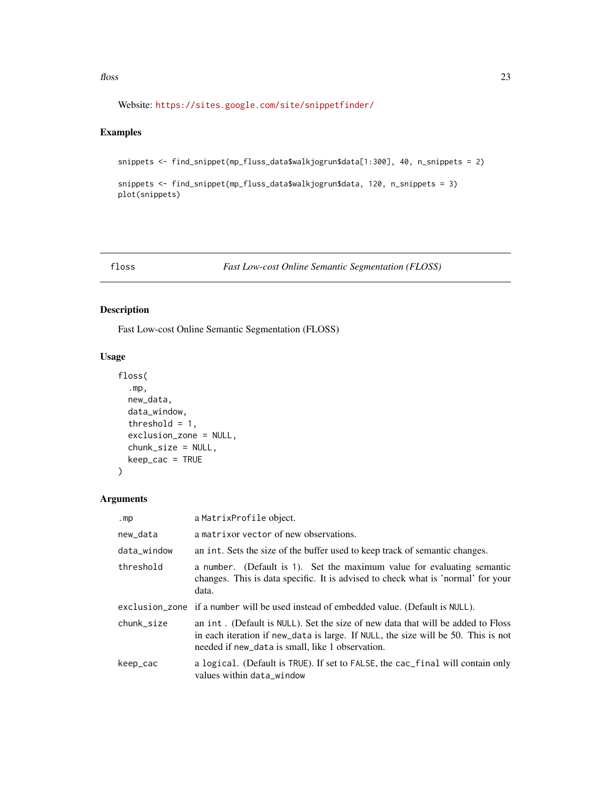#### <span id="page-22-0"></span> $f$ loss 23

Website: <https://sites.google.com/site/snippetfinder/>

## Examples

```
snippets <- find_snippet(mp_fluss_data$walkjogrun$data[1:300], 40, n_snippets = 2)
```

```
snippets <- find_snippet(mp_fluss_data$walkjogrun$data, 120, n_snippets = 3)
plot(snippets)
```
## <span id="page-22-1"></span>floss *Fast Low-cost Online Semantic Segmentation (FLOSS)*

## Description

Fast Low-cost Online Semantic Segmentation (FLOSS)

## Usage

```
floss(
  .mp,
  new_data,
 data_window,
  threshold = 1,
 exclusion_zone = NULL,
  chunk_size = NULL,
 keep_cac = TRUE
)
```
## Arguments

| .mp         | a MatrixProfile object.                                                                                                                                                                                                  |
|-------------|--------------------------------------------------------------------------------------------------------------------------------------------------------------------------------------------------------------------------|
| new_data    | a matrix or vector of new observations.                                                                                                                                                                                  |
| data_window | an int. Sets the size of the buffer used to keep track of semantic changes.                                                                                                                                              |
| threshold   | a number. (Default is 1). Set the maximum value for evaluating semantic<br>changes. This is data specific. It is advised to check what is 'normal' for your<br>data.                                                     |
|             | exclusion_zone if a number will be used instead of embedded value. (Default is NULL).                                                                                                                                    |
| chunk size  | an int. (Default is NULL). Set the size of new data that will be added to Floss<br>in each iteration if new_data is large. If NULL, the size will be 50. This is not<br>needed if new_data is small, like 1 observation. |
| keep_cac    | a logical. (Default is TRUE). If set to FALSE, the cac_final will contain only<br>values within data_window                                                                                                              |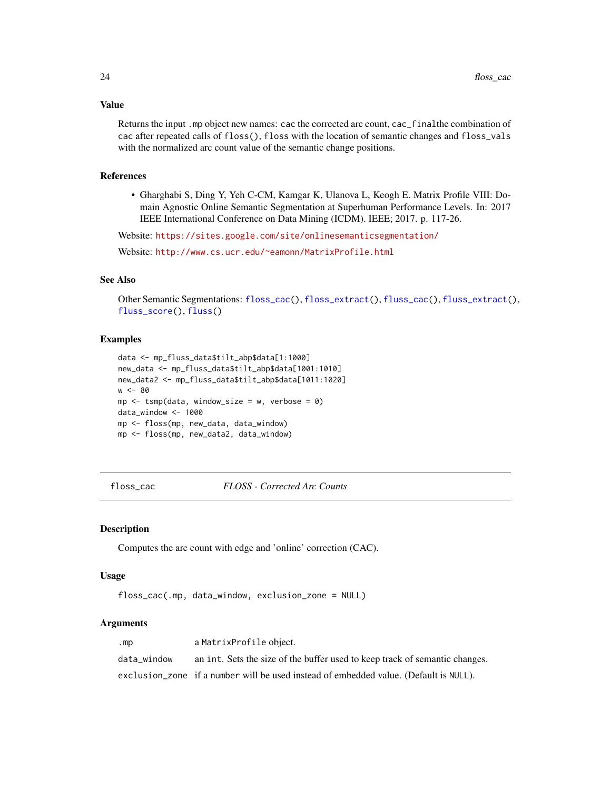## Value

Returns the input .mp object new names: cac the corrected arc count, cac\_finalthe combination of cac after repeated calls of floss(), floss with the location of semantic changes and floss\_vals with the normalized arc count value of the semantic change positions.

## References

• Gharghabi S, Ding Y, Yeh C-CM, Kamgar K, Ulanova L, Keogh E. Matrix Profile VIII: Domain Agnostic Online Semantic Segmentation at Superhuman Performance Levels. In: 2017 IEEE International Conference on Data Mining (ICDM). IEEE; 2017. p. 117-26.

Website: <https://sites.google.com/site/onlinesemanticsegmentation/>

Website: <http://www.cs.ucr.edu/~eamonn/MatrixProfile.html>

## See Also

Other Semantic Segmentations: [floss\\_cac\(](#page-23-1)), [floss\\_extract\(](#page-24-1)), [fluss\\_cac\(](#page-26-1)), [fluss\\_extract\(](#page-27-1)), [fluss\\_score\(](#page-28-1)), [fluss\(](#page-25-1))

#### Examples

```
data <- mp_fluss_data$tilt_abp$data[1:1000]
new_data <- mp_fluss_data$tilt_abp$data[1001:1010]
new_data2 <- mp_fluss_data$tilt_abp$data[1011:1020]
w < -80mp \le tsmp(data, window_size = w, verbose = 0)
data_window <- 1000
mp <- floss(mp, new_data, data_window)
mp <- floss(mp, new_data2, data_window)
```
<span id="page-23-1"></span>floss\_cac *FLOSS - Corrected Arc Counts*

#### Description

Computes the arc count with edge and 'online' correction (CAC).

## Usage

floss\_cac(.mp, data\_window, exclusion\_zone = NULL)

#### Arguments

| .mp         | a MatrixProfile object.                                                               |
|-------------|---------------------------------------------------------------------------------------|
| data window | an int. Sets the size of the buffer used to keep track of semantic changes.           |
|             | exclusion_zone if a number will be used instead of embedded value. (Default is NULL). |

<span id="page-23-0"></span>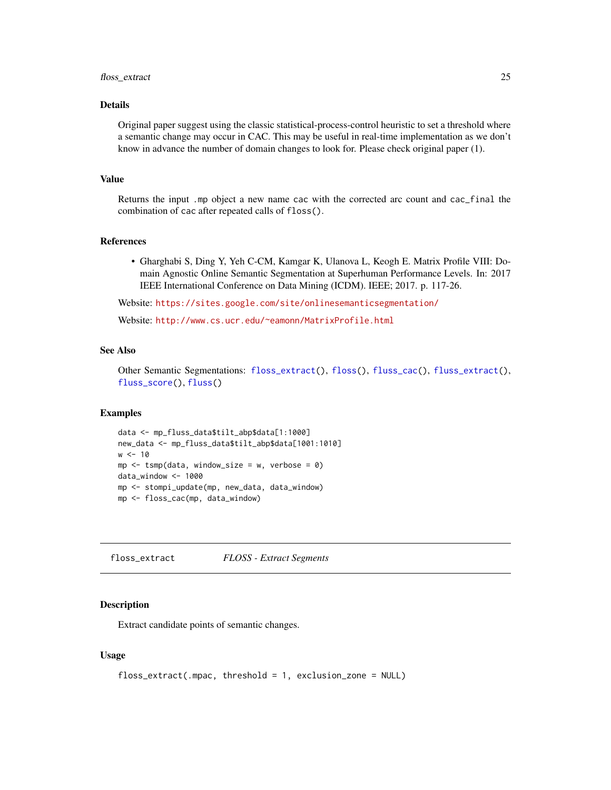#### <span id="page-24-0"></span>floss\_extract 25

## Details

Original paper suggest using the classic statistical-process-control heuristic to set a threshold where a semantic change may occur in CAC. This may be useful in real-time implementation as we don't know in advance the number of domain changes to look for. Please check original paper (1).

#### Value

Returns the input .mp object a new name cac with the corrected arc count and cac\_final the combination of cac after repeated calls of floss().

#### References

• Gharghabi S, Ding Y, Yeh C-CM, Kamgar K, Ulanova L, Keogh E. Matrix Profile VIII: Domain Agnostic Online Semantic Segmentation at Superhuman Performance Levels. In: 2017 IEEE International Conference on Data Mining (ICDM). IEEE; 2017. p. 117-26.

Website: <https://sites.google.com/site/onlinesemanticsegmentation/>

Website: <http://www.cs.ucr.edu/~eamonn/MatrixProfile.html>

## See Also

Other Semantic Segmentations: [floss\\_extract\(](#page-24-1)), [floss\(](#page-22-1)), [fluss\\_cac\(](#page-26-1)), [fluss\\_extract\(](#page-27-1)), [fluss\\_score\(](#page-28-1)), [fluss\(](#page-25-1))

#### Examples

```
data <- mp_fluss_data$tilt_abp$data[1:1000]
new_data <- mp_fluss_data$tilt_abp$data[1001:1010]
w < -10mp \le - tsmp(data, window_size = w, verbose = 0)
data_window <- 1000
mp <- stompi_update(mp, new_data, data_window)
mp <- floss_cac(mp, data_window)
```
<span id="page-24-1"></span>floss\_extract *FLOSS - Extract Segments*

#### **Description**

Extract candidate points of semantic changes.

#### Usage

```
floss_extract(.mpac, threshold = 1, exclusion_zone = NULL)
```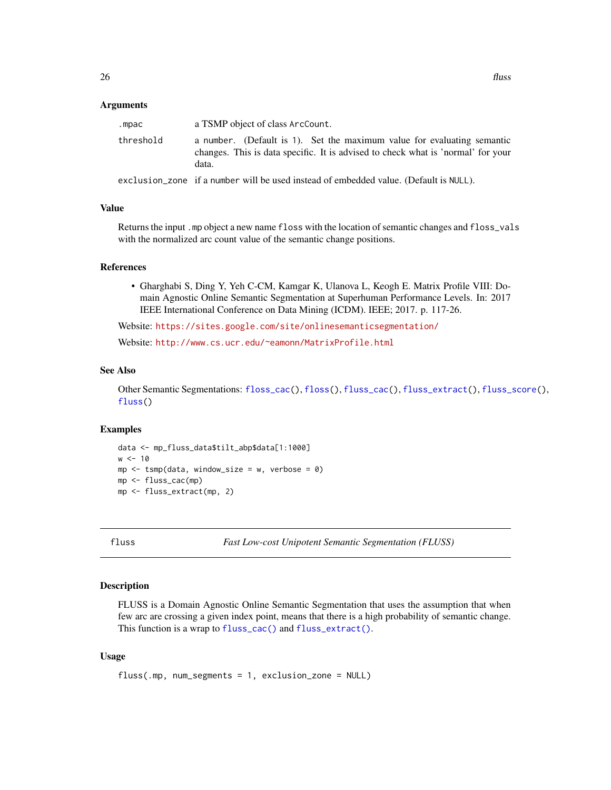#### <span id="page-25-0"></span>Arguments

| .mpac     | a TSMP object of class ArcCount.                                                                                                                                     |
|-----------|----------------------------------------------------------------------------------------------------------------------------------------------------------------------|
| threshold | a number. (Default is 1). Set the maximum value for evaluating semantic<br>changes. This is data specific. It is advised to check what is 'normal' for your<br>data. |
|           | exclusion_zone if a number will be used instead of embedded value. (Default is NULL).                                                                                |

#### Value

Returns the input .mp object a new name floss with the location of semantic changes and floss\_vals with the normalized arc count value of the semantic change positions.

#### References

• Gharghabi S, Ding Y, Yeh C-CM, Kamgar K, Ulanova L, Keogh E. Matrix Profile VIII: Domain Agnostic Online Semantic Segmentation at Superhuman Performance Levels. In: 2017 IEEE International Conference on Data Mining (ICDM). IEEE; 2017. p. 117-26.

Website: <https://sites.google.com/site/onlinesemanticsegmentation/>

Website: <http://www.cs.ucr.edu/~eamonn/MatrixProfile.html>

#### See Also

Other Semantic Segmentations: [floss\\_cac\(](#page-23-1)), [floss\(](#page-22-1)), [fluss\\_cac\(](#page-26-1)), [fluss\\_extract\(](#page-27-1)), [fluss\\_score\(](#page-28-1)), [fluss\(](#page-25-1))

#### Examples

```
data <- mp_fluss_data$tilt_abp$data[1:1000]
w < -10mp \le - tsmp(data, window_size = w, verbose = 0)
mp <- fluss_cac(mp)
mp <- fluss_extract(mp, 2)
```
<span id="page-25-1"></span>

fluss *Fast Low-cost Unipotent Semantic Segmentation (FLUSS)*

#### Description

FLUSS is a Domain Agnostic Online Semantic Segmentation that uses the assumption that when few arc are crossing a given index point, means that there is a high probability of semantic change. This function is a wrap to [fluss\\_cac\(\)](#page-26-1) and [fluss\\_extract\(\)](#page-27-1).

#### Usage

```
fluss(.mp, num_segments = 1, exclusion_zone = NULL)
```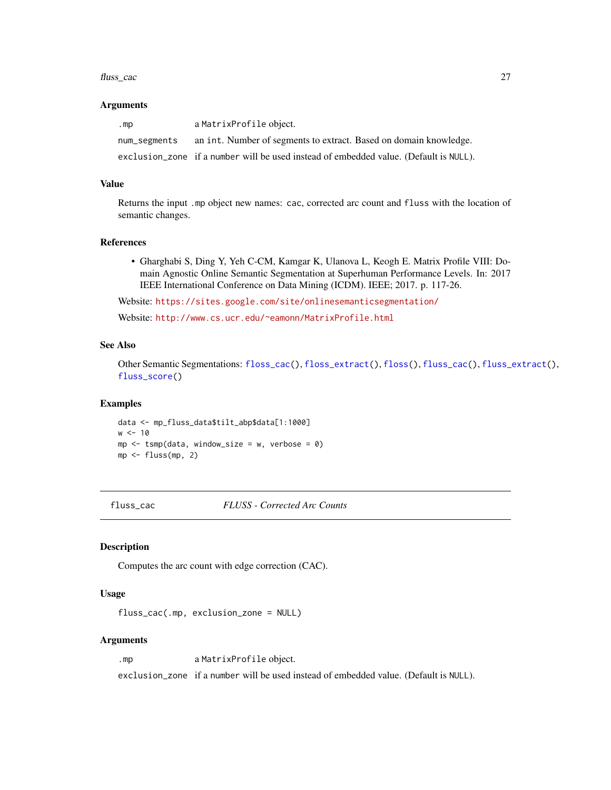#### <span id="page-26-0"></span>fluss\_cac 27

#### Arguments

| .mp          | a MatrixProfile object.                                                               |
|--------------|---------------------------------------------------------------------------------------|
| num_segments | an int. Number of segments to extract. Based on domain knowledge.                     |
|              | exclusion_zone if a number will be used instead of embedded value. (Default is NULL). |

#### Value

Returns the input .mp object new names: cac, corrected arc count and fluss with the location of semantic changes.

#### References

• Gharghabi S, Ding Y, Yeh C-CM, Kamgar K, Ulanova L, Keogh E. Matrix Profile VIII: Domain Agnostic Online Semantic Segmentation at Superhuman Performance Levels. In: 2017 IEEE International Conference on Data Mining (ICDM). IEEE; 2017. p. 117-26.

Website: <https://sites.google.com/site/onlinesemanticsegmentation/>

Website: <http://www.cs.ucr.edu/~eamonn/MatrixProfile.html>

## See Also

Other Semantic Segmentations: [floss\\_cac\(](#page-23-1)), [floss\\_extract\(](#page-24-1)), [floss\(](#page-22-1)), [fluss\\_cac\(](#page-26-1)), [fluss\\_extract\(](#page-27-1)), [fluss\\_score\(](#page-28-1))

#### Examples

data <- mp\_fluss\_data\$tilt\_abp\$data[1:1000]  $w < -10$  $mp \le -\t comp(data, window\_size = w, verbose = 0)$ mp <- fluss(mp, 2)

<span id="page-26-1"></span>fluss\_cac *FLUSS - Corrected Arc Counts*

#### Description

Computes the arc count with edge correction (CAC).

#### Usage

fluss\_cac(.mp, exclusion\_zone = NULL)

#### Arguments

.mp a MatrixProfile object.

exclusion\_zone if a number will be used instead of embedded value. (Default is NULL).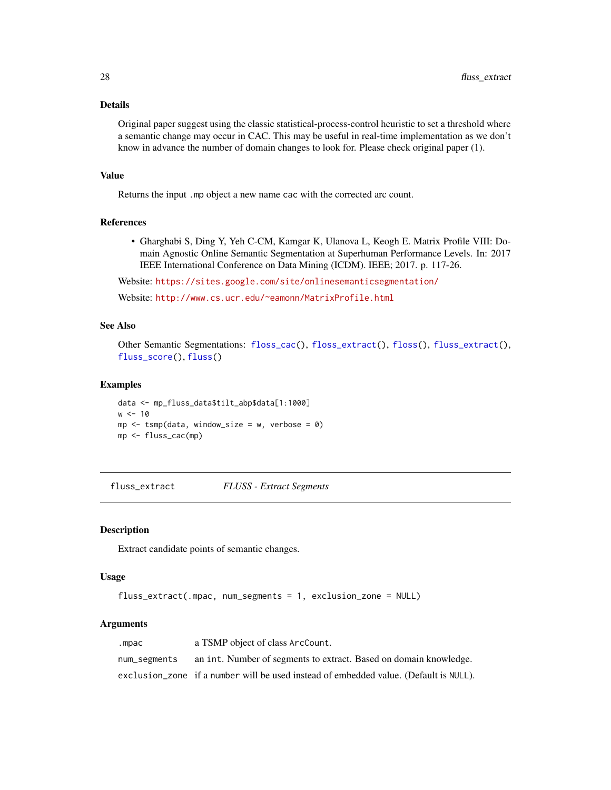## Details

Original paper suggest using the classic statistical-process-control heuristic to set a threshold where a semantic change may occur in CAC. This may be useful in real-time implementation as we don't know in advance the number of domain changes to look for. Please check original paper (1).

## Value

Returns the input .mp object a new name cac with the corrected arc count.

## References

• Gharghabi S, Ding Y, Yeh C-CM, Kamgar K, Ulanova L, Keogh E. Matrix Profile VIII: Domain Agnostic Online Semantic Segmentation at Superhuman Performance Levels. In: 2017 IEEE International Conference on Data Mining (ICDM). IEEE; 2017. p. 117-26.

Website: <https://sites.google.com/site/onlinesemanticsegmentation/>

Website: <http://www.cs.ucr.edu/~eamonn/MatrixProfile.html>

## See Also

Other Semantic Segmentations: [floss\\_cac\(](#page-23-1)), [floss\\_extract\(](#page-24-1)), [floss\(](#page-22-1)), [fluss\\_extract\(](#page-27-1)), [fluss\\_score\(](#page-28-1)), [fluss\(](#page-25-1))

#### Examples

```
data <- mp_fluss_data$tilt_abp$data[1:1000]
w < -10mp \le - tsmp(data, window_size = w, verbose = 0)
mp <- fluss_cac(mp)
```
<span id="page-27-1"></span>fluss\_extract *FLUSS - Extract Segments*

#### Description

Extract candidate points of semantic changes.

## Usage

```
fluss_extract(.mpac, num_segments = 1, exclusion_zone = NULL)
```
#### Arguments

| .mpac        | a TSMP object of class ArcCount.                                                      |
|--------------|---------------------------------------------------------------------------------------|
| num_segments | an int. Number of segments to extract. Based on domain knowledge.                     |
|              | exclusion_zone if a number will be used instead of embedded value. (Default is NULL). |

<span id="page-27-0"></span>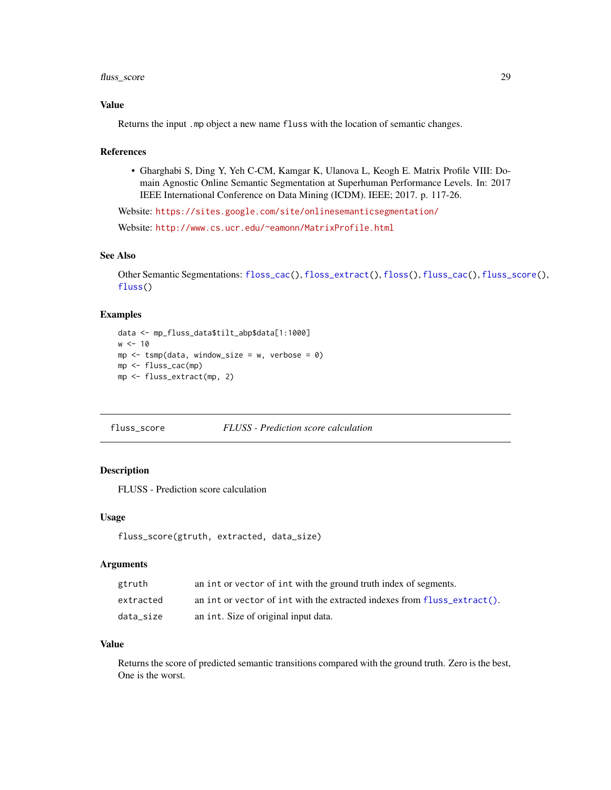## <span id="page-28-0"></span>fluss\_score 29

## Value

Returns the input .mp object a new name fluss with the location of semantic changes.

#### References

• Gharghabi S, Ding Y, Yeh C-CM, Kamgar K, Ulanova L, Keogh E. Matrix Profile VIII: Domain Agnostic Online Semantic Segmentation at Superhuman Performance Levels. In: 2017 IEEE International Conference on Data Mining (ICDM). IEEE; 2017. p. 117-26.

Website: <https://sites.google.com/site/onlinesemanticsegmentation/>

Website: <http://www.cs.ucr.edu/~eamonn/MatrixProfile.html>

## See Also

Other Semantic Segmentations: [floss\\_cac\(](#page-23-1)), [floss\\_extract\(](#page-24-1)), [floss\(](#page-22-1)), [fluss\\_cac\(](#page-26-1)), [fluss\\_score\(](#page-28-1)), [fluss\(](#page-25-1))

#### Examples

```
data <- mp_fluss_data$tilt_abp$data[1:1000]
w < -10mp \le - tsmp(data, window_size = w, verbose = 0)
mp <- fluss_cac(mp)
mp <- fluss_extract(mp, 2)
```
## <span id="page-28-1"></span>fluss\_score *FLUSS - Prediction score calculation*

## Description

FLUSS - Prediction score calculation

#### Usage

```
fluss_score(gtruth, extracted, data_size)
```
## Arguments

| gtruth    | an int or vector of int with the ground truth index of segments.         |
|-----------|--------------------------------------------------------------------------|
| extracted | an int or vector of int with the extracted indexes from fluss_extract(). |
| data size | an int. Size of original input data.                                     |

#### Value

Returns the score of predicted semantic transitions compared with the ground truth. Zero is the best, One is the worst.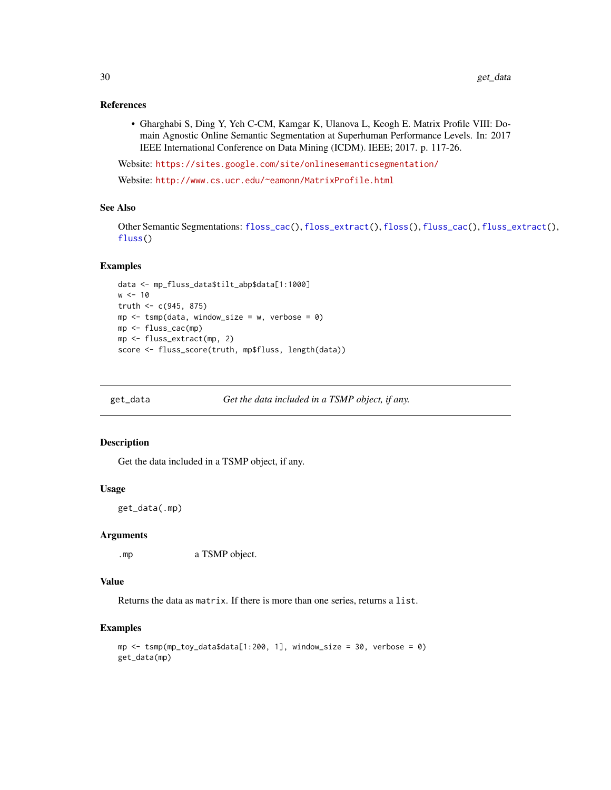#### <span id="page-29-0"></span>References

• Gharghabi S, Ding Y, Yeh C-CM, Kamgar K, Ulanova L, Keogh E. Matrix Profile VIII: Domain Agnostic Online Semantic Segmentation at Superhuman Performance Levels. In: 2017 IEEE International Conference on Data Mining (ICDM). IEEE; 2017. p. 117-26.

Website: <https://sites.google.com/site/onlinesemanticsegmentation/>

Website: <http://www.cs.ucr.edu/~eamonn/MatrixProfile.html>

#### See Also

Other Semantic Segmentations: [floss\\_cac\(](#page-23-1)), [floss\\_extract\(](#page-24-1)), [floss\(](#page-22-1)), [fluss\\_cac\(](#page-26-1)), [fluss\\_extract\(](#page-27-1)), [fluss\(](#page-25-1))

#### Examples

```
data <- mp_fluss_data$tilt_abp$data[1:1000]
w < -10truth <-c(945, 875)mp \le - tsmp(data, window_size = w, verbose = 0)
mp <- fluss_cac(mp)
mp <- fluss_extract(mp, 2)
score <- fluss_score(truth, mp$fluss, length(data))
```

```
get_data Get the data included in a TSMP object, if any.
```
#### Description

Get the data included in a TSMP object, if any.

#### Usage

get\_data(.mp)

#### Arguments

.mp a TSMP object.

#### Value

Returns the data as matrix. If there is more than one series, returns a list.

#### Examples

```
mp <- tsmp(mp_toy_data$data[1:200, 1], window_size = 30, verbose = 0)
get_data(mp)
```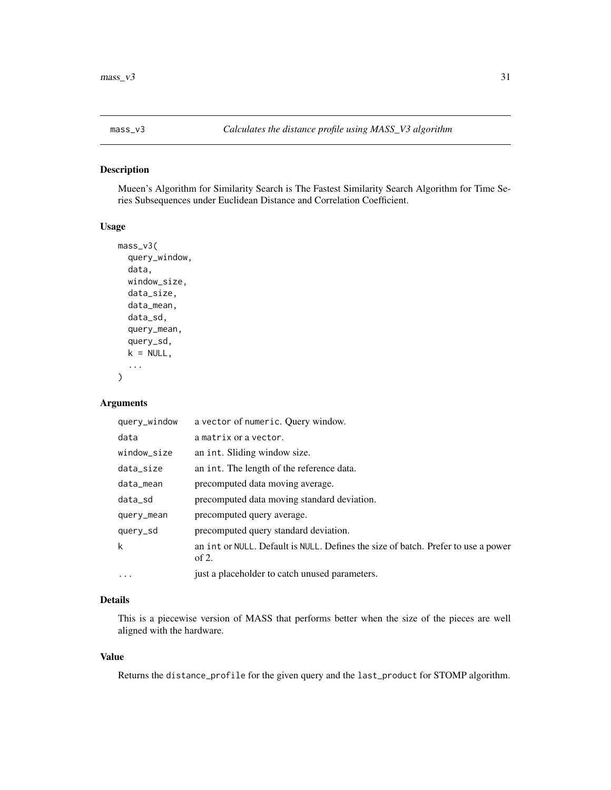<span id="page-30-0"></span>

Mueen's Algorithm for Similarity Search is The Fastest Similarity Search Algorithm for Time Series Subsequences under Euclidean Distance and Correlation Coefficient.

#### Usage

```
mass_v3(
  query_window,
  data,
 window_size,
  data_size,
  data_mean,
  data_sd,
  query_mean,
  query_sd,
  k = NULL,...
)
```
#### Arguments

| query_window | a vector of numeric. Query window.                                                         |
|--------------|--------------------------------------------------------------------------------------------|
| data         | a matrix or a vector.                                                                      |
| window_size  | an int. Sliding window size.                                                               |
| data_size    | an int. The length of the reference data.                                                  |
| data_mean    | precomputed data moving average.                                                           |
| data_sd      | precomputed data moving standard deviation.                                                |
| query_mean   | precomputed query average.                                                                 |
| query_sd     | precomputed query standard deviation.                                                      |
| k            | an int or NULL. Default is NULL. Defines the size of batch. Prefer to use a power<br>of 2. |
| $\cdots$     | just a placeholder to catch unused parameters.                                             |

## Details

This is a piecewise version of MASS that performs better when the size of the pieces are well aligned with the hardware.

## Value

Returns the distance\_profile for the given query and the last\_product for STOMP algorithm.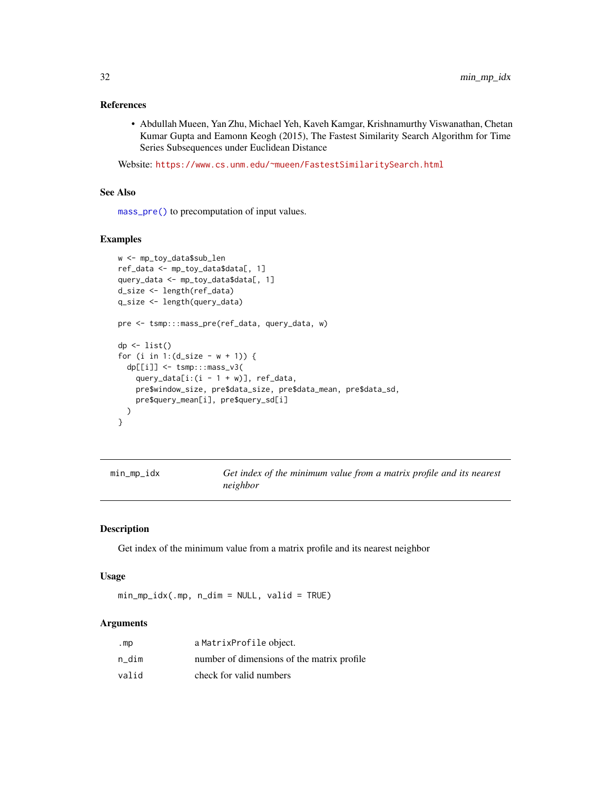## <span id="page-31-0"></span>References

• Abdullah Mueen, Yan Zhu, Michael Yeh, Kaveh Kamgar, Krishnamurthy Viswanathan, Chetan Kumar Gupta and Eamonn Keogh (2015), The Fastest Similarity Search Algorithm for Time Series Subsequences under Euclidean Distance

Website: <https://www.cs.unm.edu/~mueen/FastestSimilaritySearch.html>

#### See Also

[mass\\_pre\(\)](#page-0-0) to precomputation of input values.

#### Examples

```
w <- mp_toy_data$sub_len
ref_data <- mp_toy_data$data[, 1]
query_data <- mp_toy_data$data[, 1]
d_size <- length(ref_data)
q_size <- length(query_data)
pre <- tsmp:::mass_pre(ref_data, query_data, w)
dp \leftarrow list()for (i in 1:(d_size - w + 1)) {
  dp[[i]] <- tsmp:::mass_v3(
    query_data[i:(i - 1 + w)], ref_data,
    pre$window_size, pre$data_size, pre$data_mean, pre$data_sd,
    pre$query_mean[i], pre$query_sd[i]
  )
}
```

| min_mp_idx | Get index of the minimum value from a matrix profile and its nearest |
|------------|----------------------------------------------------------------------|
|            | neighbor                                                             |

#### Description

Get index of the minimum value from a matrix profile and its nearest neighbor

## Usage

 $min_m$  $p\_idx( .mp, n\_dim = NULL, valid = TRUE)$ 

#### Arguments

| .mp   | a MatrixProfile object.                    |
|-------|--------------------------------------------|
| n dim | number of dimensions of the matrix profile |
| valid | check for valid numbers                    |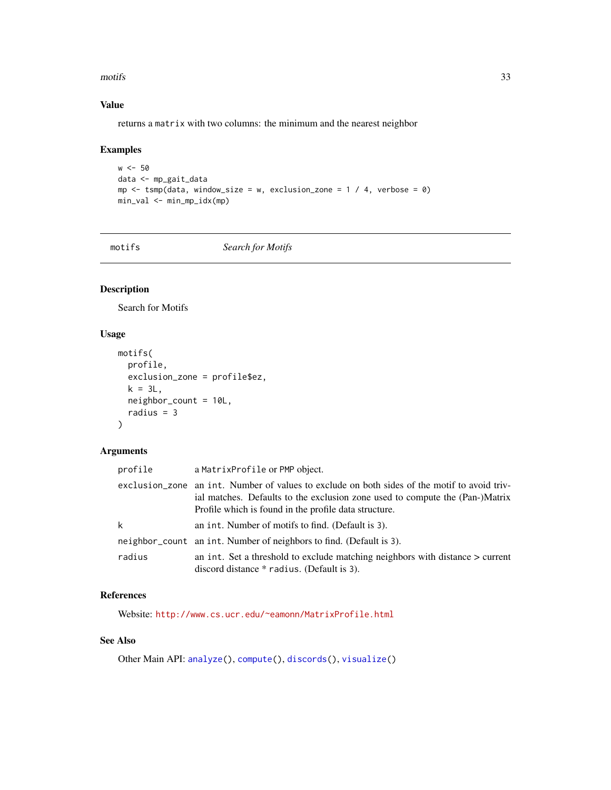#### <span id="page-32-0"></span>motifs 33

## Value

returns a matrix with two columns: the minimum and the nearest neighbor

## Examples

```
w < -50data <- mp_gait_data
mp \le -tsmp(data, window_size = w, exclusion_zone = 1 / 4, verbose = 0)
min_val <- min_mp_idx(mp)
```
<span id="page-32-1"></span>

motifs *Search for Motifs*

## Description

Search for Motifs

## Usage

```
motifs(
 profile,
 exclusion_zone = profile$ez,
 k = 3L,
 neighbor_count = 10L,
 radius = 3
)
```
## Arguments

| profile | a MatrixProfile or PMP object.                                                                                                                                                                                                        |
|---------|---------------------------------------------------------------------------------------------------------------------------------------------------------------------------------------------------------------------------------------|
|         | exclusion_zone an int. Number of values to exclude on both sides of the motif to avoid triv-<br>ial matches. Defaults to the exclusion zone used to compute the (Pan-)Matrix<br>Profile which is found in the profile data structure. |
| k       | an int. Number of motifs to find. (Default is 3).                                                                                                                                                                                     |
|         | neighbor_count an int. Number of neighbors to find. (Default is 3).                                                                                                                                                                   |
| radius  | an int. Set a threshold to exclude matching neighbors with distance $\geq$ current<br>discord distance * radius. (Default is 3).                                                                                                      |

## References

Website: <http://www.cs.ucr.edu/~eamonn/MatrixProfile.html>

## See Also

Other Main API: [analyze\(](#page-2-1)), [compute\(](#page-11-1)), [discords\(](#page-12-1)), [visualize\(](#page-69-1))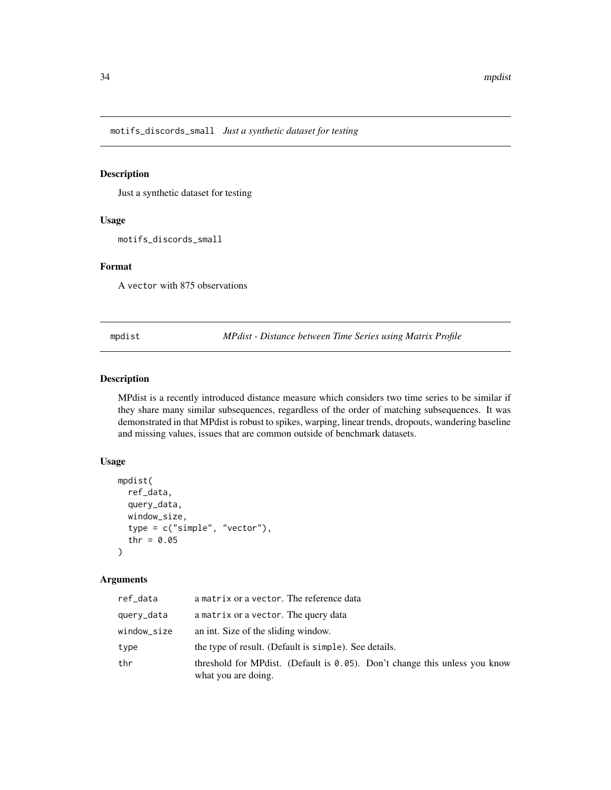<span id="page-33-0"></span>motifs\_discords\_small *Just a synthetic dataset for testing*

#### Description

Just a synthetic dataset for testing

## Usage

motifs\_discords\_small

## Format

A vector with 875 observations

mpdist *MPdist - Distance between Time Series using Matrix Profile*

## Description

MPdist is a recently introduced distance measure which considers two time series to be similar if they share many similar subsequences, regardless of the order of matching subsequences. It was demonstrated in that MPdist is robust to spikes, warping, linear trends, dropouts, wandering baseline and missing values, issues that are common outside of benchmark datasets.

## Usage

```
mpdist(
  ref_data,
  query_data,
  window_size,
  type = c("simple", "vector"),
  thr = 0.05)
```
### Arguments

| ref_data    | a matrix or a vector. The reference data                                                              |  |
|-------------|-------------------------------------------------------------------------------------------------------|--|
| query_data  | a matrix or a vector. The query data                                                                  |  |
| window_size | an int. Size of the sliding window.                                                                   |  |
| type        | the type of result. (Default is simple). See details.                                                 |  |
| thr         | threshold for MP dist. (Default is $0.05$ ). Don't change this unless you know<br>what you are doing. |  |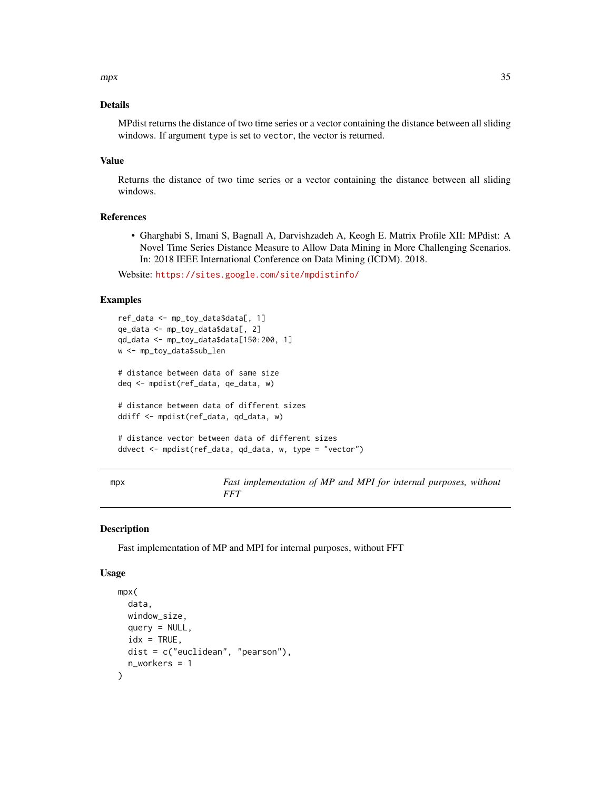#### <span id="page-34-0"></span> $\frac{1}{35}$  and  $\frac{1}{35}$  and  $\frac{1}{35}$  and  $\frac{1}{35}$  and  $\frac{1}{35}$  and  $\frac{1}{35}$  and  $\frac{1}{35}$  and  $\frac{1}{35}$  and  $\frac{1}{35}$  and  $\frac{1}{35}$  and  $\frac{1}{35}$  and  $\frac{1}{35}$  and  $\frac{1}{35}$  and  $\frac{1}{35}$  and  $\frac{1}{35}$

## Details

MPdist returns the distance of two time series or a vector containing the distance between all sliding windows. If argument type is set to vector, the vector is returned.

#### Value

Returns the distance of two time series or a vector containing the distance between all sliding windows.

## References

• Gharghabi S, Imani S, Bagnall A, Darvishzadeh A, Keogh E. Matrix Profile XII: MPdist: A Novel Time Series Distance Measure to Allow Data Mining in More Challenging Scenarios. In: 2018 IEEE International Conference on Data Mining (ICDM). 2018.

Website: <https://sites.google.com/site/mpdistinfo/>

#### Examples

```
ref_data <- mp_toy_data$data[, 1]
qe_data <- mp_toy_data$data[, 2]
qd_data <- mp_toy_data$data[150:200, 1]
w <- mp_toy_data$sub_len
# distance between data of same size
deq <- mpdist(ref_data, qe_data, w)
# distance between data of different sizes
ddiff <- mpdist(ref_data, qd_data, w)
# distance vector between data of different sizes
ddvect <- mpdist(ref_data, qd_data, w, type = "vector")
```
mpx *Fast implementation of MP and MPI for internal purposes, without FFT*

#### Description

Fast implementation of MP and MPI for internal purposes, without FFT

#### Usage

```
mpx(
  data,
  window_size,
  query = NULL,
  idx = TRUE,dist = c("euclidean", "pearson"),
  n_workers = 1
)
```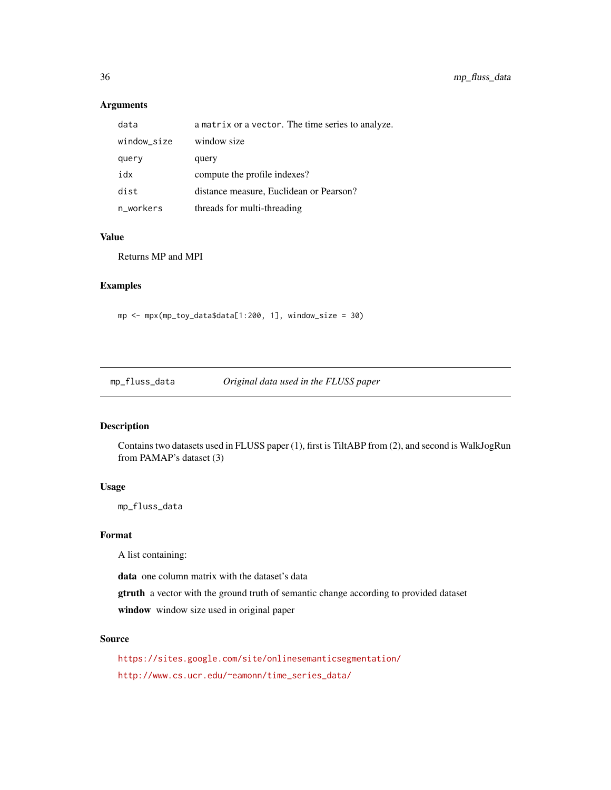## Arguments

| data        | a matrix or a vector. The time series to analyze. |
|-------------|---------------------------------------------------|
| window_size | window size                                       |
| query       | query                                             |
| xhi         | compute the profile indexes?                      |
| dist        | distance measure, Euclidean or Pearson?           |
| n_workers   | threads for multi-threading                       |

#### Value

Returns MP and MPI

## Examples

mp <- mpx(mp\_toy\_data\$data[1:200, 1], window\_size = 30)

mp\_fluss\_data *Original data used in the FLUSS paper*

## Description

Contains two datasets used in FLUSS paper (1), first is TiltABP from (2), and second is WalkJogRun from PAMAP's dataset (3)

#### Usage

mp\_fluss\_data

#### Format

A list containing:

data one column matrix with the dataset's data

gtruth a vector with the ground truth of semantic change according to provided dataset

window window size used in original paper

## Source

<https://sites.google.com/site/onlinesemanticsegmentation/> [http://www.cs.ucr.edu/~eamonn/time\\_series\\_data/](http://www.cs.ucr.edu/~eamonn/time_series_data/)

<span id="page-35-0"></span>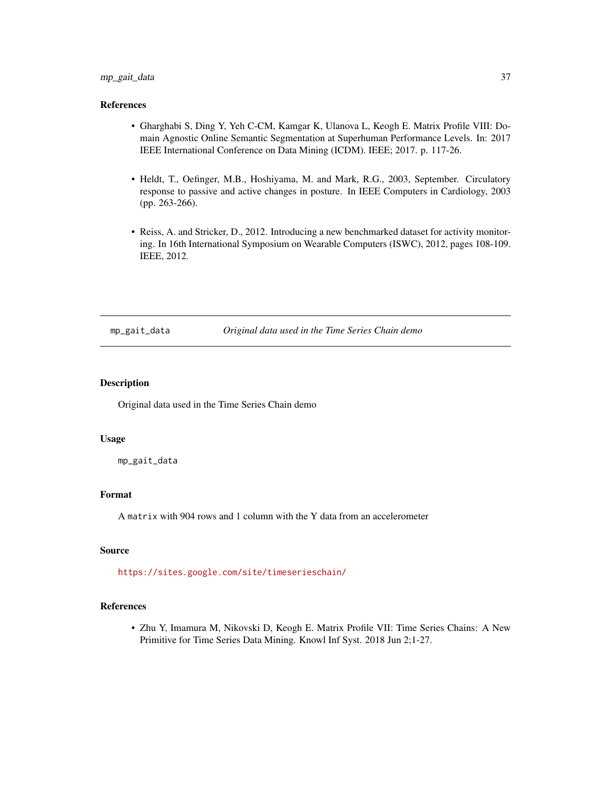# <span id="page-36-0"></span>mp\_gait\_data 37

# References

- Gharghabi S, Ding Y, Yeh C-CM, Kamgar K, Ulanova L, Keogh E. Matrix Profile VIII: Domain Agnostic Online Semantic Segmentation at Superhuman Performance Levels. In: 2017 IEEE International Conference on Data Mining (ICDM). IEEE; 2017. p. 117-26.
- Heldt, T., Oefinger, M.B., Hoshiyama, M. and Mark, R.G., 2003, September. Circulatory response to passive and active changes in posture. In IEEE Computers in Cardiology, 2003 (pp. 263-266).
- Reiss, A. and Stricker, D., 2012. Introducing a new benchmarked dataset for activity monitoring. In 16th International Symposium on Wearable Computers (ISWC), 2012, pages 108-109. IEEE, 2012.

mp\_gait\_data *Original data used in the Time Series Chain demo*

#### Description

Original data used in the Time Series Chain demo

#### Usage

mp\_gait\_data

# Format

A matrix with 904 rows and 1 column with the Y data from an accelerometer

## Source

<https://sites.google.com/site/timeserieschain/>

# References

• Zhu Y, Imamura M, Nikovski D, Keogh E. Matrix Profile VII: Time Series Chains: A New Primitive for Time Series Data Mining. Knowl Inf Syst. 2018 Jun 2;1-27.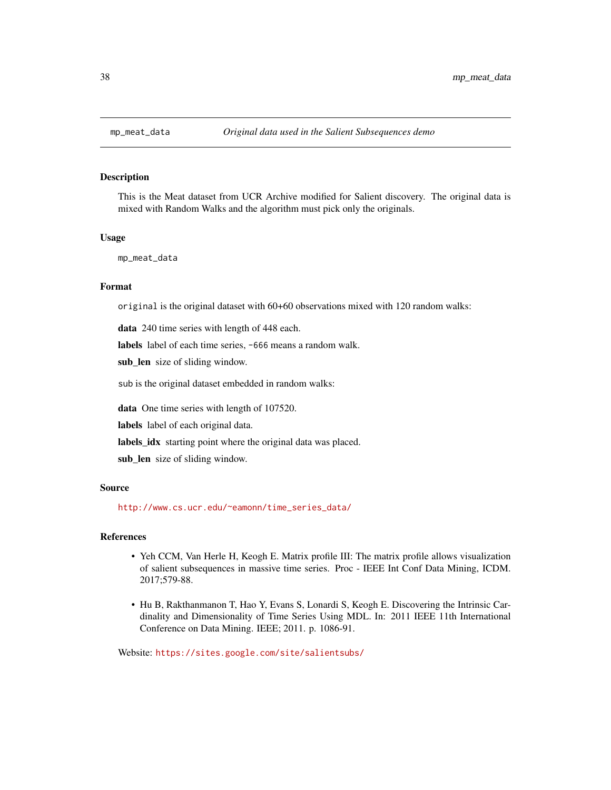<span id="page-37-0"></span>

This is the Meat dataset from UCR Archive modified for Salient discovery. The original data is mixed with Random Walks and the algorithm must pick only the originals.

#### Usage

mp\_meat\_data

## Format

original is the original dataset with 60+60 observations mixed with 120 random walks:

data 240 time series with length of 448 each.

labels label of each time series, -666 means a random walk.

sub\_len size of sliding window.

sub is the original dataset embedded in random walks:

data One time series with length of 107520.

labels label of each original data.

labels\_idx starting point where the original data was placed.

sub\_len size of sliding window.

## Source

[http://www.cs.ucr.edu/~eamonn/time\\_series\\_data/](http://www.cs.ucr.edu/~eamonn/time_series_data/)

#### References

- Yeh CCM, Van Herle H, Keogh E. Matrix profile III: The matrix profile allows visualization of salient subsequences in massive time series. Proc - IEEE Int Conf Data Mining, ICDM. 2017;579-88.
- Hu B, Rakthanmanon T, Hao Y, Evans S, Lonardi S, Keogh E. Discovering the Intrinsic Cardinality and Dimensionality of Time Series Using MDL. In: 2011 IEEE 11th International Conference on Data Mining. IEEE; 2011. p. 1086-91.

Website: <https://sites.google.com/site/salientsubs/>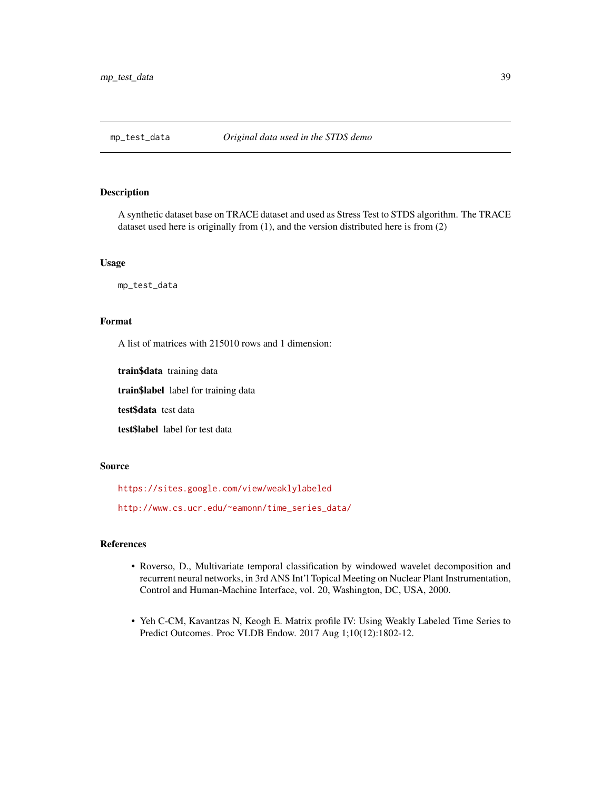<span id="page-38-0"></span>

A synthetic dataset base on TRACE dataset and used as Stress Test to STDS algorithm. The TRACE dataset used here is originally from (1), and the version distributed here is from (2)

## Usage

mp\_test\_data

# Format

A list of matrices with 215010 rows and 1 dimension:

train\$data training data

train\$label label for training data

test\$data test data

test\$label label for test data

#### Source

<https://sites.google.com/view/weaklylabeled>

[http://www.cs.ucr.edu/~eamonn/time\\_series\\_data/](http://www.cs.ucr.edu/~eamonn/time_series_data/)

# References

- Roverso, D., Multivariate temporal classification by windowed wavelet decomposition and recurrent neural networks, in 3rd ANS Int'l Topical Meeting on Nuclear Plant Instrumentation, Control and Human-Machine Interface, vol. 20, Washington, DC, USA, 2000.
- Yeh C-CM, Kavantzas N, Keogh E. Matrix profile IV: Using Weakly Labeled Time Series to Predict Outcomes. Proc VLDB Endow. 2017 Aug 1;10(12):1802-12.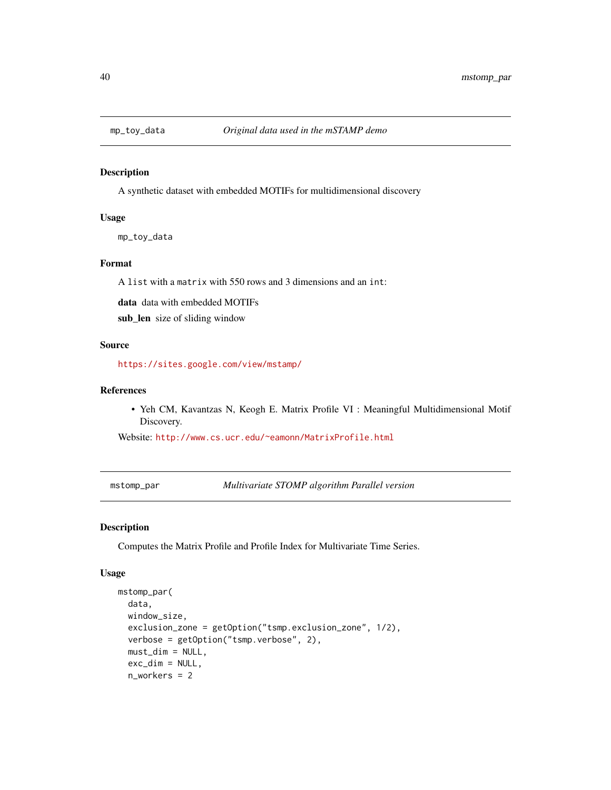<span id="page-39-2"></span>

A synthetic dataset with embedded MOTIFs for multidimensional discovery

# Usage

mp\_toy\_data

# Format

A list with a matrix with 550 rows and 3 dimensions and an int:

data data with embedded MOTIFs

sub\_len size of sliding window

# Source

<https://sites.google.com/view/mstamp/>

# References

• Yeh CM, Kavantzas N, Keogh E. Matrix Profile VI : Meaningful Multidimensional Motif Discovery.

Website: <http://www.cs.ucr.edu/~eamonn/MatrixProfile.html>

<span id="page-39-0"></span>mstomp\_par *Multivariate STOMP algorithm Parallel version*

# <span id="page-39-1"></span>Description

Computes the Matrix Profile and Profile Index for Multivariate Time Series.

#### Usage

```
mstomp_par(
  data,
  window_size,
  exclusion_zone = getOption("tsmp.exclusion_zone", 1/2),
  verbose = getOption("tsmp.verbose", 2),
  must_dim = NULL,
  exc_dim = NULL,
  n_workers = 2
```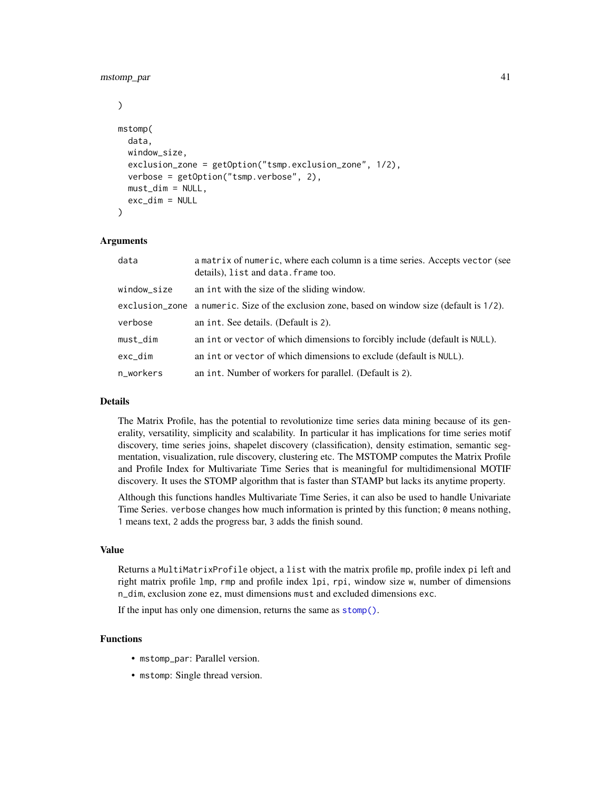## mstomp\_par 41

```
)
mstomp(
  data,
 window_size,
  exclusion_zone = getOption("tsmp.exclusion_zone", 1/2),
  verbose = getOption("tsmp.verbose", 2),
 must\_dim = NULL,exc_dim = NULL
)
```
# Arguments

| data        | a matrix of numeric, where each column is a time series. Accepts vector (see<br>details), list and data. frame too. |
|-------------|---------------------------------------------------------------------------------------------------------------------|
| window_size | an int with the size of the sliding window.                                                                         |
|             | exclusion_zone a numeric. Size of the exclusion zone, based on window size (default is 1/2).                        |
| verbose     | an int. See details. (Default is 2).                                                                                |
| $must\_dim$ | an int or vector of which dimensions to forcibly include (default is NULL).                                         |
| exc_dim     | an int or vector of which dimensions to exclude (default is NULL).                                                  |
| n_workers   | an int. Number of workers for parallel. (Default is 2).                                                             |

# Details

The Matrix Profile, has the potential to revolutionize time series data mining because of its generality, versatility, simplicity and scalability. In particular it has implications for time series motif discovery, time series joins, shapelet discovery (classification), density estimation, semantic segmentation, visualization, rule discovery, clustering etc. The MSTOMP computes the Matrix Profile and Profile Index for Multivariate Time Series that is meaningful for multidimensional MOTIF discovery. It uses the STOMP algorithm that is faster than STAMP but lacks its anytime property.

Although this functions handles Multivariate Time Series, it can also be used to handle Univariate Time Series. verbose changes how much information is printed by this function; 0 means nothing, 1 means text, 2 adds the progress bar, 3 adds the finish sound.

#### Value

Returns a MultiMatrixProfile object, a list with the matrix profile mp, profile index pi left and right matrix profile lmp, rmp and profile index lpi, rpi, window size w, number of dimensions n\_dim, exclusion zone ez, must dimensions must and excluded dimensions exc.

If the input has only one dimension, returns the same as [stomp\(\)](#page-63-0).

# Functions

- mstomp\_par: Parallel version.
- mstomp: Single thread version.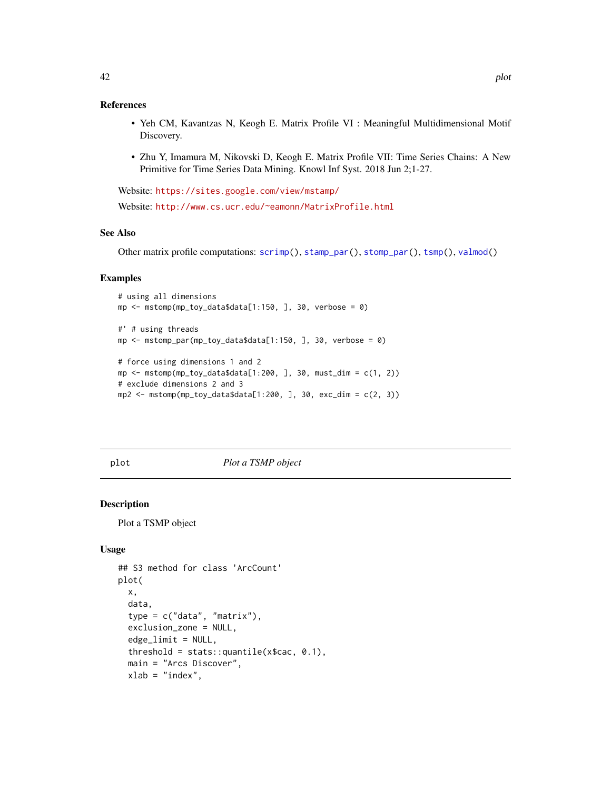## <span id="page-41-1"></span>References

- Yeh CM, Kavantzas N, Keogh E. Matrix Profile VI : Meaningful Multidimensional Motif Discovery.
- Zhu Y, Imamura M, Nikovski D, Keogh E. Matrix Profile VII: Time Series Chains: A New Primitive for Time Series Data Mining. Knowl Inf Syst. 2018 Jun 2;1-27.

Website: <https://sites.google.com/view/mstamp/>

Website: <http://www.cs.ucr.edu/~eamonn/MatrixProfile.html>

## See Also

Other matrix profile computations: [scrimp\(](#page-53-0)), [stamp\\_par\(](#page-60-0)), [stomp\\_par\(](#page-63-1)), [tsmp\(](#page-65-0)), [valmod\(](#page-68-0))

## Examples

```
# using all dimensions
mp \leq mstomp(mp_toy_data$data[1:150, ], 30, verbose = 0)
#' # using threads
mp \leq mstomp_par(mp_toy_data$data[1:150, ], 30, verbose = 0)
# force using dimensions 1 and 2
mp <- mstomp(mp_toy_data$data[1:200, ], 30, must_dim = c(1, 2))
# exclude dimensions 2 and 3
mp2 \le - \text{mstomp}(mp\_toy\_data$data[1:200, ], 30, exc\_dim = c(2, 3))
```
<span id="page-41-0"></span>

plot *Plot a TSMP object*

# **Description**

Plot a TSMP object

## Usage

```
## S3 method for class 'ArcCount'
plot(
 x,
 data,
  type = c("data", "matrix"),
 exclusion_zone = NULL,
 edgethreshold = stats:: quantile(x$cac, 0.1),
 main = "Arcs Discover",
 xlab = "index",
```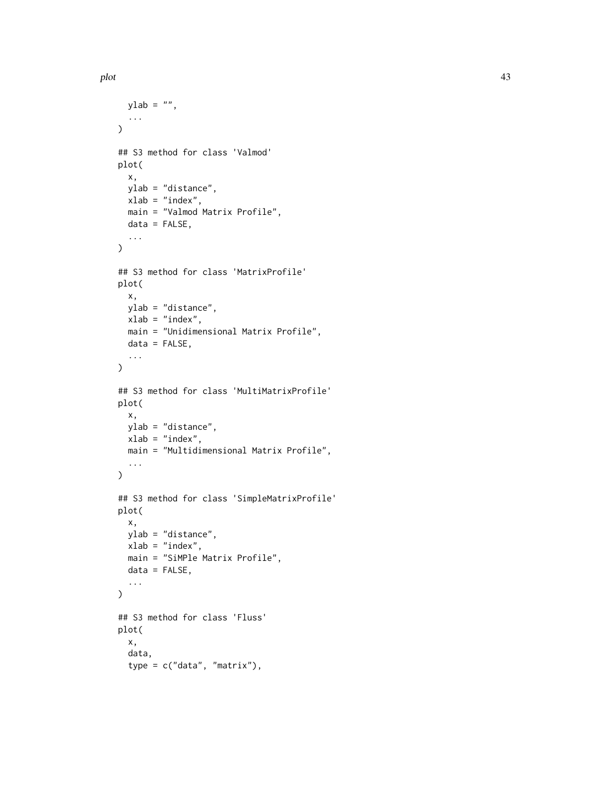```
plot the same state of the state of the state of the state of the state of the state of the state of the state of the state of the state of the state of the state of the state of the state of the state of the state of the
```

```
ylab = "",
  ...
\lambda## S3 method for class 'Valmod'
plot(
 x,
 ylab = "distance",
  xlab = "index",
  main = "Valmod Matrix Profile",
  data = FALSE,...
\mathcal{L}## S3 method for class 'MatrixProfile'
plot(
 x,
 ylab = "distance",
  xlab = "index",
  main = "Unidimensional Matrix Profile",
  data = FALSE,...
\mathcal{L}## S3 method for class 'MultiMatrixProfile'
plot(
  x,
 ylab = "distance",
  xlab = "index",
  main = "Multidimensional Matrix Profile",
  ...
)
## S3 method for class 'SimpleMatrixProfile'
plot(
 x,
 ylab = "distance",
 xlab = "index",
  main = "SiMPle Matrix Profile",
  data = FALSE,...
\mathcal{L}## S3 method for class 'Fluss'
plot(
  x,
  data,
  type = c("data", "matrix"),
```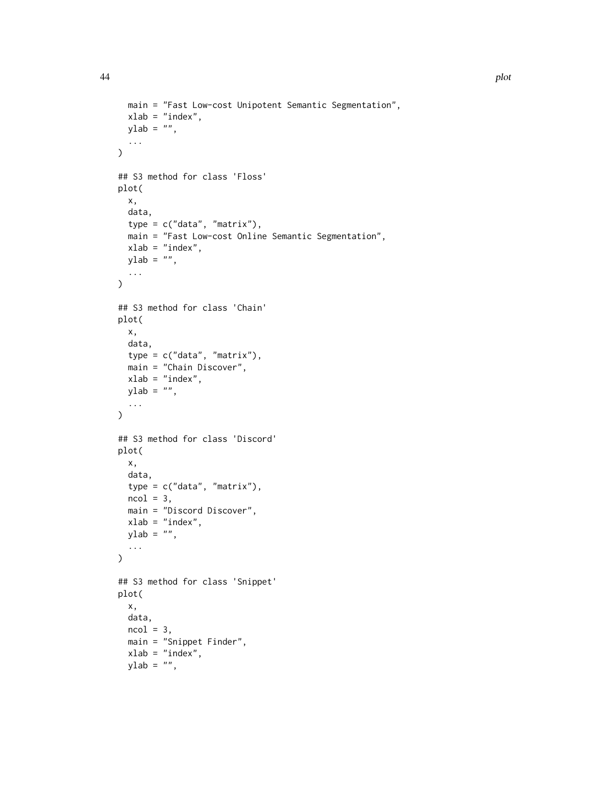```
main = "Fast Low-cost Unipotent Semantic Segmentation",
 xlab = "index",
 ylab = "",
  ...
\mathcal{L}## S3 method for class 'Floss'
plot(
 x,
 data,
 type = c("data", "matrix"),
 main = "Fast Low-cost Online Semantic Segmentation",
 xlab = "index",
 ylab = "",
  ...
\mathcal{L}## S3 method for class 'Chain'
plot(
 x,
 data,
 type = c("data", "matrix"),main = "Chain Discover",
 xlab = "index",
 ylab = "",
  ...
\lambda## S3 method for class 'Discord'
plot(
 x,
 data,
 type = c("data", "matrix"),
 ncol = 3,
 main = "Discord Discover",
 xlab = "index",
 ylab = "",
  ...
\mathcal{L}## S3 method for class 'Snippet'
plot(
 x,
 data,
 ncol = 3,
 main = "Snippet Finder",
 xlab = "index",
 ylab = "",
```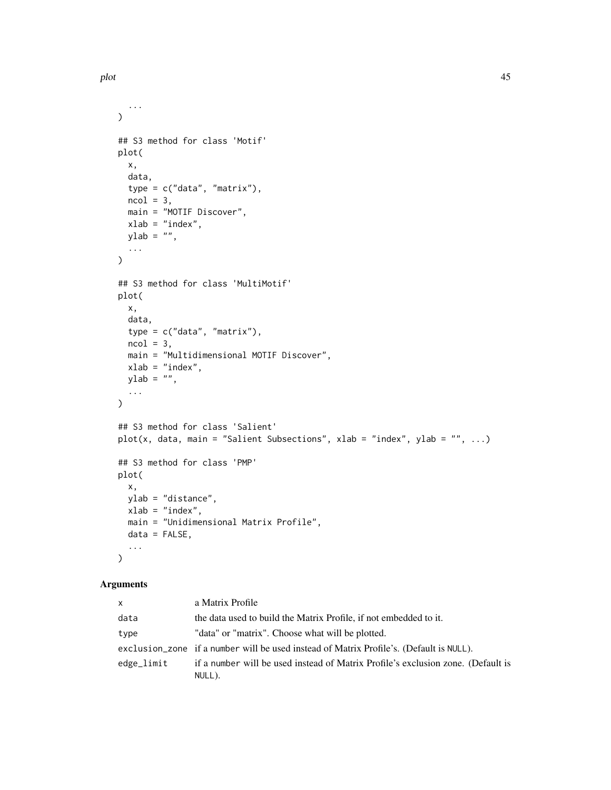...  $\lambda$ 

plot( x,

...  $\mathcal{L}$ 

plot( x,

...  $\lambda$ 

```
## S3 method for class 'Motif'
 data,
 type = c("data", "matrix"),ncol = 3,
 main = "MOTIF Discover",
 xlab = "index",
 ylab = "",
## S3 method for class 'MultiMotif'
 data,
 type = c("data", "matrix"),
 ncol = 3,
 main = "Multidimensional MOTIF Discover",
 xlab = "index",
 ylab = "",
## S3 method for class 'Salient'
plot(x, data, main = "Salient Subsections", xlab = "index", ylab = "", ...)
## S3 method for class 'PMP'
```

```
plot(
  x,
  ylab = "distance",
  xlab = "index",
  main = "Unidimensional Matrix Profile",
  data = FALSE,
  ...
\mathcal{L}
```
# Arguments

| <b>X</b>   | a Matrix Profile                                                                        |
|------------|-----------------------------------------------------------------------------------------|
| data       | the data used to build the Matrix Profile, if not embedded to it.                       |
| type       | "data" or "matrix". Choose what will be plotted.                                        |
|            | exclusion_zone if a number will be used instead of Matrix Profile's. (Default is NULL). |
| edge_limit | if a number will be used instead of Matrix Profile's exclusion zone. (Default is        |
|            | NULL).                                                                                  |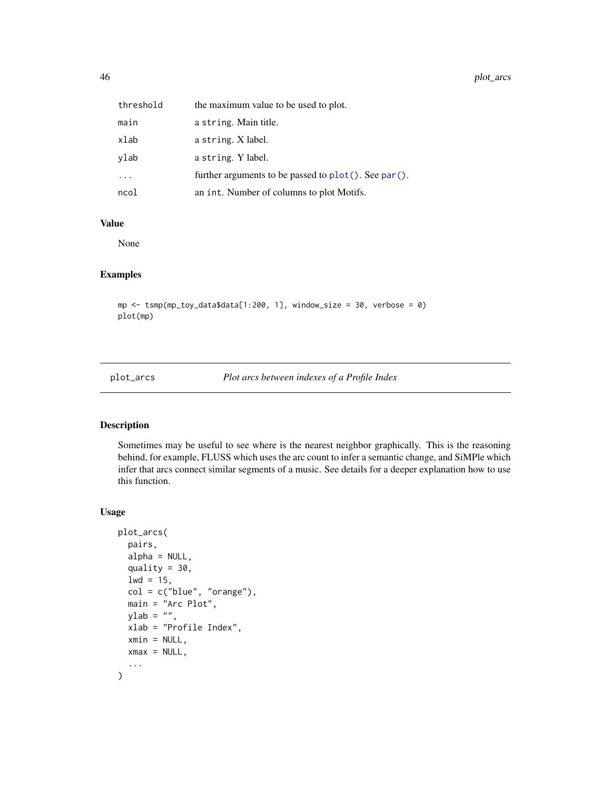<span id="page-45-0"></span>

| threshold | the maximum value to be used to plot.                |
|-----------|------------------------------------------------------|
| main      | a string. Main title.                                |
| xlab      | a string. X label.                                   |
| ylab      | a string. Y label.                                   |
| $\ddots$  | further arguments to be passed to plot(). See par(). |
| ncol      | an int. Number of columns to plot Motifs.            |

#### Value

None

# Examples

mp <- tsmp(mp\_toy\_data\$data[1:200, 1], window\_size = 30, verbose = 0) plot(mp)

plot\_arcs *Plot arcs between indexes of a Profile Index*

# Description

Sometimes may be useful to see where is the nearest neighbor graphically. This is the reasoning behind, for example, FLUSS which uses the arc count to infer a semantic change, and SiMPle which infer that arcs connect similar segments of a music. See details for a deeper explanation how to use this function.

# Usage

```
plot_arcs(
 pairs,
  alpha = NULL,
  quality = 30,
  1wd = 15,col = c("blue", "orange"),main = "Arc Plot",
 ylab = "",
  xlab = "Profile Index",
  xmin = NULL,xmax = NULL,
  ...
\mathcal{L}
```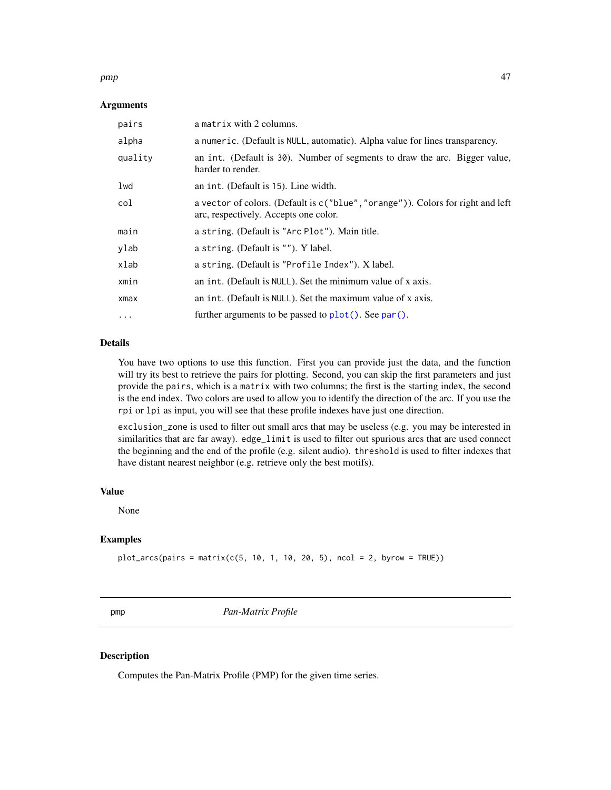#### <span id="page-46-1"></span>pmp and the contract of the contract of the contract of the contract of the contract of the contract of the contract of the contract of the contract of the contract of the contract of the contract of the contract of the co

## Arguments

| pairs     | a matrix with 2 columns.                                                                                                 |
|-----------|--------------------------------------------------------------------------------------------------------------------------|
| alpha     | a numeric. (Default is NULL, automatic). Alpha value for lines transparency.                                             |
| quality   | an int. (Default is 30). Number of segments to draw the arc. Bigger value,<br>harder to render.                          |
| lwd       | an int. (Default is 15). Line width.                                                                                     |
| col       | a vector of colors. (Default is c("blue", "orange")). Colors for right and left<br>arc, respectively. Accepts one color. |
| main      | a string. (Default is "Arc Plot"). Main title.                                                                           |
| ylab      | a string. (Default is ""). Y label.                                                                                      |
| xlab      | a string. (Default is "Profile Index"). X label.                                                                         |
| xmin      | an int. (Default is NULL). Set the minimum value of x axis.                                                              |
| xmax      | an int. (Default is NULL). Set the maximum value of x axis.                                                              |
| $\ddotsc$ | further arguments to be passed to $plot()$ . See par().                                                                  |

# Details

You have two options to use this function. First you can provide just the data, and the function will try its best to retrieve the pairs for plotting. Second, you can skip the first parameters and just provide the pairs, which is a matrix with two columns; the first is the starting index, the second is the end index. Two colors are used to allow you to identify the direction of the arc. If you use the rpi or lpi as input, you will see that these profile indexes have just one direction.

exclusion\_zone is used to filter out small arcs that may be useless (e.g. you may be interested in similarities that are far away). edge\_limit is used to filter out spurious arcs that are used connect the beginning and the end of the profile (e.g. silent audio). threshold is used to filter indexes that have distant nearest neighbor (e.g. retrieve only the best motifs).

# Value

None

# Examples

 $plot_{arcs}(pairs = matrix(c(5, 10, 1, 10, 20, 5), ncol = 2, byrow = TRUE))$ 

<span id="page-46-0"></span>pmp *Pan-Matrix Profile*

## Description

Computes the Pan-Matrix Profile (PMP) for the given time series.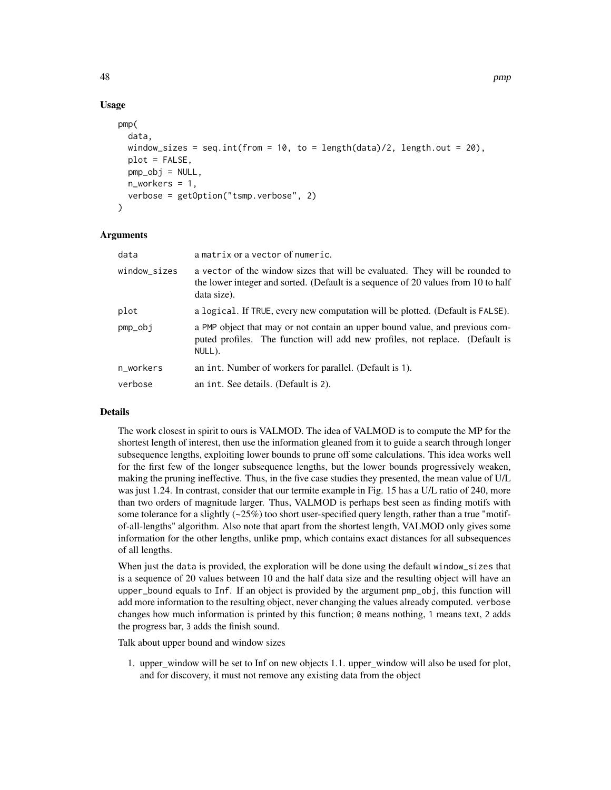# Usage

```
pmp(
  data,
  window_sizes = seq.int(from = 10, to = length(data)/2, length.out = 20),
  plot = FALSE,
 pmp_obj = NULL,
 n_workers = 1,
  verbose = getOption("tsmp.verbose", 2)
```
## Arguments

)

| data         | a matrix or a vector of numeric.                                                                                                                                                 |
|--------------|----------------------------------------------------------------------------------------------------------------------------------------------------------------------------------|
| window_sizes | a vector of the window sizes that will be evaluated. They will be rounded to<br>the lower integer and sorted. (Default is a sequence of 20 values from 10 to half<br>data size). |
| plot         | a logical. If TRUE, every new computation will be plotted. (Default is FALSE).                                                                                                   |
| pmp_obj      | a PMP object that may or not contain an upper bound value, and previous com-<br>puted profiles. The function will add new profiles, not replace. (Default is<br>NULL).           |
| n_workers    | an int. Number of workers for parallel. (Default is 1).                                                                                                                          |
| verbose      | an int. See details. (Default is 2).                                                                                                                                             |

# Details

The work closest in spirit to ours is VALMOD. The idea of VALMOD is to compute the MP for the shortest length of interest, then use the information gleaned from it to guide a search through longer subsequence lengths, exploiting lower bounds to prune off some calculations. This idea works well for the first few of the longer subsequence lengths, but the lower bounds progressively weaken, making the pruning ineffective. Thus, in the five case studies they presented, the mean value of U/L was just 1.24. In contrast, consider that our termite example in Fig. 15 has a U/L ratio of 240, more than two orders of magnitude larger. Thus, VALMOD is perhaps best seen as finding motifs with some tolerance for a slightly  $(\sim 25\%)$  too short user-specified query length, rather than a true "motifof-all-lengths" algorithm. Also note that apart from the shortest length, VALMOD only gives some information for the other lengths, unlike pmp, which contains exact distances for all subsequences of all lengths.

When just the data is provided, the exploration will be done using the default window\_sizes that is a sequence of 20 values between 10 and the half data size and the resulting object will have an upper\_bound equals to Inf. If an object is provided by the argument pmp\_obj, this function will add more information to the resulting object, never changing the values already computed. verbose changes how much information is printed by this function; 0 means nothing, 1 means text, 2 adds the progress bar, 3 adds the finish sound.

Talk about upper bound and window sizes

1. upper\_window will be set to Inf on new objects 1.1. upper\_window will also be used for plot, and for discovery, it must not remove any existing data from the object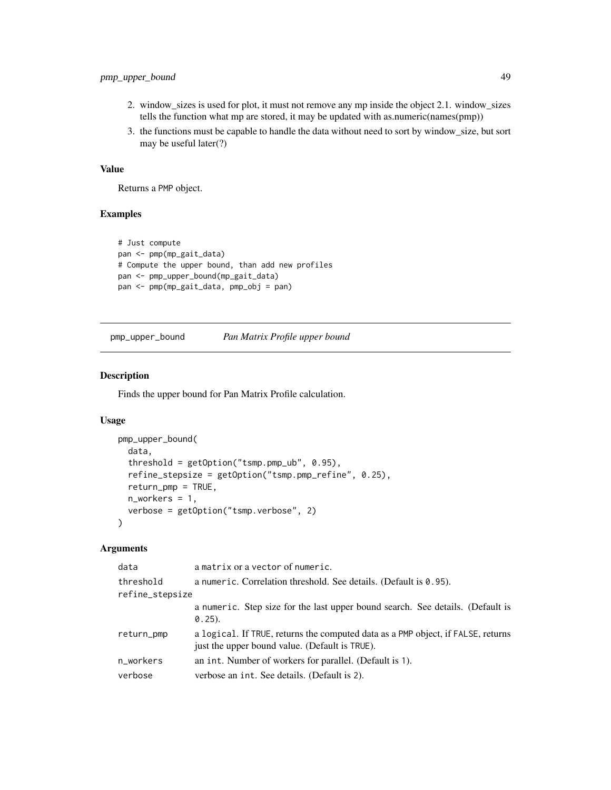# <span id="page-48-0"></span>pmp\_upper\_bound 49

- 2. window\_sizes is used for plot, it must not remove any mp inside the object 2.1. window\_sizes tells the function what mp are stored, it may be updated with as.numeric(names(pmp))
- 3. the functions must be capable to handle the data without need to sort by window\_size, but sort may be useful later(?)

# Value

Returns a PMP object.

# Examples

```
# Just compute
pan <- pmp(mp_gait_data)
# Compute the upper bound, than add new profiles
pan <- pmp_upper_bound(mp_gait_data)
pan <- pmp(mp_gait_data, pmp_obj = pan)
```
pmp\_upper\_bound *Pan Matrix Profile upper bound*

## Description

Finds the upper bound for Pan Matrix Profile calculation.

## Usage

```
pmp_upper_bound(
  data,
  threshold = getOption("tsmp.pmp_ub", 0.95),
  refine_stepsize = getOption("tsmp.pmp_refine", 0.25),
  return_pmp = TRUE,
  n_workers = 1,
  verbose = getOption("tsmp.verbose", 2)
)
```
# Arguments

| data            | a matrix or a vector of numeric.                                                                                                   |
|-----------------|------------------------------------------------------------------------------------------------------------------------------------|
| threshold       | a numeric. Correlation threshold. See details. (Default is 0.95).                                                                  |
| refine_stepsize |                                                                                                                                    |
|                 | a numeric. Step size for the last upper bound search. See details. (Default is<br>$0.25$ ).                                        |
| return_pmp      | a logical. If TRUE, returns the computed data as a PMP object, if FALSE, returns<br>just the upper bound value. (Default is TRUE). |
| n_workers       | an int. Number of workers for parallel. (Default is 1).                                                                            |
| verbose         | verbose an int. See details. (Default is 2).                                                                                       |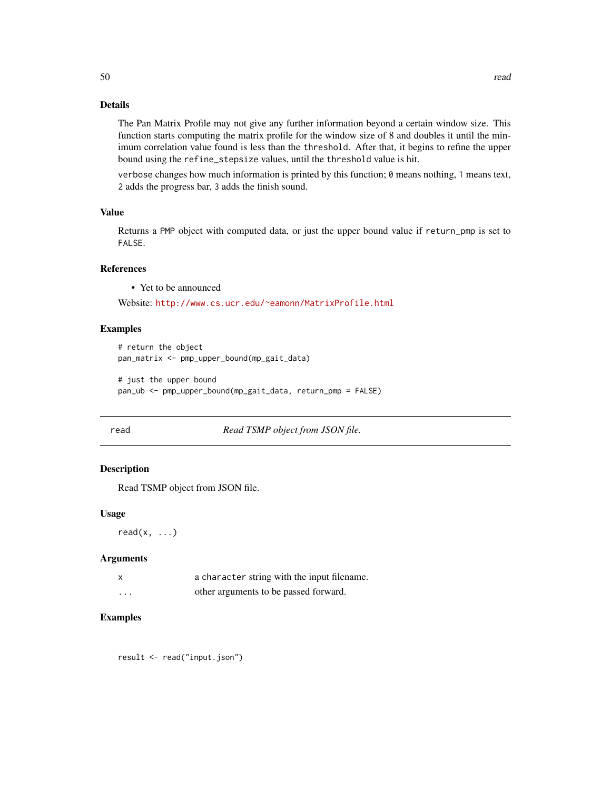The Pan Matrix Profile may not give any further information beyond a certain window size. This function starts computing the matrix profile for the window size of 8 and doubles it until the minimum correlation value found is less than the threshold. After that, it begins to refine the upper bound using the refine\_stepsize values, until the threshold value is hit.

verbose changes how much information is printed by this function; 0 means nothing, 1 means text, 2 adds the progress bar, 3 adds the finish sound.

#### Value

Returns a PMP object with computed data, or just the upper bound value if return\_pmp is set to FALSE.

# References

• Yet to be announced

Website: <http://www.cs.ucr.edu/~eamonn/MatrixProfile.html>

#### Examples

```
# return the object
pan_matrix <- pmp_upper_bound(mp_gait_data)
```

```
# just the upper bound
pan_ub <- pmp_upper_bound(mp_gait_data, return_pmp = FALSE)
```
read *Read TSMP object from JSON file.*

# Description

Read TSMP object from JSON file.

#### Usage

read $(x, \ldots)$ 

# Arguments

| a character string with the input filename.                                                                     |
|-----------------------------------------------------------------------------------------------------------------|
| $-41$ , and $-1$ , and $-1$ , $-1$ , $-1$ , $-1$ , $-1$ , $-1$ , $-1$ , $-1$ , $-1$ , $-1$ , $-1$ , $-1$ , $-1$ |

| other arguments to be passed forward.<br>$\cdots$ |
|---------------------------------------------------|
|---------------------------------------------------|

# Examples

result <- read("input.json")

50 read and the contract of the contract of the contract of the contract of the contract of the contract of the contract of the contract of the contract of the contract of the contract of the contract of the contract of th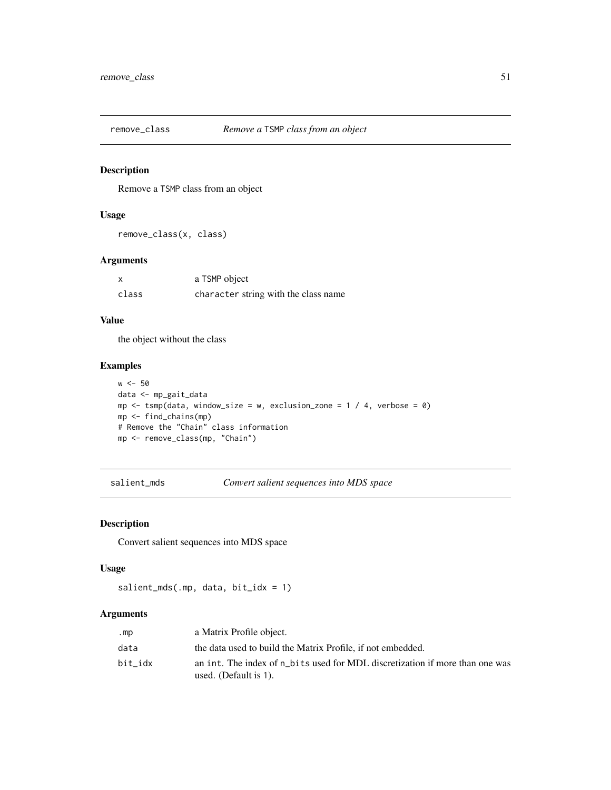Remove a TSMP class from an object

# Usage

remove\_class(x, class)

# Arguments

|       | a TSMP object                        |
|-------|--------------------------------------|
| class | character string with the class name |

# Value

the object without the class

# Examples

```
w <- 50
data <- mp_gait_data
mp \le -tsmp(data, window_size = w, exclusion_zone = 1 / 4, verbose = 0)
mp <- find_chains(mp)
# Remove the "Chain" class information
mp <- remove_class(mp, "Chain")
```
salient\_mds *Convert salient sequences into MDS space*

## Description

Convert salient sequences into MDS space

#### Usage

salient\_mds(.mp, data, bit\_idx = 1)

# Arguments

| .mp     | a Matrix Profile object.                                                                              |
|---------|-------------------------------------------------------------------------------------------------------|
| data    | the data used to build the Matrix Profile, if not embedded.                                           |
| bit idx | an int. The index of n bits used for MDL discretization if more than one was<br>used. (Default is 1). |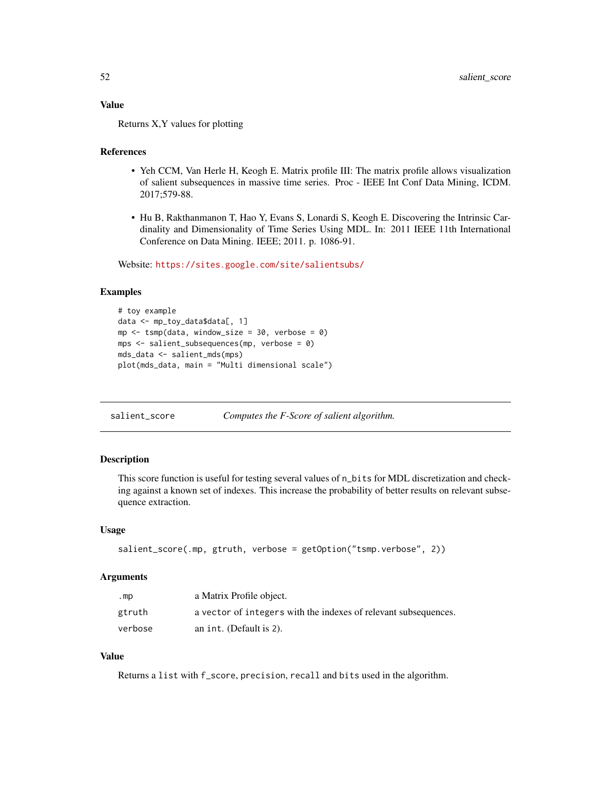# Value

Returns X,Y values for plotting

## References

- Yeh CCM, Van Herle H, Keogh E. Matrix profile III: The matrix profile allows visualization of salient subsequences in massive time series. Proc - IEEE Int Conf Data Mining, ICDM. 2017;579-88.
- Hu B, Rakthanmanon T, Hao Y, Evans S, Lonardi S, Keogh E. Discovering the Intrinsic Cardinality and Dimensionality of Time Series Using MDL. In: 2011 IEEE 11th International Conference on Data Mining. IEEE; 2011. p. 1086-91.

Website: <https://sites.google.com/site/salientsubs/>

## Examples

```
# toy example
data <- mp_toy_data$data[, 1]
mp \le tsmp(data, window_size = 30, verbose = 0)
mps <- salient_subsequences(mp, verbose = 0)
mds_data <- salient_mds(mps)
plot(mds_data, main = "Multi dimensional scale")
```
salient\_score *Computes the F-Score of salient algorithm.*

## Description

This score function is useful for testing several values of n\_bits for MDL discretization and checking against a known set of indexes. This increase the probability of better results on relevant subsequence extraction.

## Usage

```
salient_score(.mp, gtruth, verbose = getOption("tsmp.verbose", 2))
```
# Arguments

| .mp     | a Matrix Profile object.                                        |
|---------|-----------------------------------------------------------------|
| gtruth  | a vector of integers with the indexes of relevant subsequences. |
| verbose | an int. (Default is 2).                                         |

# Value

Returns a list with f\_score, precision, recall and bits used in the algorithm.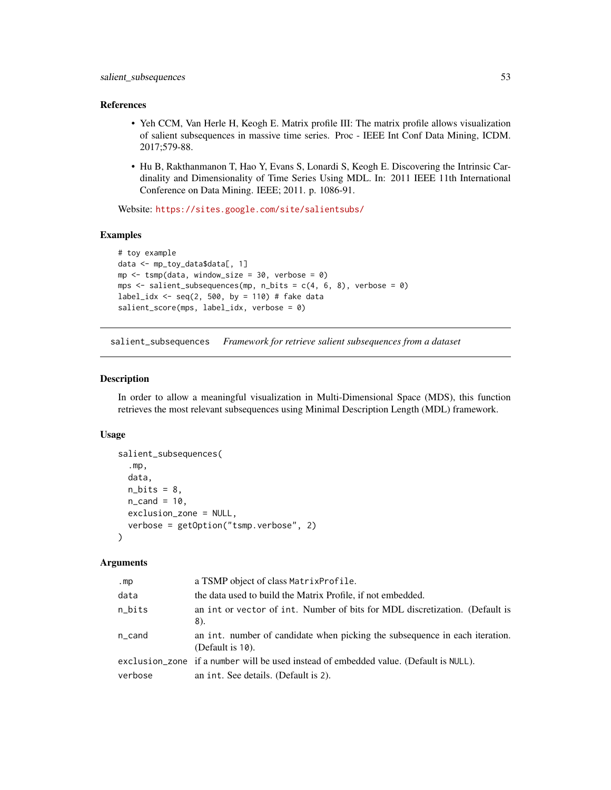#### References

- Yeh CCM, Van Herle H, Keogh E. Matrix profile III: The matrix profile allows visualization of salient subsequences in massive time series. Proc - IEEE Int Conf Data Mining, ICDM. 2017;579-88.
- Hu B, Rakthanmanon T, Hao Y, Evans S, Lonardi S, Keogh E. Discovering the Intrinsic Cardinality and Dimensionality of Time Series Using MDL. In: 2011 IEEE 11th International Conference on Data Mining. IEEE; 2011. p. 1086-91.

Website: <https://sites.google.com/site/salientsubs/>

## Examples

```
# toy example
data <- mp_toy_data$data[, 1]
mp \le tsmp(data, window_size = 30, verbose = 0)
mps \le salient_subsequences(mp, n_bits = c(4, 6, 8), verbose = 0)
label_idx <- seq(2, 500, by = 110) # fake data
salient_score(mps, label_idx, verbose = 0)
```
salient\_subsequences *Framework for retrieve salient subsequences from a dataset*

# Description

In order to allow a meaningful visualization in Multi-Dimensional Space (MDS), this function retrieves the most relevant subsequences using Minimal Description Length (MDL) framework.

#### Usage

```
salient_subsequences(
  .mp,
  data,
  n\_bits = 8,
  n<sub>cand</sub> = 10,
  exclusion_zone = NULL,
  verbose = getOption("tsmp.verbose", 2)
\lambda
```
#### Arguments

| .mp     | a TSMP object of class Matrix Profile.                                                          |
|---------|-------------------------------------------------------------------------------------------------|
| data    | the data used to build the Matrix Profile, if not embedded.                                     |
| n_bits  | an int or vector of int. Number of bits for MDL discretization. (Default is<br>8).              |
| n_cand  | an int. number of candidate when picking the subsequence in each iteration.<br>(Default is 10). |
|         | exclusion_zone if a number will be used instead of embedded value. (Default is NULL).           |
| verbose | an int. See details. (Default is 2).                                                            |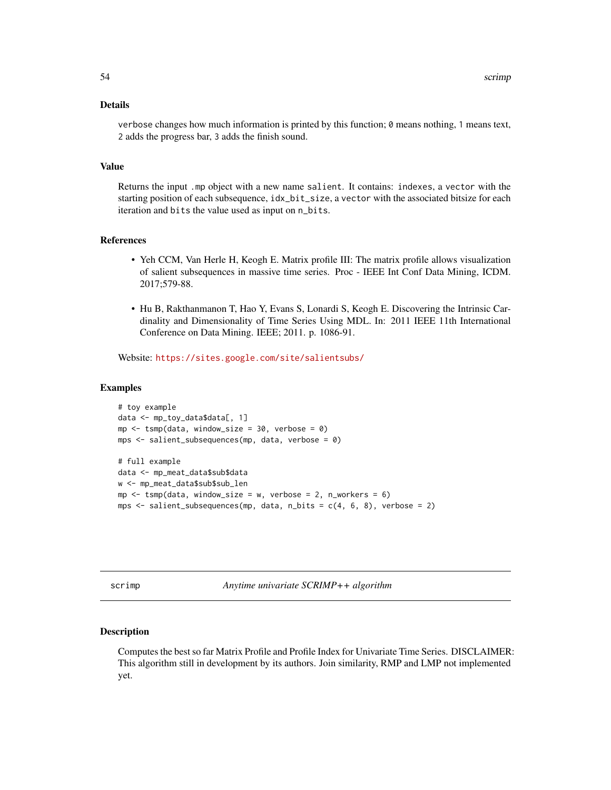# Details

verbose changes how much information is printed by this function; 0 means nothing, 1 means text, 2 adds the progress bar, 3 adds the finish sound.

# Value

Returns the input .mp object with a new name salient. It contains: indexes, a vector with the starting position of each subsequence,  $idx\_bit\_size$ , a vector with the associated bitsize for each iteration and bits the value used as input on n\_bits.

## References

- Yeh CCM, Van Herle H, Keogh E. Matrix profile III: The matrix profile allows visualization of salient subsequences in massive time series. Proc - IEEE Int Conf Data Mining, ICDM. 2017;579-88.
- Hu B, Rakthanmanon T, Hao Y, Evans S, Lonardi S, Keogh E. Discovering the Intrinsic Cardinality and Dimensionality of Time Series Using MDL. In: 2011 IEEE 11th International Conference on Data Mining. IEEE; 2011. p. 1086-91.

Website: <https://sites.google.com/site/salientsubs/>

#### Examples

```
# toy example
data <- mp_toy_data$data[, 1]
mp \le - tsmp(data, window_size = 30, verbose = 0)
mps \le salient_subsequences(mp, data, verbose = 0)
# full example
data <- mp_meat_data$sub$data
w <- mp_meat_data$sub$sub_len
mp \le - tsmp(data, window_size = w, verbose = 2, n_workers = 6)
mps \le salient_subsequences(mp, data, n_bits = c(4, 6, 8), verbose = 2)
```
<span id="page-53-0"></span>scrimp *Anytime univariate SCRIMP++ algorithm*

#### Description

Computes the best so far Matrix Profile and Profile Index for Univariate Time Series. DISCLAIMER: This algorithm still in development by its authors. Join similarity, RMP and LMP not implemented yet.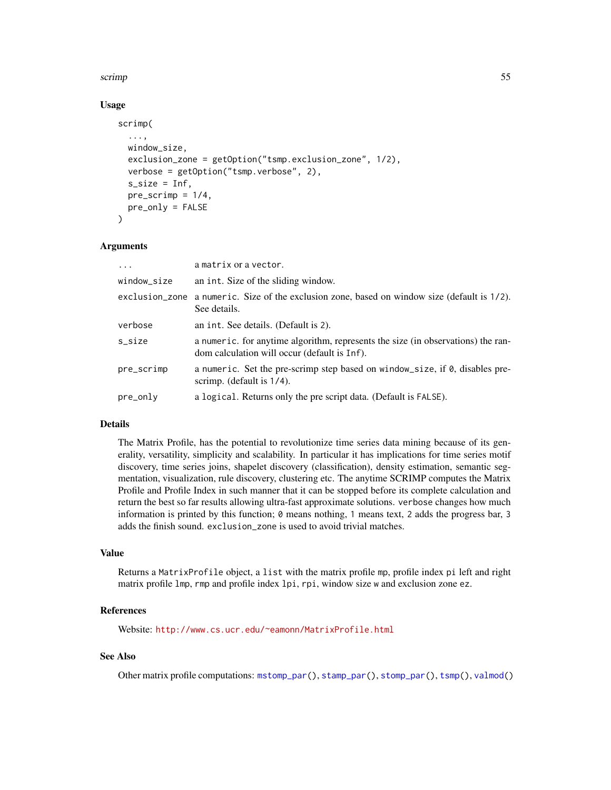#### <span id="page-54-0"></span>scrimp 55

# Usage

```
scrimp(
  ...,
 window_size,
 exclusion_zone = getOption("tsmp.exclusion_zone", 1/2),
 verbose = getOption("tsmp.verbose", 2),
  s<sub>s</sub>ize = Inf,
 pre\_script = 1/4,
 pre_only = FALSE
)
```
# Arguments

| $\cdots$    | a matrix or a vector.                                                                                                            |
|-------------|----------------------------------------------------------------------------------------------------------------------------------|
| window_size | an int. Size of the sliding window.                                                                                              |
|             | exclusion_zone a numeric. Size of the exclusion zone, based on window size (default is 1/2).<br>See details.                     |
| verbose     | an int. See details. (Default is 2).                                                                                             |
| s_size      | a numeric, for anytime algorithm, represents the size (in observations) the ran-<br>dom calculation will occur (default is Inf). |
| pre_scrimp  | a numeric. Set the pre-scrimp step based on window_size, if 0, disables pre-<br>scrimp. (default is $1/4$ ).                     |
| pre_only    | a logical. Returns only the pre script data. (Default is FALSE).                                                                 |

#### Details

The Matrix Profile, has the potential to revolutionize time series data mining because of its generality, versatility, simplicity and scalability. In particular it has implications for time series motif discovery, time series joins, shapelet discovery (classification), density estimation, semantic segmentation, visualization, rule discovery, clustering etc. The anytime SCRIMP computes the Matrix Profile and Profile Index in such manner that it can be stopped before its complete calculation and return the best so far results allowing ultra-fast approximate solutions. verbose changes how much information is printed by this function; 0 means nothing, 1 means text, 2 adds the progress bar, 3 adds the finish sound. exclusion\_zone is used to avoid trivial matches.

# Value

Returns a MatrixProfile object, a list with the matrix profile mp, profile index pi left and right matrix profile lmp, rmp and profile index lpi, rpi, window size w and exclusion zone ez.

## References

Website: <http://www.cs.ucr.edu/~eamonn/MatrixProfile.html>

# See Also

Other matrix profile computations: [mstomp\\_par\(](#page-39-0)), [stamp\\_par\(](#page-60-0)), [stomp\\_par\(](#page-63-1)), [tsmp\(](#page-65-0)), [valmod\(](#page-68-0))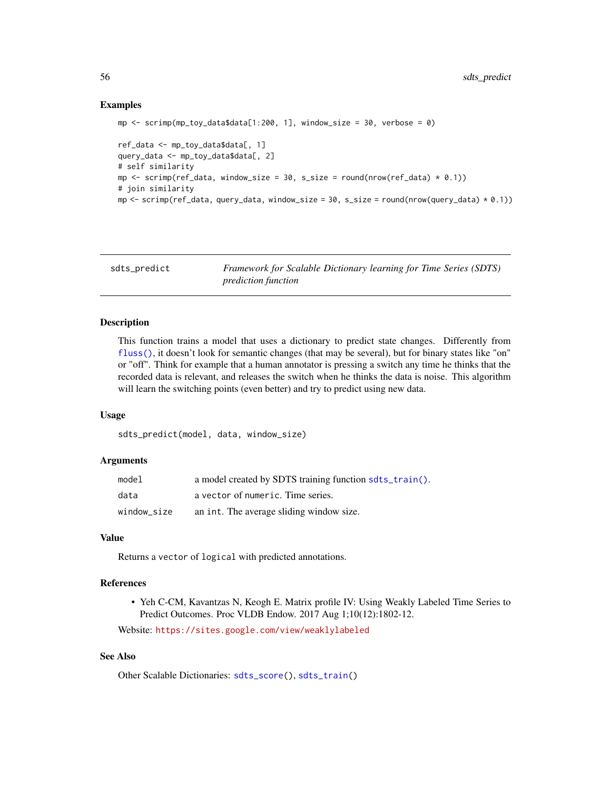# Examples

```
mp \le - scrimp(mp_toy_data$data[1:200, 1], window_size = 30, verbose = 0)
ref_data <- mp_toy_data$data[, 1]
query_data <- mp_toy_data$data[, 2]
# self similarity
mp \le scrimp(ref_data, window_size = 30, s_size = round(nrow(ref_data) * 0.1))
# join similarity
mp \le - scrimp(ref_data, query_data, window_size = 30, s_size = round(nrow(query_data) * 0.1))
```
<span id="page-55-0"></span>sdts\_predict *Framework for Scalable Dictionary learning for Time Series (SDTS) prediction function*

# **Description**

This function trains a model that uses a dictionary to predict state changes. Differently from [fluss\(\)](#page-25-0), it doesn't look for semantic changes (that may be several), but for binary states like "on" or "off". Think for example that a human annotator is pressing a switch any time he thinks that the recorded data is relevant, and releases the switch when he thinks the data is noise. This algorithm will learn the switching points (even better) and try to predict using new data.

# Usage

sdts\_predict(model, data, window\_size)

## Arguments

| model       | a model created by SDTS training function sdts_train(). |
|-------------|---------------------------------------------------------|
| data        | a vector of numeric. Time series.                       |
| window_size | an int. The average sliding window size.                |

# Value

Returns a vector of logical with predicted annotations.

## References

• Yeh C-CM, Kavantzas N, Keogh E. Matrix profile IV: Using Weakly Labeled Time Series to Predict Outcomes. Proc VLDB Endow. 2017 Aug 1;10(12):1802-12.

Website: <https://sites.google.com/view/weaklylabeled>

# See Also

Other Scalable Dictionaries: [sdts\\_score\(](#page-56-0)), [sdts\\_train\(](#page-57-0))

<span id="page-55-1"></span>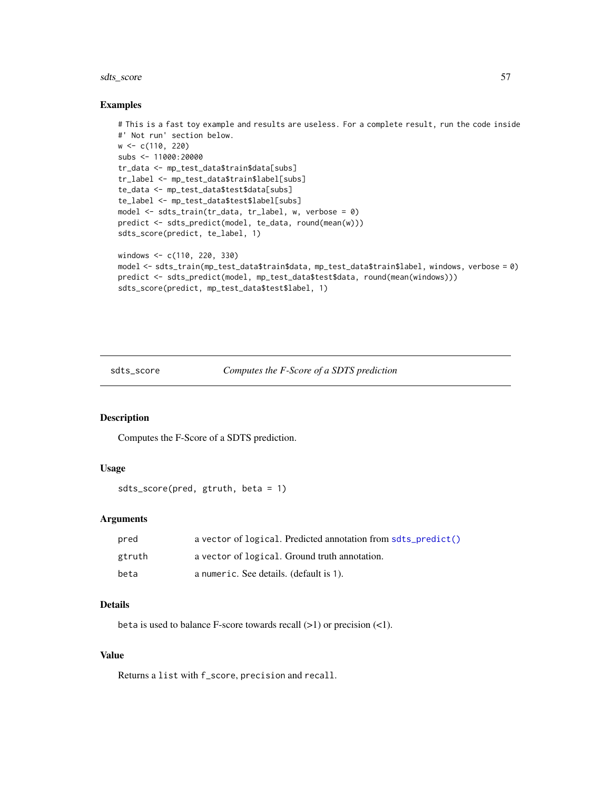# sdts\_score 57

#### Examples

```
# This is a fast toy example and results are useless. For a complete result, run the code inside
#' Not run' section below.
w <- c(110, 220)
subs <- 11000:20000
tr_data <- mp_test_data$train$data[subs]
tr_label <- mp_test_data$train$label[subs]
te_data <- mp_test_data$test$data[subs]
te_label <- mp_test_data$test$label[subs]
model <- sdts_train(tr_data, tr_label, w, verbose = 0)
predict <- sdts_predict(model, te_data, round(mean(w)))
sdts_score(predict, te_label, 1)
windows <- c(110, 220, 330)
model <- sdts_train(mp_test_data$train$data, mp_test_data$train$label, windows, verbose = 0)
predict <- sdts_predict(model, mp_test_data$test$data, round(mean(windows)))
sdts_score(predict, mp_test_data$test$label, 1)
```
<span id="page-56-0"></span>sdts\_score *Computes the F-Score of a SDTS prediction*

# Description

Computes the F-Score of a SDTS prediction.

## Usage

```
sdts_score(pred, gtruth, beta = 1)
```
# Arguments

| pred   | a vector of logical. Predicted annotation from softs_predict() |
|--------|----------------------------------------------------------------|
| gtruth | a vector of logical. Ground truth annotation.                  |
| beta   | a numeric. See details. (default is 1).                        |

# Details

beta is used to balance F-score towards recall  $(>1)$  or precision  $(<1)$ .

#### Value

Returns a list with f\_score, precision and recall.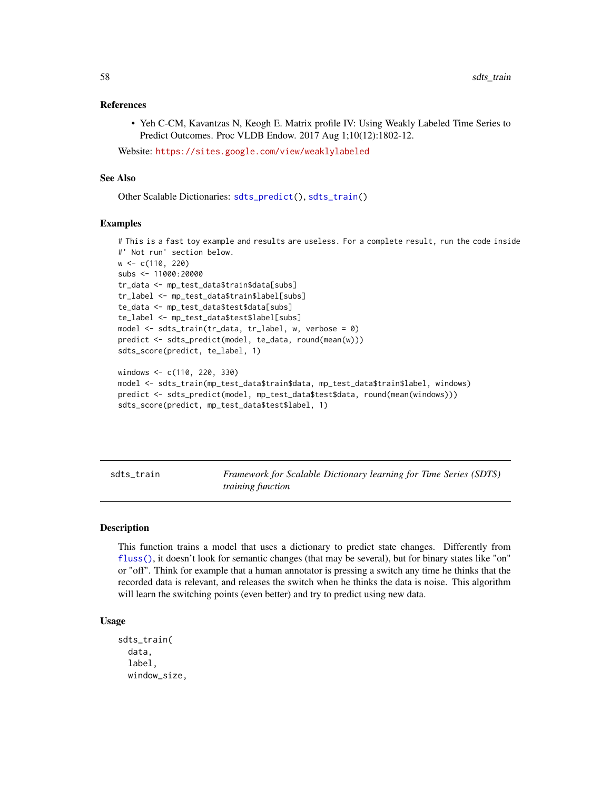## <span id="page-57-1"></span>References

• Yeh C-CM, Kavantzas N, Keogh E. Matrix profile IV: Using Weakly Labeled Time Series to Predict Outcomes. Proc VLDB Endow. 2017 Aug 1;10(12):1802-12.

Website: <https://sites.google.com/view/weaklylabeled>

# See Also

Other Scalable Dictionaries: [sdts\\_predict\(](#page-55-0)), [sdts\\_train\(](#page-57-0))

#### Examples

```
# This is a fast toy example and results are useless. For a complete result, run the code inside
#' Not run' section below.
w <- c(110, 220)
subs <- 11000:20000
tr_data <- mp_test_data$train$data[subs]
tr_label <- mp_test_data$train$label[subs]
te_data <- mp_test_data$test$data[subs]
te_label <- mp_test_data$test$label[subs]
model \le sdts_train(tr_data, tr_label, w, verbose = 0)
predict <- sdts_predict(model, te_data, round(mean(w)))
sdts_score(predict, te_label, 1)
windows <- c(110, 220, 330)
model <- sdts_train(mp_test_data$train$data, mp_test_data$train$label, windows)
```

```
predict <- sdts_predict(model, mp_test_data$test$data, round(mean(windows)))
sdts_score(predict, mp_test_data$test$label, 1)
```
<span id="page-57-0"></span>sdts\_train *Framework for Scalable Dictionary learning for Time Series (SDTS) training function*

#### Description

This function trains a model that uses a dictionary to predict state changes. Differently from [fluss\(\)](#page-25-0), it doesn't look for semantic changes (that may be several), but for binary states like "on" or "off". Think for example that a human annotator is pressing a switch any time he thinks that the recorded data is relevant, and releases the switch when he thinks the data is noise. This algorithm will learn the switching points (even better) and try to predict using new data.

## Usage

```
sdts_train(
  data,
  label,
  window_size,
```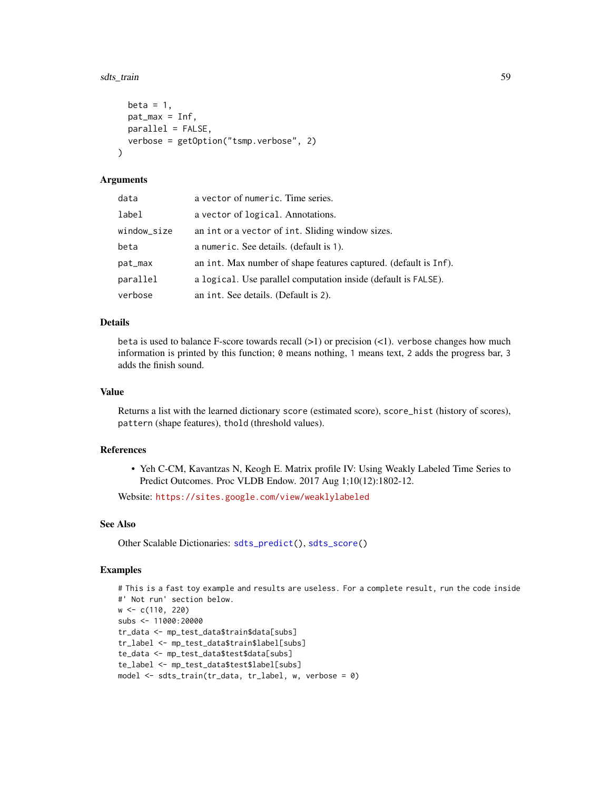#### sdts\_train 59

```
beta = 1,
 pat_max = Inf,parallel = FALSE,
 verbose = getOption("tsmp.verbose", 2)
)
```
# Arguments

| data        | a vector of numeric. Time series.                                |
|-------------|------------------------------------------------------------------|
| label       | a vector of logical. Annotations.                                |
| window_size | an int or a vector of int. Sliding window sizes.                 |
| beta        | a numeric. See details. (default is 1).                          |
| pat_max     | an int. Max number of shape features captured. (default is Inf). |
| parallel    | a logical. Use parallel computation inside (default is FALSE).   |
| verbose     | an int. See details. (Default is 2).                             |

# Details

beta is used to balance F-score towards recall  $(>1)$  or precision  $(<1)$ . verbose changes how much information is printed by this function;  $\theta$  means nothing, 1 means text, 2 adds the progress bar, 3 adds the finish sound.

#### Value

Returns a list with the learned dictionary score (estimated score), score\_hist (history of scores), pattern (shape features), thold (threshold values).

# References

• Yeh C-CM, Kavantzas N, Keogh E. Matrix profile IV: Using Weakly Labeled Time Series to Predict Outcomes. Proc VLDB Endow. 2017 Aug 1;10(12):1802-12.

Website: <https://sites.google.com/view/weaklylabeled>

# See Also

Other Scalable Dictionaries: [sdts\\_predict\(](#page-55-0)), [sdts\\_score\(](#page-56-0))

# Examples

```
# This is a fast toy example and results are useless. For a complete result, run the code inside
#' Not run' section below.
w <- c(110, 220)
subs <- 11000:20000
tr_data <- mp_test_data$train$data[subs]
tr_label <- mp_test_data$train$label[subs]
te_data <- mp_test_data$test$data[subs]
te_label <- mp_test_data$test$label[subs]
model <- sdts_train(tr_data, tr_label, w, verbose = 0)
```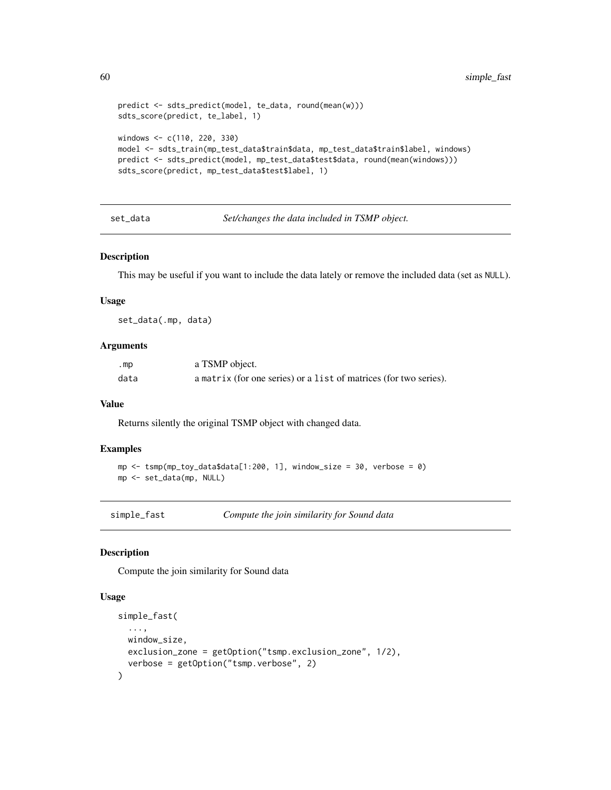```
predict <- sdts_predict(model, te_data, round(mean(w)))
sdts_score(predict, te_label, 1)
windows <- c(110, 220, 330)
model <- sdts_train(mp_test_data$train$data, mp_test_data$train$label, windows)
predict <- sdts_predict(model, mp_test_data$test$data, round(mean(windows)))
sdts_score(predict, mp_test_data$test$label, 1)
```
set\_data *Set/changes the data included in TSMP object.*

#### Description

This may be useful if you want to include the data lately or remove the included data (set as NULL).

# Usage

set\_data(.mp, data)

# Arguments

| .mp  | a TSMP object.                                                    |
|------|-------------------------------------------------------------------|
| data | a matrix (for one series) or a list of matrices (for two series). |

#### Value

Returns silently the original TSMP object with changed data.

#### Examples

```
mp \le - tsmp(mp_toy_data$data[1:200, 1], window_size = 30, verbose = 0)
mp <- set_data(mp, NULL)
```
<span id="page-59-0"></span>simple\_fast *Compute the join similarity for Sound data*

#### Description

Compute the join similarity for Sound data

## Usage

```
simple_fast(
  ...,
 window_size,
 exclusion_zone = getOption("tsmp.exclusion_zone", 1/2),
  verbose = getOption("tsmp.verbose", 2)
)
```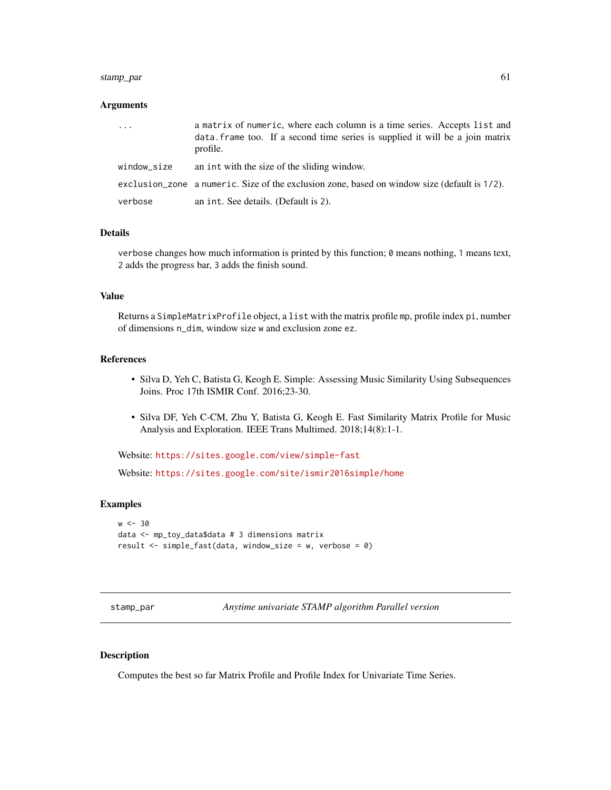# stamp\_par 61

## Arguments

| $\ddots$    | a matrix of numeric, where each column is a time series. Accepts list and<br>data. frame too. If a second time series is supplied it will be a join matrix<br>profile. |
|-------------|------------------------------------------------------------------------------------------------------------------------------------------------------------------------|
| window_size | an int with the size of the sliding window.                                                                                                                            |
|             | exclusion_zone a numeric. Size of the exclusion zone, based on window size (default is 1/2).                                                                           |
| verbose     | an int. See details. (Default is 2).                                                                                                                                   |

# Details

verbose changes how much information is printed by this function; 0 means nothing, 1 means text, 2 adds the progress bar, 3 adds the finish sound.

# Value

Returns a SimpleMatrixProfile object, a list with the matrix profile mp, profile index pi, number of dimensions n\_dim, window size w and exclusion zone ez.

# References

- Silva D, Yeh C, Batista G, Keogh E. Simple: Assessing Music Similarity Using Subsequences Joins. Proc 17th ISMIR Conf. 2016;23-30.
- Silva DF, Yeh C-CM, Zhu Y, Batista G, Keogh E. Fast Similarity Matrix Profile for Music Analysis and Exploration. IEEE Trans Multimed. 2018;14(8):1-1.

Website: <https://sites.google.com/view/simple-fast>

Website: <https://sites.google.com/site/ismir2016simple/home>

# Examples

```
w < -30data <- mp_toy_data$data # 3 dimensions matrix
result <- simple_fast(data, window_size = w, verbose = 0)
```
<span id="page-60-0"></span>stamp\_par *Anytime univariate STAMP algorithm Parallel version*

#### <span id="page-60-1"></span>Description

Computes the best so far Matrix Profile and Profile Index for Univariate Time Series.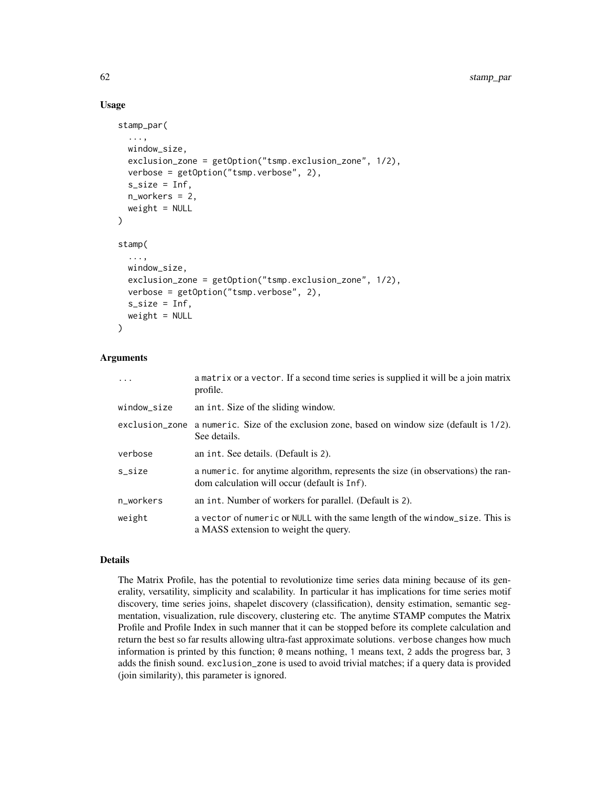# Usage

```
stamp_par(
  ...,
 window_size,
  exclusion_zone = getOption("tsmp.exclusion_zone", 1/2),
  verbose = getOption("tsmp.verbose", 2),
  s_size = Inf,
 n_workers = 2,
 weight = NULL)
stamp(
  ...,
 window_size,
  exclusion_zone = getOption("tsmp.exclusion_zone", 1/2),
  verbose = getOption("tsmp.verbose", 2),
  s_size = Inf,
  weight = NULL)
```
# Arguments

| $\ddots$    | a matrix or a vector. If a second time series is supplied it will be a join matrix<br>profile.                                   |
|-------------|----------------------------------------------------------------------------------------------------------------------------------|
| window_size | an int. Size of the sliding window.                                                                                              |
|             | exclusion_zone a numeric. Size of the exclusion zone, based on window size (default is 1/2).<br>See details.                     |
| verbose     | an int. See details. (Default is 2).                                                                                             |
| s_size      | a numeric, for anytime algorithm, represents the size (in observations) the ran-<br>dom calculation will occur (default is Inf). |
| n_workers   | an int. Number of workers for parallel. (Default is 2).                                                                          |
| weight      | a vector of numeric or NULL with the same length of the window_size. This is<br>a MASS extension to weight the query.            |

#### Details

The Matrix Profile, has the potential to revolutionize time series data mining because of its generality, versatility, simplicity and scalability. In particular it has implications for time series motif discovery, time series joins, shapelet discovery (classification), density estimation, semantic segmentation, visualization, rule discovery, clustering etc. The anytime STAMP computes the Matrix Profile and Profile Index in such manner that it can be stopped before its complete calculation and return the best so far results allowing ultra-fast approximate solutions. verbose changes how much information is printed by this function; 0 means nothing, 1 means text, 2 adds the progress bar, 3 adds the finish sound. exclusion\_zone is used to avoid trivial matches; if a query data is provided (join similarity), this parameter is ignored.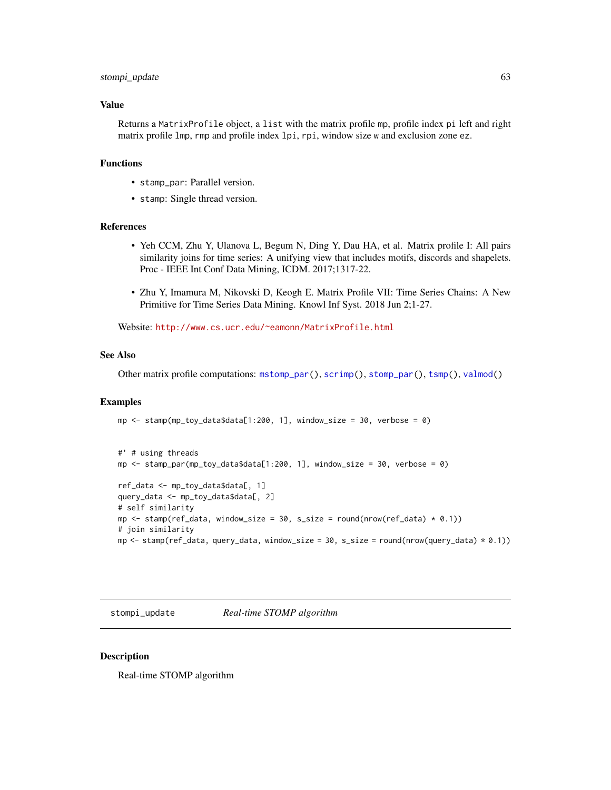## <span id="page-62-0"></span>stompi\_update 63

# Value

Returns a MatrixProfile object, a list with the matrix profile mp, profile index pi left and right matrix profile lmp, rmp and profile index lpi, rpi, window size w and exclusion zone ez.

# Functions

- stamp\_par: Parallel version.
- stamp: Single thread version.

#### References

- Yeh CCM, Zhu Y, Ulanova L, Begum N, Ding Y, Dau HA, et al. Matrix profile I: All pairs similarity joins for time series: A unifying view that includes motifs, discords and shapelets. Proc - IEEE Int Conf Data Mining, ICDM. 2017;1317-22.
- Zhu Y, Imamura M, Nikovski D, Keogh E. Matrix Profile VII: Time Series Chains: A New Primitive for Time Series Data Mining. Knowl Inf Syst. 2018 Jun 2;1-27.

Website: <http://www.cs.ucr.edu/~eamonn/MatrixProfile.html>

mp  $\le$  stamp(mp\_toy\_data\$data[1:200, 1], window\_size = 30, verbose = 0)

#### See Also

Other matrix profile computations: [mstomp\\_par\(](#page-39-0)), [scrimp\(](#page-53-0)), [stomp\\_par\(](#page-63-1)), [tsmp\(](#page-65-0)), [valmod\(](#page-68-0))

## Examples

```
#' # using threads
mp \le stamp_par(mp_toy_data$data[1:200, 1], window_size = 30, verbose = 0)
ref_data <- mp_toy_data$data[, 1]
query_data <- mp_toy_data$data[, 2]
# self similarity
mp \le - stamp(ref_data, window_size = 30, s_size = round(nrow(ref_data) * 0.1))
# join similarity
mp \le stamp(ref_data, query_data, window_size = 30, s_size = round(nrow(query_data) * 0.1))
```
stompi\_update *Real-time STOMP algorithm*

## Description

Real-time STOMP algorithm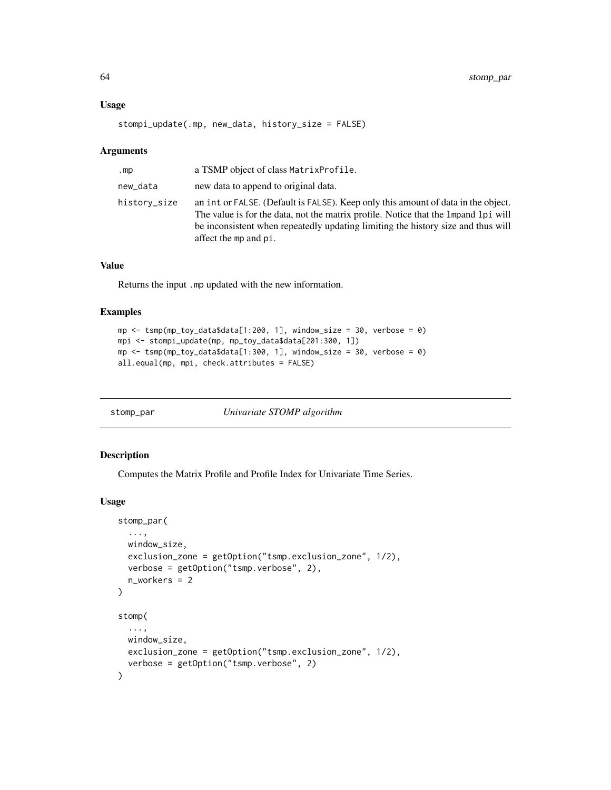# Usage

```
stompi_update(.mp, new_data, history_size = FALSE)
```
#### Arguments

| .mp          | a TSMP object of class Matrix Profile.                                                                                                                                                                                                                                                 |
|--------------|----------------------------------------------------------------------------------------------------------------------------------------------------------------------------------------------------------------------------------------------------------------------------------------|
| new_data     | new data to append to original data.                                                                                                                                                                                                                                                   |
| history_size | an int or FALSE. (Default is FALSE). Keep only this amount of data in the object.<br>The value is for the data, not the matrix profile. Notice that the 1 mpand 1 pi will<br>be inconsistent when repeatedly updating limiting the history size and thus will<br>affect the mp and pi. |

# Value

Returns the input .mp updated with the new information.

# Examples

```
mp <- tsmp(mp_toy_data$data[1:200, 1], window_size = 30, verbose = 0)
mpi <- stompi_update(mp, mp_toy_data$data[201:300, 1])
mp \le - tsmp(mp_toy_data$data[1:300, 1], window_size = 30, verbose = 0)
all.equal(mp, mpi, check.attributes = FALSE)
```
<span id="page-63-1"></span>stomp\_par *Univariate STOMP algorithm*

# <span id="page-63-0"></span>Description

Computes the Matrix Profile and Profile Index for Univariate Time Series.

#### Usage

```
stomp_par(
  ...,
 window_size,
 exclusion_zone = getOption("tsmp.exclusion_zone", 1/2),
 verbose = getOption("tsmp.verbose", 2),
 n_workers = 2
)
stomp(
  ...,
 window_size,
 exclusion_zone = getOption("tsmp.exclusion_zone", 1/2),
  verbose = getOption("tsmp.verbose", 2)
)
```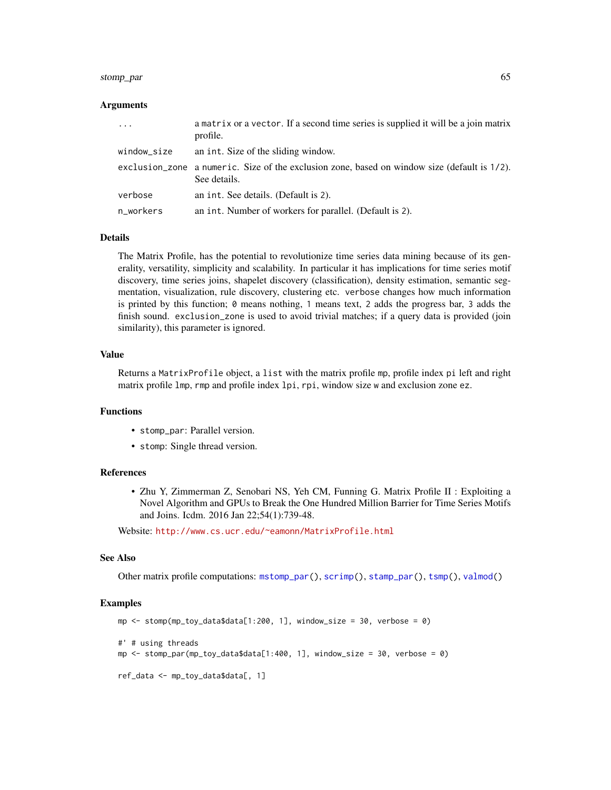#### <span id="page-64-0"></span>stomp\_par 65

## Arguments

| $\cdots$    | a matrix or a vector. If a second time series is supplied it will be a join matrix<br>profile.                  |
|-------------|-----------------------------------------------------------------------------------------------------------------|
| window_size | an int. Size of the sliding window.                                                                             |
|             | exclusion_zone a numeric. Size of the exclusion zone, based on window size (default is $1/2$ ).<br>See details. |
| verbose     | an int. See details. (Default is 2).                                                                            |
| n_workers   | an int. Number of workers for parallel. (Default is 2).                                                         |

# Details

The Matrix Profile, has the potential to revolutionize time series data mining because of its generality, versatility, simplicity and scalability. In particular it has implications for time series motif discovery, time series joins, shapelet discovery (classification), density estimation, semantic segmentation, visualization, rule discovery, clustering etc. verbose changes how much information is printed by this function; 0 means nothing, 1 means text, 2 adds the progress bar, 3 adds the finish sound. exclusion\_zone is used to avoid trivial matches; if a query data is provided (join similarity), this parameter is ignored.

#### Value

Returns a MatrixProfile object, a list with the matrix profile mp, profile index pi left and right matrix profile lmp, rmp and profile index lpi, rpi, window size w and exclusion zone ez.

# Functions

- stomp\_par: Parallel version.
- stomp: Single thread version.

## References

• Zhu Y, Zimmerman Z, Senobari NS, Yeh CM, Funning G. Matrix Profile II : Exploiting a Novel Algorithm and GPUs to Break the One Hundred Million Barrier for Time Series Motifs and Joins. Icdm. 2016 Jan 22;54(1):739-48.

Website: <http://www.cs.ucr.edu/~eamonn/MatrixProfile.html>

#### See Also

Other matrix profile computations: [mstomp\\_par\(](#page-39-0)), [scrimp\(](#page-53-0)), [stamp\\_par\(](#page-60-0)), [tsmp\(](#page-65-0)), [valmod\(](#page-68-0))

#### Examples

```
mp \le stomp(mp_toy_data$data[1:200, 1], window_size = 30, verbose = 0)
#' # using threads
mp <- stomp_par(mp_toy_data$data[1:400, 1], window_size = 30, verbose = 0)
ref_data <- mp_toy_data$data[, 1]
```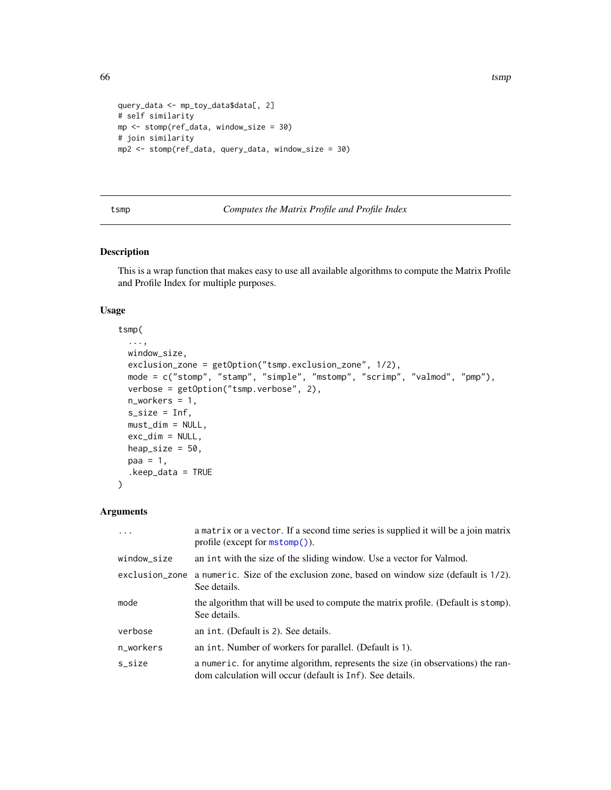```
query_data <- mp_toy_data$data[, 2]
# self similarity
mp <- stomp(ref_data, window_size = 30)
# join similarity
mp2 <- stomp(ref_data, query_data, window_size = 30)
```
# <span id="page-65-0"></span>tsmp *Computes the Matrix Profile and Profile Index*

# Description

This is a wrap function that makes easy to use all available algorithms to compute the Matrix Profile and Profile Index for multiple purposes.

#### Usage

## tsmp(

```
...,
 window_size,
 exclusion_zone = getOption("tsmp.exclusion_zone", 1/2),
 mode = c("stomp", "stamp", "simple", "mstomp", "scrimp", "valmod", "pmp"),
 verbose = getOption("tsmp.verbose", 2),
 n_workers = 1,
 s_size = Inf,
 must_dim = NULL,
 exc\_dim = NULL,heap_size = 50,
 paa = 1,
  keep_data = TRUE\mathcal{L}
```
# Arguments

| .              | a matrix or a vector. If a second time series is supplied it will be a join matrix<br>profile (except for $mstomp()$ ).                       |
|----------------|-----------------------------------------------------------------------------------------------------------------------------------------------|
| window_size    | an int with the size of the sliding window. Use a vector for Valmod.                                                                          |
| exclusion_zone | a numeric. Size of the exclusion zone, based on window size (default is $1/2$ ).<br>See details.                                              |
| mode           | the algorithm that will be used to compute the matrix profile. (Default is stomp).<br>See details.                                            |
| verbose        | an int. (Default is 2). See details.                                                                                                          |
| n_workers      | an int. Number of workers for parallel. (Default is 1).                                                                                       |
| s_size         | a numeric, for anytime algorithm, represents the size (in observations) the ran-<br>dom calculation will occur (default is Inf). See details. |

<span id="page-65-1"></span>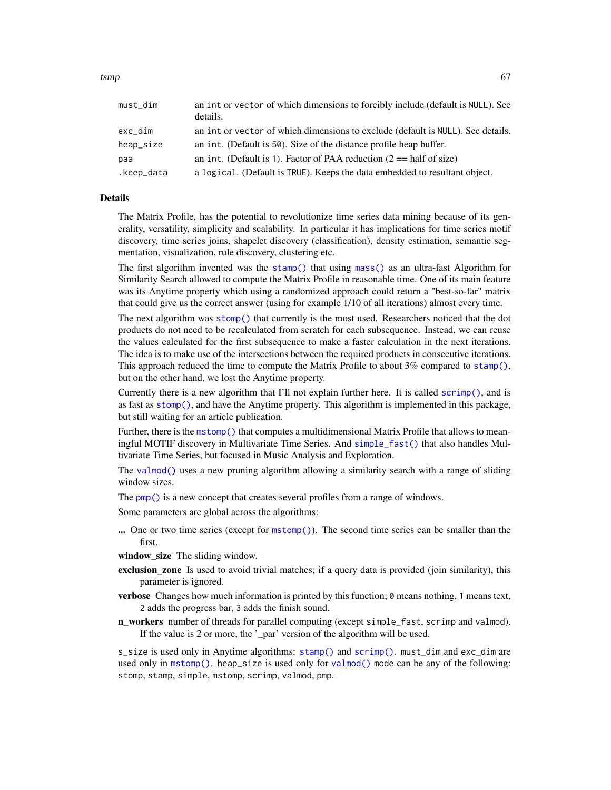<span id="page-66-0"></span>

| must_dim   | an int or vector of which dimensions to forcibly include (default is NULL). See<br>details. |
|------------|---------------------------------------------------------------------------------------------|
| exc_dim    | an int or vector of which dimensions to exclude (default is NULL). See details.             |
| heap_size  | an int. (Default is 50). Size of the distance profile heap buffer.                          |
| paa        | an int. (Default is 1). Factor of PAA reduction $(2 == \text{half of size})$                |
| .keep_data | a logical. (Default is TRUE). Keeps the data embedded to resultant object.                  |

# Details

The Matrix Profile, has the potential to revolutionize time series data mining because of its generality, versatility, simplicity and scalability. In particular it has implications for time series motif discovery, time series joins, shapelet discovery (classification), density estimation, semantic segmentation, visualization, rule discovery, clustering etc.

The first algorithm invented was the [stamp\(\)](#page-60-1) that using [mass\(\)](#page-0-0) as an ultra-fast Algorithm for Similarity Search allowed to compute the Matrix Profile in reasonable time. One of its main feature was its Anytime property which using a randomized approach could return a "best-so-far" matrix that could give us the correct answer (using for example 1/10 of all iterations) almost every time.

The next algorithm was [stomp\(\)](#page-63-0) that currently is the most used. Researchers noticed that the dot products do not need to be recalculated from scratch for each subsequence. Instead, we can reuse the values calculated for the first subsequence to make a faster calculation in the next iterations. The idea is to make use of the intersections between the required products in consecutive iterations. This approach reduced the time to compute the Matrix Profile to about  $3\%$  compared to [stamp\(\)](#page-60-1), but on the other hand, we lost the Anytime property.

Currently there is a new algorithm that I'll not explain further here. It is called  $\text{scriptp}()$ , and is as fast as [stomp\(\)](#page-63-0), and have the Anytime property. This algorithm is implemented in this package, but still waiting for an article publication.

Further, there is the [mstomp\(\)](#page-39-1) that computes a multidimensional Matrix Profile that allows to meaningful MOTIF discovery in Multivariate Time Series. And [simple\\_fast\(\)](#page-59-0) that also handles Multivariate Time Series, but focused in Music Analysis and Exploration.

The [valmod\(\)](#page-68-0) uses a new pruning algorithm allowing a similarity search with a range of sliding window sizes.

The [pmp\(\)](#page-46-0) is a new concept that creates several profiles from a range of windows.

Some parameters are global across the algorithms:

... One or two time series (except for [mstomp\(\)](#page-39-1)). The second time series can be smaller than the first.

window size The sliding window.

- exclusion\_zone Is used to avoid trivial matches; if a query data is provided (join similarity), this parameter is ignored.
- verbose Changes how much information is printed by this function; 0 means nothing, 1 means text, 2 adds the progress bar, 3 adds the finish sound.
- n\_workers number of threads for parallel computing (except simple\_fast, scrimp and valmod). If the value is 2 or more, the '\_par' version of the algorithm will be used.

s\_size is used only in Anytime algorithms: [stamp\(\)](#page-60-1) and [scrimp\(\)](#page-53-0). must\_dim and exc\_dim are used only in [mstomp\(\)](#page-39-1). heap\_size is used only for [valmod\(\)](#page-68-0) mode can be any of the following: stomp, stamp, simple, mstomp, scrimp, valmod, pmp.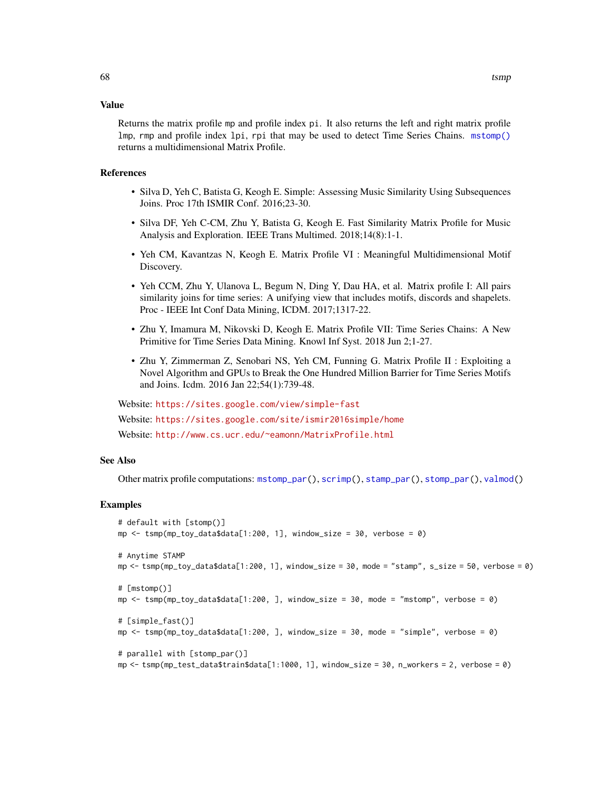#### <span id="page-67-0"></span>Value

Returns the matrix profile mp and profile index pi. It also returns the left and right matrix profile lmp, rmp and profile index lpi, rpi that may be used to detect Time Series Chains. [mstomp\(\)](#page-39-1) returns a multidimensional Matrix Profile.

#### References

- Silva D, Yeh C, Batista G, Keogh E. Simple: Assessing Music Similarity Using Subsequences Joins. Proc 17th ISMIR Conf. 2016;23-30.
- Silva DF, Yeh C-CM, Zhu Y, Batista G, Keogh E. Fast Similarity Matrix Profile for Music Analysis and Exploration. IEEE Trans Multimed. 2018;14(8):1-1.
- Yeh CM, Kavantzas N, Keogh E. Matrix Profile VI : Meaningful Multidimensional Motif Discovery.
- Yeh CCM, Zhu Y, Ulanova L, Begum N, Ding Y, Dau HA, et al. Matrix profile I: All pairs similarity joins for time series: A unifying view that includes motifs, discords and shapelets. Proc - IEEE Int Conf Data Mining, ICDM. 2017;1317-22.
- Zhu Y, Imamura M, Nikovski D, Keogh E. Matrix Profile VII: Time Series Chains: A New Primitive for Time Series Data Mining. Knowl Inf Syst. 2018 Jun 2;1-27.
- Zhu Y, Zimmerman Z, Senobari NS, Yeh CM, Funning G. Matrix Profile II : Exploiting a Novel Algorithm and GPUs to Break the One Hundred Million Barrier for Time Series Motifs and Joins. Icdm. 2016 Jan 22;54(1):739-48.

Website: <https://sites.google.com/view/simple-fast> Website: <https://sites.google.com/site/ismir2016simple/home> Website: <http://www.cs.ucr.edu/~eamonn/MatrixProfile.html>

# See Also

Other matrix profile computations: [mstomp\\_par\(](#page-39-0)), [scrimp\(](#page-53-0)), [stamp\\_par\(](#page-60-0)), [stomp\\_par\(](#page-63-1)), [valmod\(](#page-68-0))

# Examples

```
# default with [stomp()]
mp \le - tsmp(mp_toy_data$data[1:200, 1], window_size = 30, verbose = 0)
# Anytime STAMP
mp \leftarrow \text{tsmp}(mp\_toy\_data$data[1:200, 1], window\_size = 30, mode = "stamp", s\_size = 50, verbose = 0)# [mstomp()]
mp <- tsmp(mp_toy_data$data[1:200, ], window_size = 30, mode = "mstomp", verbose = 0)
# [simple_fast()]
mp \le - tsmp(mp_toy_data$data[1:200, ], window_size = 30, mode = "simple", verbose = 0)
# parallel with [stomp_par()]
mp <- tsmp(mp_test_data$train$data[1:1000, 1], window_size = 30, n_workers = 2, verbose = 0)
```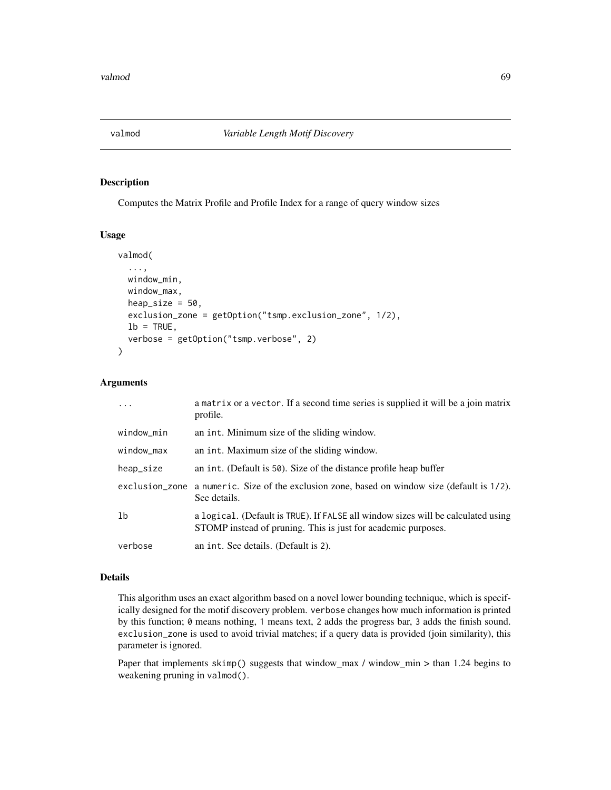<span id="page-68-0"></span>

Computes the Matrix Profile and Profile Index for a range of query window sizes

## Usage

```
valmod(
  ...,
 window_min,
 window_max,
 heap_size = 50.
  exclusion_zone = getOption("tsmp.exclusion_zone", 1/2),
  lb = TRUE,verbose = getOption("tsmp.verbose", 2)
```
## Arguments

 $\mathcal{E}$ 

| $\ddots$       | a matrix or a vector. If a second time series is supplied it will be a join matrix<br>profile.                                                    |
|----------------|---------------------------------------------------------------------------------------------------------------------------------------------------|
| window_min     | an int. Minimum size of the sliding window.                                                                                                       |
| window_max     | an int. Maximum size of the sliding window.                                                                                                       |
| heap_size      | an int. (Default is 50). Size of the distance profile heap buffer                                                                                 |
|                | exclusion_zone a numeric. Size of the exclusion zone, based on window size (default is 1/2).<br>See details.                                      |
| 1 <sub>b</sub> | a logical. (Default is TRUE). If FALSE all window sizes will be calculated using<br>STOMP instead of pruning. This is just for academic purposes. |
| verbose        | an int. See details. (Default is 2).                                                                                                              |

# Details

This algorithm uses an exact algorithm based on a novel lower bounding technique, which is specifically designed for the motif discovery problem. verbose changes how much information is printed by this function; 0 means nothing, 1 means text, 2 adds the progress bar, 3 adds the finish sound. exclusion\_zone is used to avoid trivial matches; if a query data is provided (join similarity), this parameter is ignored.

Paper that implements skimp() suggests that window\_max / window\_min > than 1.24 begins to weakening pruning in valmod().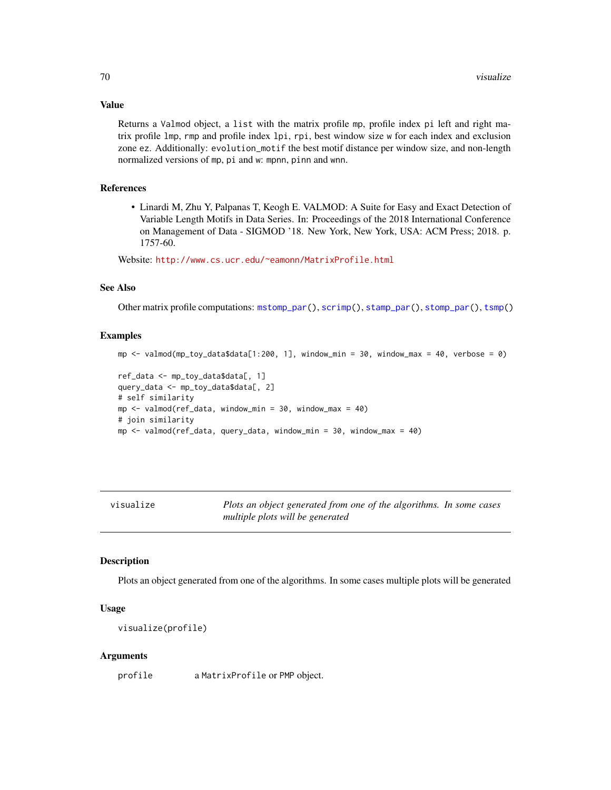#### Value

Returns a Valmod object, a list with the matrix profile mp, profile index pi left and right matrix profile lmp, rmp and profile index lpi, rpi, best window size w for each index and exclusion zone ez. Additionally: evolution\_motif the best motif distance per window size, and non-length normalized versions of mp, pi and w: mpnn, pinn and wnn.

# References

• Linardi M, Zhu Y, Palpanas T, Keogh E. VALMOD: A Suite for Easy and Exact Detection of Variable Length Motifs in Data Series. In: Proceedings of the 2018 International Conference on Management of Data - SIGMOD '18. New York, New York, USA: ACM Press; 2018. p. 1757-60.

Website: <http://www.cs.ucr.edu/~eamonn/MatrixProfile.html>

## See Also

Other matrix profile computations: [mstomp\\_par\(](#page-39-0)), [scrimp\(](#page-53-0)), [stamp\\_par\(](#page-60-0)), [stomp\\_par\(](#page-63-1)), [tsmp\(](#page-65-0))

#### Examples

```
mp <- valmod(mp_toy_data$data[1:200, 1], window_min = 30, window_max = 40, verbose = 0)
ref_data <- mp_toy_data$data[, 1]
query_data <- mp_toy_data$data[, 2]
# self similarity
mp \le valmod(ref_data, window_min = 30, window_max = 40)
# join similarity
mp \le valmod(ref_data, query_data, window_min = 30, window_max = 40)
```
visualize *Plots an object generated from one of the algorithms. In some cases multiple plots will be generated*

#### Description

Plots an object generated from one of the algorithms. In some cases multiple plots will be generated

# Usage

```
visualize(profile)
```
## Arguments

profile a MatrixProfile or PMP object.

<span id="page-69-0"></span>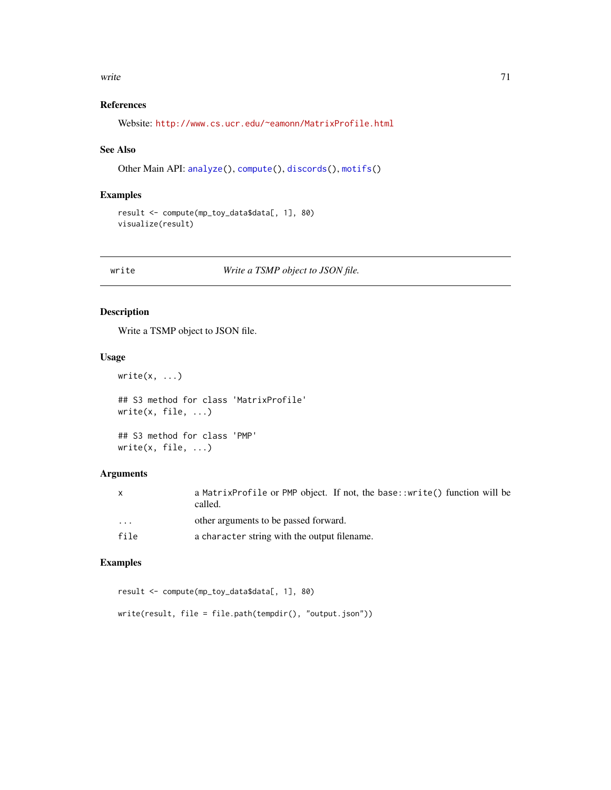#### <span id="page-70-0"></span>write 21 and 2008 and 2008 and 2008 and 2008 and 2008 and 2008 and 2008 and 2008 and 2008 and 2008 and 2008 and 2008 and 2008 and 2008 and 2008 and 2008 and 2008 and 2008 and 2008 and 2008 and 2008 and 2008 and 2008 and 20

# References

Website: <http://www.cs.ucr.edu/~eamonn/MatrixProfile.html>

#### See Also

Other Main API: [analyze\(](#page-2-0)), [compute\(](#page-11-0)), [discords\(](#page-12-0)), [motifs\(](#page-32-0))

# Examples

```
result <- compute(mp_toy_data$data[, 1], 80)
visualize(result)
```
write *Write a TSMP object to JSON file.*

# Description

Write a TSMP object to JSON file.

# Usage

```
write(x, \ldots)## S3 method for class 'MatrixProfile'
write(x, file, ...)
## S3 method for class 'PMP'
write(x, file, ...)
```
# Arguments

| $\mathsf{x}$ | a MatrixProfile or PMP object. If not, the base::write() function will be<br>called. |
|--------------|--------------------------------------------------------------------------------------|
| $\cdots$     | other arguments to be passed forward.                                                |
| file         | a character string with the output filename.                                         |

# Examples

```
result <- compute(mp_toy_data$data[, 1], 80)
```

```
write(result, file = file.path(tempdir(), "output.json"))
```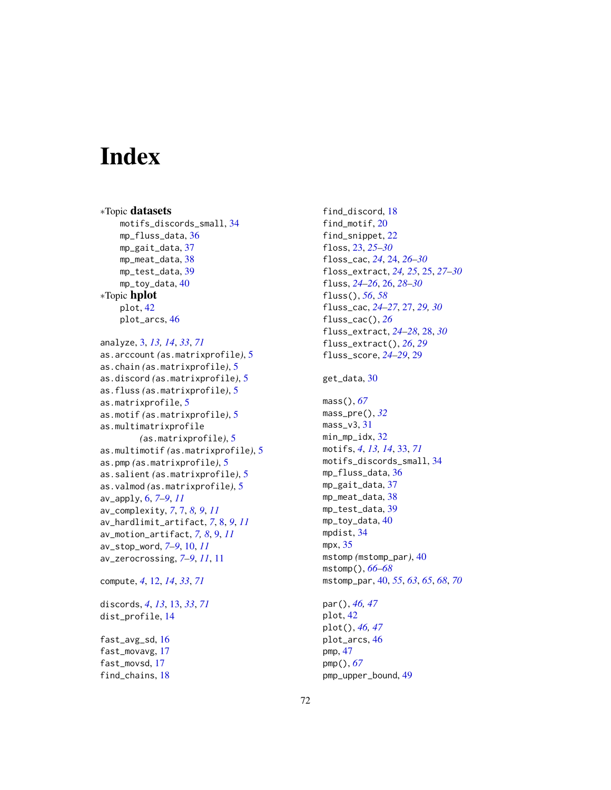# **Index**

∗Topic datasets motifs\_discords\_small, [34](#page-33-0) mp\_fluss\_data, [36](#page-35-0) mp\_gait\_data, [37](#page-36-0) mp\_meat\_data, [38](#page-37-0) mp\_test\_data, [39](#page-38-0) mp\_toy\_data, [40](#page-39-2) ∗Topic hplot plot, [42](#page-41-1) plot\_arcs, [46](#page-45-0) analyze, [3,](#page-2-1) *[13,](#page-12-1) [14](#page-13-0)*, *[33](#page-32-1)*, *[71](#page-70-0)*

```
as.arccount (as.matrixprofile), 5
as.chain (as.matrixprofile), 5
as.discord (as.matrixprofile), 5
as.fluss (as.matrixprofile), 5
as.matrixprofile, 5
as.motif (as.matrixprofile), 5
as.multimatrixprofile
        (as.matrixprofile), 5
as.multimotif (as.matrixprofile), 5
as.pmp (as.matrixprofile), 5
as.salient (as.matrixprofile), 5
as.valmod (as.matrixprofile), 5
av_apply, 6, 7–9, 11
av_complexity, 7, 7, 8, 9, 11
av_hardlimit_artifact, 7, 8, 9, 11
av_motion_artifact, 7, 8, 9, 11
av_stop_word, 7–9, 10, 11
av_zerocrossing, 7–9, 11, 11
```

```
compute, 4, 12, 14, 33, 71
```
discords, *[4](#page-3-0)*, *[13](#page-12-1)*, [13,](#page-12-1) *[33](#page-32-1)*, *[71](#page-70-0)* dist\_profile, [14](#page-13-0) fast\_avg\_sd, [16](#page-15-0) fast\_movavg, [17](#page-16-0) fast\_movsd, [17](#page-16-0) find\_chains, [18](#page-17-0)

find\_discord, [18](#page-17-0) find\_motif, [20](#page-19-0) find\_snippet, [22](#page-21-0) floss, [23,](#page-22-0) *[25](#page-24-0)[–30](#page-29-0)* floss\_cac, *[24](#page-23-0)*, [24,](#page-23-0) *[26](#page-25-1)[–30](#page-29-0)* floss\_extract, *[24,](#page-23-0) [25](#page-24-0)*, [25,](#page-24-0) *[27](#page-26-0)[–30](#page-29-0)* fluss, *[24](#page-23-0)[–26](#page-25-1)*, [26,](#page-25-1) *[28](#page-27-0)[–30](#page-29-0)* fluss(), *[56](#page-55-1)*, *[58](#page-57-1)* fluss\_cac, *[24](#page-23-0)[–27](#page-26-0)*, [27,](#page-26-0) *[29,](#page-28-0) [30](#page-29-0)* fluss\_cac(), *[26](#page-25-1)* fluss\_extract, *[24](#page-23-0)[–28](#page-27-0)*, [28,](#page-27-0) *[30](#page-29-0)* fluss\_extract(), *[26](#page-25-1)*, *[29](#page-28-0)* fluss\_score, *[24](#page-23-0)[–29](#page-28-0)*, [29](#page-28-0)

# get\_data, [30](#page-29-0)

```
mass(), 67
mass_pre(), 32
mass_v3, 31
min_mp_idx, 32
motifs, 4, 13, 14, 33, 71
motifs_discords_small, 34
mp_fluss_data, 36
mp_gait_data, 37
mp_meat_data, 38
mp_test_data, 39
mp_toy_data, 40
mpdist, 34
mpx, 35
mstomp (mstomp_par), 40
mstomp(), 66–68
mstomp_par, 40, 55, 63, 65, 68, 70
```
par(), *[46,](#page-45-0) [47](#page-46-1)* plot, [42](#page-41-1) plot(), *[46,](#page-45-0) [47](#page-46-1)* plot\_arcs, [46](#page-45-0) pmp, [47](#page-46-1) pmp(), *[67](#page-66-0)* pmp\_upper\_bound, [49](#page-48-0)